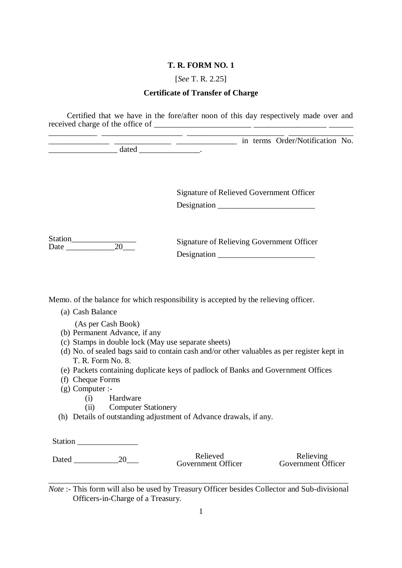[*See* T. R. 2.25]

#### **Certificate of Transfer of Charge**

Certified that we have in the fore/after noon of this day respectively made over and received charge of the office of  $\_\_\_\_\_\_\_\_\_\_$ 

\_\_\_\_\_\_\_\_\_\_\_\_ \_\_\_\_\_\_\_\_\_\_\_\_\_\_\_\_\_\_\_\_ \_\_\_\_\_\_\_\_\_\_\_\_\_\_\_\_\_\_\_\_\_\_\_\_ \_\_\_\_\_\_\_\_\_\_\_\_\_\_\_\_ \_\_\_\_\_\_\_\_\_\_\_\_\_\_\_ \_\_\_\_\_\_\_\_\_\_\_\_\_\_ \_\_\_\_\_\_\_\_\_\_\_\_\_\_\_ in terms Order/Notification No.  $\frac{1}{\text{dated}}$   $\frac{1}{\text{dated}}$ 

> Signature of Relieved Government Officer Designation \_\_\_\_\_\_\_\_\_\_\_\_\_\_\_\_\_\_\_\_\_\_\_\_

Station
<del>11</del><br>Date
20
12 Date \_\_\_\_\_\_\_\_\_\_\_\_20\_\_\_

Signature of Relieving Government Officer Designation \_\_\_\_\_\_\_\_\_\_\_\_\_\_\_\_\_\_\_\_\_\_\_\_

Memo. of the balance for which responsibility is accepted by the relieving officer.

(a) Cash Balance

(As per Cash Book)

- (b) Permanent Advance, if any
- (c) Stamps in double lock (May use separate sheets)
- (d) No. of sealed bags said to contain cash and/or other valuables as per register kept in T. R. Form No. 8.
- (e) Packets containing duplicate keys of padlock of Banks and Government Offices
- (f) Cheque Forms
- (g) Computer :-
	- (i) Hardware
	- (ii) Computer Stationery
- (h) Details of outstanding adjustment of Advance drawals, if any.

Station **and** *s* 

Dated \_\_\_\_\_\_\_\_\_\_\_20\_\_\_ Relieved Government Officer

Relieving Government Officer

*Note* :- This form will also be used by Treasury Officer besides Collector and Sub-divisional Officers-in-Charge of a Treasury.

\_\_\_\_\_\_\_\_\_\_\_\_\_\_\_\_\_\_\_\_\_\_\_\_\_\_\_\_\_\_\_\_\_\_\_\_\_\_\_\_\_\_\_\_\_\_\_\_\_\_\_\_\_\_\_\_\_\_\_\_\_\_\_\_\_\_\_\_\_\_\_\_\_\_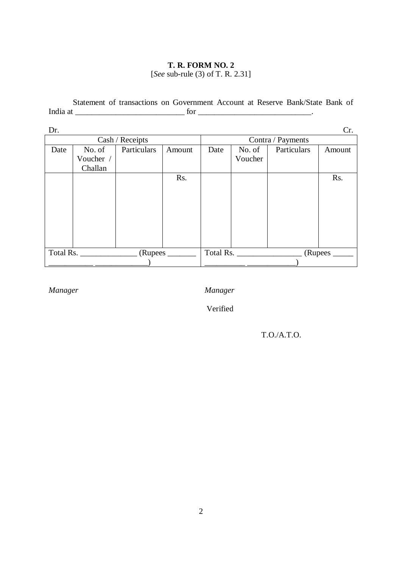### **T. R. FORM NO. 2**  [*See* sub-rule (3) of T. R. 2.31]

Statement of transactions on Government Account at Reserve Bank/State Bank of India at \_\_\_\_\_\_\_\_\_\_\_\_\_\_\_\_\_\_\_\_\_\_\_\_\_\_\_ for \_\_\_\_\_\_\_\_\_\_\_\_\_\_\_\_\_\_\_\_\_\_\_\_\_\_\_\_.

| Dr.  |           |                 |        |                   |           |             | Cr.    |  |
|------|-----------|-----------------|--------|-------------------|-----------|-------------|--------|--|
|      |           | Cash / Receipts |        | Contra / Payments |           |             |        |  |
| Date | No. of    | Particulars     | Amount | Date              | No. of    | Particulars | Amount |  |
|      | Voucher / |                 |        |                   | Voucher   |             |        |  |
|      | Challan   |                 |        |                   |           |             |        |  |
|      |           |                 | Rs.    |                   |           |             | Rs.    |  |
|      |           |                 |        |                   |           |             |        |  |
|      |           |                 |        |                   |           |             |        |  |
|      |           |                 |        |                   |           |             |        |  |
|      |           |                 |        |                   |           |             |        |  |
|      |           |                 |        |                   |           |             |        |  |
|      |           |                 |        |                   |           |             |        |  |
|      |           |                 |        |                   |           |             |        |  |
|      | Total Rs. | (Rupees         |        |                   | Total Rs. | (Rupees     |        |  |
|      |           |                 |        |                   |           |             |        |  |

*Manager Manager*

Verified

T.O./A.T.O.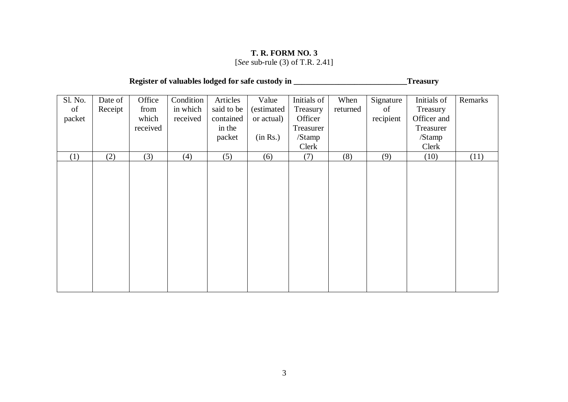[*See* sub-rule (3) of T.R. 2.41]

# **Register of valuables lodged for safe custody in \_\_\_\_\_\_\_\_\_\_\_\_\_\_\_\_\_\_\_\_\_\_\_\_\_\_\_\_Treasury**

| Sl. No.<br>of<br>packet | Date of<br>Receipt | Office<br>from<br>which<br>received | Condition<br>in which<br>received | Articles<br>said to be<br>contained<br>in the<br>packet | Value<br>(estimated<br>or actual)<br>(in Rs.) | Initials of<br>Treasury<br>Officer<br>Treasurer<br>/Stamp<br>Clerk | When<br>returned | Signature<br>of<br>recipient | Initials of<br>Treasury<br>Officer and<br>Treasurer<br>/Stamp<br>Clerk | Remarks |
|-------------------------|--------------------|-------------------------------------|-----------------------------------|---------------------------------------------------------|-----------------------------------------------|--------------------------------------------------------------------|------------------|------------------------------|------------------------------------------------------------------------|---------|
| (1)                     | (2)                | (3)                                 | (4)                               | (5)                                                     | (6)                                           | (7)                                                                | (8)              | (9)                          | (10)                                                                   | (11)    |
|                         |                    |                                     |                                   |                                                         |                                               |                                                                    |                  |                              |                                                                        |         |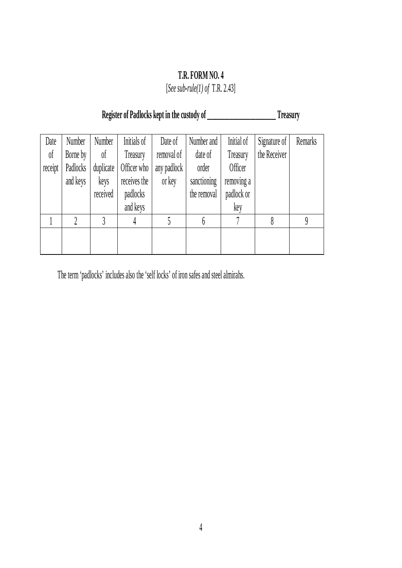[*See sub-rule(1) of* T.R. 2.43]

# **Register of Padlocks kept in the custody of \_\_\_\_\_\_\_\_\_\_\_\_\_\_\_\_\_\_\_\_\_\_\_\_ Treasury**

| Date           | Number   | Number    | Initials of  | Date of     | Number and  | Initial of | Signature of | Remarks |
|----------------|----------|-----------|--------------|-------------|-------------|------------|--------------|---------|
| 0 <sup>f</sup> | Borne by | $\delta$  | Treasury     | removal of  | date of     | Treasury   | the Receiver |         |
| receipt        | Padlocks | duplicate | Officer who  | any padlock | order       | Officer    |              |         |
|                | and keys | keys      | receives the | or key      | sanctioning | removing a |              |         |
|                |          | received  | padlocks     |             | the removal | padlock or |              |         |
|                |          |           | and keys     |             |             | key        |              |         |
|                |          |           | 4            |             | 6           |            |              | 9       |
|                |          |           |              |             |             |            |              |         |
|                |          |           |              |             |             |            |              |         |

The term 'padlocks' includes also the 'self locks' of iron safes and steel almirahs.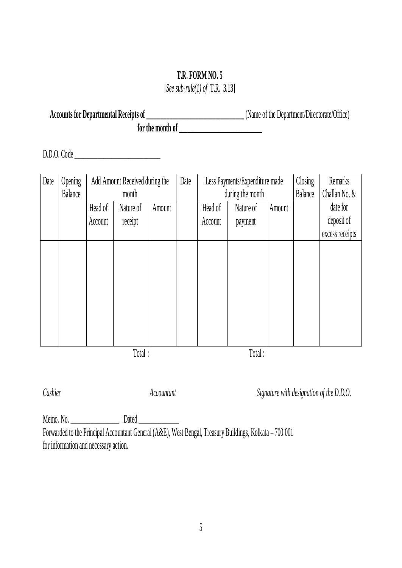[*See sub-rule(1) of* T.R. 3.13]

**Accounts for Departmental Receipts of \_\_\_\_\_\_\_\_\_\_\_\_\_\_\_\_\_\_\_\_\_\_\_\_\_\_\_\_\_\_\_\_\_\_** (Name of the Department/Directorate/Office) **for the month of \_\_\_\_\_\_\_\_\_\_\_\_\_\_\_\_\_\_\_\_\_\_\_\_\_\_\_\_\_**

D.D.O. Code \_\_\_\_\_\_\_\_\_\_\_\_\_\_\_\_\_\_\_\_\_\_\_\_\_\_\_\_\_\_

| Date | Opening<br>Balance | Add Amount Received during the<br>month |           |        | Date |         | Less Payments/Expenditure made<br>during the month |        | Closing<br><b>Balance</b> | Remarks<br>Challan No. &      |
|------|--------------------|-----------------------------------------|-----------|--------|------|---------|----------------------------------------------------|--------|---------------------------|-------------------------------|
|      |                    | Head of                                 | Nature of | Amount |      | Head of | Nature of                                          | Amount |                           | date for                      |
|      |                    | Account                                 | receipt   |        |      | Account | payment                                            |        |                           | deposit of<br>excess receipts |
|      |                    |                                         |           |        |      |         |                                                    |        |                           |                               |
|      |                    |                                         |           |        |      |         |                                                    |        |                           |                               |
|      |                    |                                         |           |        |      |         |                                                    |        |                           |                               |
|      |                    |                                         |           |        |      |         |                                                    |        |                           |                               |
|      |                    |                                         |           |        |      |         |                                                    |        |                           |                               |
|      |                    |                                         |           |        |      |         |                                                    |        |                           |                               |
|      |                    |                                         | Total:    |        |      |         | Total:                                             |        |                           |                               |

*Cashier Accountant Signature with designation of the D.D.O.*

Memo. No. \_\_\_\_\_\_\_\_\_\_\_\_\_\_\_\_\_ Dated \_\_\_\_\_\_\_\_\_\_\_\_\_\_ Forwarded to the Principal Accountant General (A&E), West Bengal, Treasury Buildings, Kolkata – 700 001 for information and necessary action.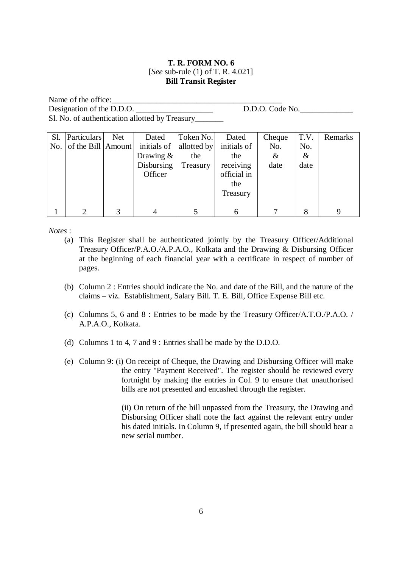#### **T. R. FORM NO. 6**  [*See* sub-rule (1) of T. R. 4.021] **Bill Transit Register**

Name of the office: Designation of the D.D.O. \_\_\_\_\_\_\_\_\_\_\_\_\_\_\_\_\_\_\_ D.D.O. Code No.\_\_\_\_\_\_\_\_\_\_\_\_\_ Sl. No. of authentication allotted by Treasury\_\_\_\_\_\_\_\_\_\_\_\_\_\_\_\_\_\_\_\_\_\_\_\_\_\_\_\_\_\_\_\_\_\_\_

| Sl. | Particulars                | Net | Dated        | Token No.   | Dated       | Cheque | T.V. | Remarks |
|-----|----------------------------|-----|--------------|-------------|-------------|--------|------|---------|
|     | No. of the Bill $ Amount $ |     | initials of  | allotted by | initials of | No.    | No.  |         |
|     |                            |     | Drawing $\&$ | the         | the         | &      | $\&$ |         |
|     |                            |     | Disbursing   | Treasury    | receiving   | date   | date |         |
|     |                            |     | Officer      |             | official in |        |      |         |
|     |                            |     |              |             | the         |        |      |         |
|     |                            |     |              |             | Treasury    |        |      |         |
|     |                            |     |              |             |             |        |      |         |
|     | ി                          |     |              |             |             |        | 8    | q       |

*Notes* :

- (a) This Register shall be authenticated jointly by the Treasury Officer/Additional Treasury Officer/P.A.O./A.P.A.O., Kolkata and the Drawing & Disbursing Officer at the beginning of each financial year with a certificate in respect of number of pages.
- (b) Column 2 : Entries should indicate the No. and date of the Bill, and the nature of the claims – viz. Establishment, Salary Bill. T. E. Bill, Office Expense Bill etc.
- (c) Columns 5, 6 and 8 : Entries to be made by the Treasury Officer/A.T.O./P.A.O. / A.P.A.O., Kolkata.
- (d) Columns 1 to 4, 7 and 9 : Entries shall be made by the D.D.O.
- (e) Column 9: (i) On receipt of Cheque, the Drawing and Disbursing Officer will make the entry "Payment Received". The register should be reviewed every fortnight by making the entries in Col. 9 to ensure that unauthorised bills are not presented and encashed through the register.

(ii) On return of the bill unpassed from the Treasury, the Drawing and Disbursing Officer shall note the fact against the relevant entry under his dated initials. In Column 9, if presented again, the bill should bear a new serial number.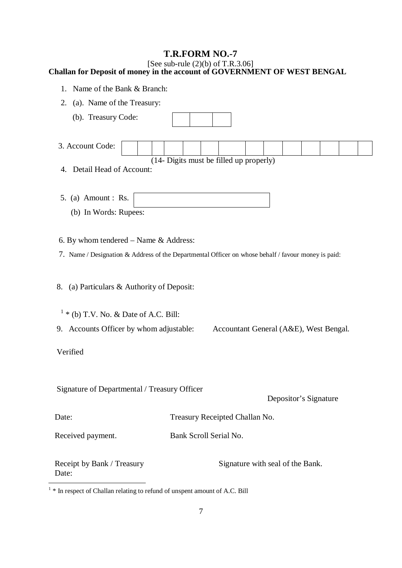#### [See sub-rule  $(2)(b)$  of T.R.3.06] **Challan for Deposit of money in the account of GOVERNMENT OF WEST BENGAL**

- 1. Name of the Bank & Branch:
- 2. (a). Name of the Treasury:
- (b). Treasury Code: 3. Account Code: (14- Digits must be filled up properly) 4. Detail Head of Account: 5. (a) Amount : Rs. (b) In Words: Rupees: 6. By whom tendered – Name & Address: 7. Name / Designation & Address of the Departmental Officer on whose behalf / favour money is paid: 8. (a) Particulars & Authority of Deposit:  $1 *$  (b) T.V. No. & Date of A.C. Bill: 9. Accounts Officer by whom adjustable: Accountant General (A&E), West Bengal. Verified Signature of Departmental / Treasury Officer Depositor's Signature Date: Treasury Receipted Challan No. Received payment. Bank Scroll Serial No. Receipt by Bank / Treasury Signature with seal of the Bank. Date:

<sup>&</sup>lt;sup>1</sup> \* In respect of Challan relating to refund of unspent amount of A.C. Bill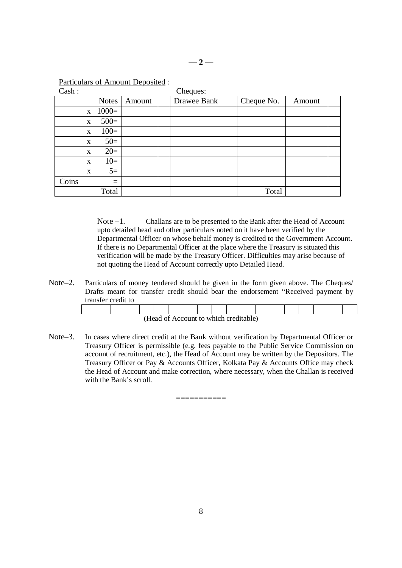|              |                  | <b>Particulars of Amount Deposited:</b> |             |            |        |
|--------------|------------------|-----------------------------------------|-------------|------------|--------|
| Cash:        |                  |                                         | Cheques:    |            |        |
|              | <b>Notes</b>     | Amount                                  | Drawee Bank | Cheque No. | Amount |
|              | $x \quad 1000 =$ |                                         |             |            |        |
| $\mathbf{X}$ | $500=$           |                                         |             |            |        |
| $\mathbf{X}$ | $100=$           |                                         |             |            |        |
| $\mathbf{X}$ | $50=$            |                                         |             |            |        |
| $\mathbf{X}$ | $20=$            |                                         |             |            |        |
| $\mathbf{x}$ | $10=$            |                                         |             |            |        |
| $\mathbf{X}$ | $5=$             |                                         |             |            |        |
| Coins        | $=$              |                                         |             |            |        |
|              | Total            |                                         |             | Total      |        |

Note –1. Challans are to be presented to the Bank after the Head of Account upto detailed head and other particulars noted on it have been verified by the Departmental Officer on whose behalf money is credited to the Government Account. If there is no Departmental Officer at the place where the Treasury is situated this verification will be made by the Treasury Officer. Difficulties may arise because of not quoting the Head of Account correctly upto Detailed Head.

Note–2. Particulars of money tendered should be given in the form given above. The Cheques/ Drafts meant for transfer credit should bear the endorsement "Received payment by transfer credit to

| (Head of Account to which creditable) |  |  |  |  |  |  |  |  |  |  |  |  |  |  |  |  |  |
|---------------------------------------|--|--|--|--|--|--|--|--|--|--|--|--|--|--|--|--|--|

Note–3. In cases where direct credit at the Bank without verification by Departmental Officer or Treasury Officer is permissible (e.g. fees payable to the Public Service Commission on account of recruitment, etc.), the Head of Account may be written by the Depositors. The Treasury Officer or Pay & Accounts Officer, Kolkata Pay & Accounts Office may check the Head of Account and make correction, where necessary, when the Challan is received with the Bank's scroll.

===========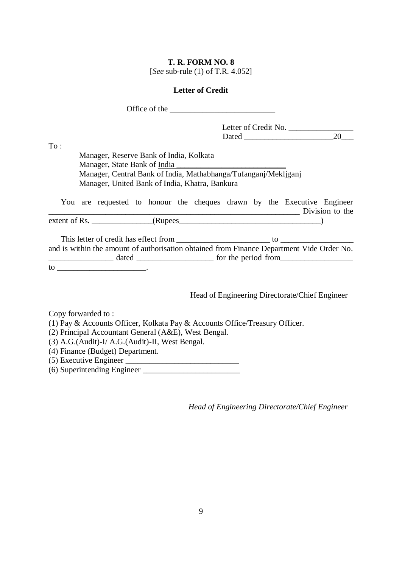## **T. R. FORM NO. 8**  [*See* sub-rule (1) of T.R*.* 4.052]

### **Letter of Credit**

|                                                                             | Office of the service of the service of the service of the service of the service of the service of the service of the service of the service of the service of the service of the service of the service of the service of th |
|-----------------------------------------------------------------------------|--------------------------------------------------------------------------------------------------------------------------------------------------------------------------------------------------------------------------------|
|                                                                             | Letter of Credit No.                                                                                                                                                                                                           |
|                                                                             | 20                                                                                                                                                                                                                             |
| To:                                                                         |                                                                                                                                                                                                                                |
| Manager, Reserve Bank of India, Kolkata                                     |                                                                                                                                                                                                                                |
| Manager, State Bank of India                                                |                                                                                                                                                                                                                                |
| Manager, Central Bank of India, Mathabhanga/Tufanganj/Mekljganj             |                                                                                                                                                                                                                                |
| Manager, United Bank of India, Khatra, Bankura                              |                                                                                                                                                                                                                                |
|                                                                             | You are requested to honour the cheques drawn by the Executive Engineer                                                                                                                                                        |
|                                                                             | Division to the                                                                                                                                                                                                                |
|                                                                             |                                                                                                                                                                                                                                |
|                                                                             |                                                                                                                                                                                                                                |
|                                                                             |                                                                                                                                                                                                                                |
|                                                                             | and is within the amount of authorisation obtained from Finance Department Vide Order No.                                                                                                                                      |
|                                                                             |                                                                                                                                                                                                                                |
|                                                                             |                                                                                                                                                                                                                                |
|                                                                             |                                                                                                                                                                                                                                |
|                                                                             | Head of Engineering Directorate/Chief Engineer                                                                                                                                                                                 |
|                                                                             |                                                                                                                                                                                                                                |
| Copy forwarded to:                                                          |                                                                                                                                                                                                                                |
| (1) Pay & Accounts Officer, Kolkata Pay & Accounts Office/Treasury Officer. |                                                                                                                                                                                                                                |
| (2) Principal Accountant General (A&E), West Bengal.                        |                                                                                                                                                                                                                                |
| (3) A.G.(Audit)-I/ A.G.(Audit)-II, West Bengal.                             |                                                                                                                                                                                                                                |
| (4) Finance (Budget) Department.                                            |                                                                                                                                                                                                                                |
|                                                                             |                                                                                                                                                                                                                                |
|                                                                             |                                                                                                                                                                                                                                |

*Head of Engineering Directorate/Chief Engineer*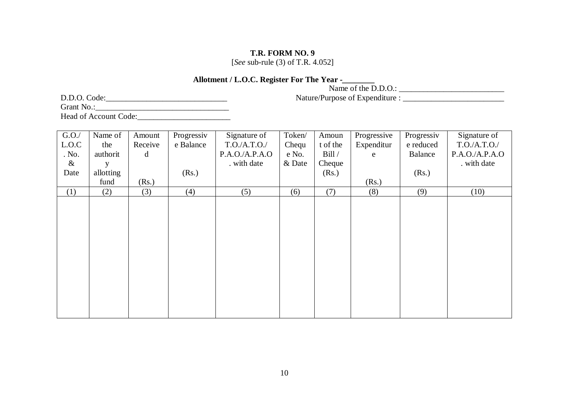[*See* sub-rule (3) of T.R. 4.052]

### **Allotment / L.O.C. Register For The Year -***\_\_\_\_\_\_\_\_*

Name of the  $D.D.O.$ :

D.D.O. Code:\_\_\_\_\_\_\_\_\_\_\_\_\_\_\_\_\_\_\_\_\_\_\_\_\_\_\_\_\_\_

Nature/Purpose of Expenditure : \_\_\_\_\_\_\_\_\_\_\_\_\_\_\_\_\_\_\_\_\_\_\_\_\_

Grant No.:\_\_\_\_\_\_\_\_\_\_\_\_\_\_\_\_\_\_\_\_\_\_\_\_\_\_\_\_\_\_\_\_\_ Head of Account Code:\_\_\_\_\_\_\_\_\_\_\_\_\_\_\_\_\_\_\_\_\_\_\_

G.O./ L.O.C . No. & Date Name of the authorit y allotting fund Amount Receive d (Rs.) Progressiv e Balance (Rs.) Signature of T.O./A.T.O./ P.A.O./A.P.A.O . with date Token/ Chequ e No. & Date Amoun t of the Bill / Cheque (Rs.) Progressive Expenditur e (Rs.) Progressiv e reduced Balance (Rs.) Signature of T.O./A.T.O./ P.A.O./A.P.A.O . with date  $(1)$   $(2)$   $(3)$   $(4)$   $(5)$   $(6)$   $(7)$   $(8)$   $(9)$   $(10)$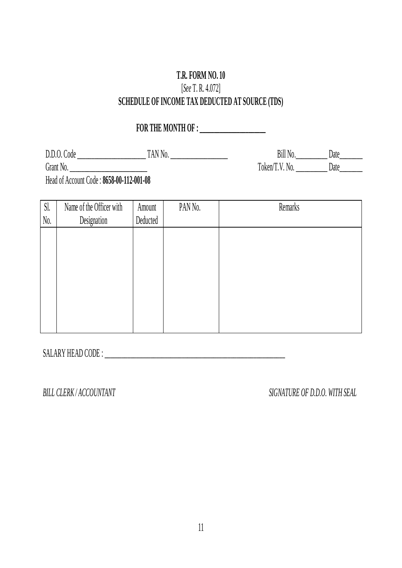# **T.R. FORM NO. 10**  [*See* T. R. 4.072] **SCHEDULE OF INCOME TAX DEDUCTED AT SOURCE (TDS)**

# **FOR THE MONTH OF : \_\_\_\_\_\_\_\_\_\_\_\_\_\_\_\_\_\_\_\_\_**

D.D.O. Code \_\_\_\_\_\_\_\_\_\_\_\_\_\_\_\_\_\_\_\_\_\_\_\_ TAN No. \_\_\_\_\_\_\_\_\_\_\_\_\_\_\_\_\_\_\_\_

Grant No. \_\_\_\_\_\_\_\_\_\_\_\_\_\_\_\_\_\_\_\_\_\_\_\_\_\_\_

Bill No.\_\_\_\_\_\_\_\_\_\_\_\_\_ Date\_\_\_\_\_\_\_\_\_ Token/T.V. No. \_\_\_\_\_\_\_\_\_\_\_ Date\_\_\_\_\_\_\_\_\_

Head of Account Code : **8658-00-112-001-08**

| Sl.<br>No. | Name of the Officer with<br>Designation | Amount<br>Deducted | PAN No. | Remarks |
|------------|-----------------------------------------|--------------------|---------|---------|
|            |                                         |                    |         |         |
|            |                                         |                    |         |         |
|            |                                         |                    |         |         |
|            |                                         |                    |         |         |
|            |                                         |                    |         |         |
|            |                                         |                    |         |         |

SALARY HEAD CODE : \_\_\_\_\_\_\_\_\_\_\_\_\_\_\_\_\_\_\_\_\_\_\_\_\_\_\_\_\_\_\_\_\_\_\_\_\_\_\_\_\_\_\_\_\_\_\_\_\_\_\_\_\_\_\_\_\_\_\_\_\_\_\_

*BILL CLERK / ACCOUNTANT SIGNATURE OF D.D.O. WITH SEAL*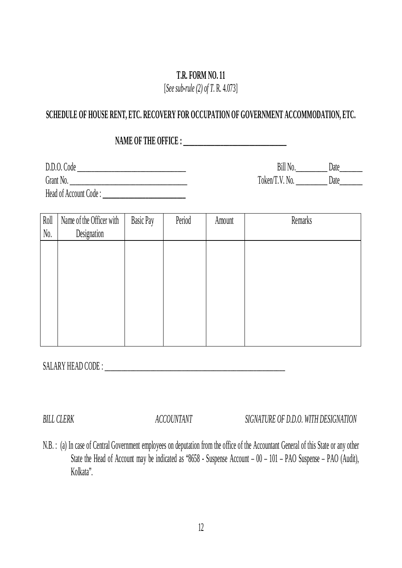[*See sub-rule (2) of T*. R. 4.073]

# **SCHEDULE OF HOUSE RENT, ETC. RECOVERY FOR OCCUPATION OF GOVERNMENT ACCOMMODATION, ETC.**

NAME OF THE OFFICE :

D.D.O. Code \_\_\_\_\_\_\_\_\_\_\_\_\_\_\_\_\_\_\_\_\_\_\_\_\_\_\_\_\_\_\_\_\_\_\_\_\_\_

Grant No. \_\_\_\_\_\_\_\_\_\_\_\_\_\_\_\_\_\_\_\_\_\_\_\_\_\_\_\_\_\_\_\_\_\_\_\_\_\_\_\_\_

Head of Account Code :

Bill No.\_\_\_\_\_\_\_\_\_\_\_\_\_\_\_ Date\_\_\_\_\_\_\_\_\_\_ Token/T.V. No. \_\_\_\_\_\_\_\_\_\_\_\_\_ Date\_\_\_\_\_\_\_\_

| Roll             | Name of the Officer with | <b>Basic Pay</b> | Period | Amount | Remarks |
|------------------|--------------------------|------------------|--------|--------|---------|
| $\mathrm{N}_0$ . | Designation              |                  |        |        |         |
|                  |                          |                  |        |        |         |
|                  |                          |                  |        |        |         |
|                  |                          |                  |        |        |         |
|                  |                          |                  |        |        |         |
|                  |                          |                  |        |        |         |
|                  |                          |                  |        |        |         |
|                  |                          |                  |        |        |         |
|                  |                          |                  |        |        |         |

SALARY HEAD CODE : \_\_\_\_\_\_\_\_\_\_\_\_\_\_\_\_\_\_\_\_\_\_\_\_\_\_\_\_\_\_\_\_\_\_\_\_\_\_\_\_\_\_\_\_\_\_\_\_\_\_\_\_\_\_\_\_\_\_\_\_\_\_\_

*BILL CLERK ACCOUNTANT SIGNATURE OF D.D.O. WITH DESIGNATION*

N.B. : (a) In case of Central Government employees on deputation from the office of the Accountant General of this State or any other State the Head of Account may be indicated as "8658 - Suspense Account – 00 – 101 – PAO Suspense – PAO (Audit), Kolkata".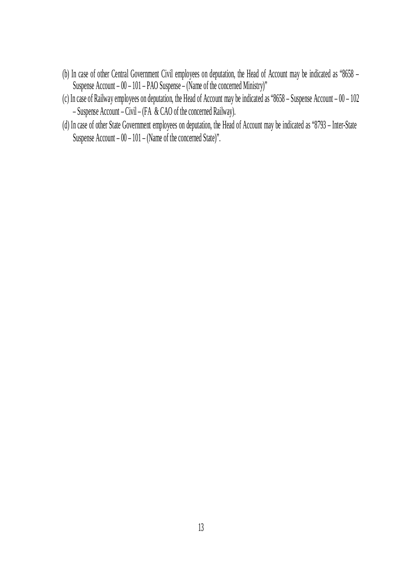- (b) In case of other Central Government Civil employees on deputation, the Head of Account may be indicated as "8658 Suspense Account – 00 – 101 – PAO Suspense – (Name of the concerned Ministry)"
- (c) In case of Railway employees on deputation, the Head of Account may be indicated as "8658 Suspense Account 00 102 – Suspense Account – Civil – (FA & CAO of the concerned Railway).
- (d) In case of other State Government employees on deputation, the Head of Account may be indicated as "8793 Inter-State Suspense Account – 00 – 101 – (Name of the concerned State)".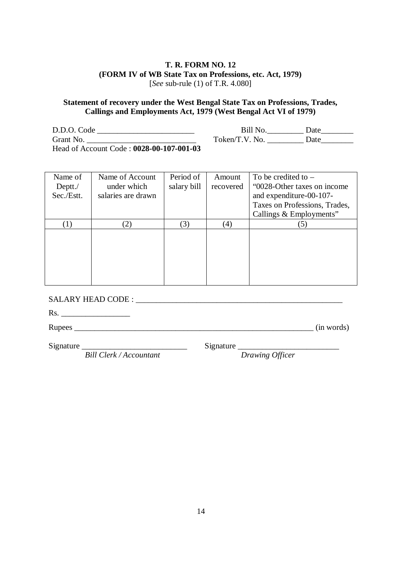#### **T. R. FORM NO. 12 (FORM IV of WB State Tax on Professions, etc. Act, 1979)** [*See* sub-rule (1) of T.R. 4.080]

#### **Statement of recovery under the West Bengal State Tax on Professions, Trades, Callings and Employments Act, 1979 (West Bengal Act VI of 1979)**

D.D.O. Code \_\_\_\_\_\_\_\_\_\_\_\_\_\_\_\_\_\_\_\_\_\_\_\_ Grant No. \_\_\_\_\_\_\_\_\_\_\_\_\_\_\_\_\_\_\_\_\_\_\_\_\_\_\_ Head of Account Code : **0028-00-107-001-03**

| Name of           | Name of Account    | Period of   | Amount    | To be credited to $-$         |
|-------------------|--------------------|-------------|-----------|-------------------------------|
| Deptt. $\sqrt{ }$ | under which        | salary bill | recovered | "0028-Other taxes on income"  |
| Sec./Estt.        | salaries are drawn |             |           | and expenditure-00-107-       |
|                   |                    |             |           | Taxes on Professions, Trades, |
|                   |                    |             |           | Callings & Employments"       |
|                   | (2)                | 3)          | (4)       | (5)                           |
|                   |                    |             |           |                               |
|                   |                    |             |           |                               |
|                   |                    |             |           |                               |
|                   |                    |             |           |                               |
|                   |                    |             |           |                               |
|                   |                    |             |           |                               |

SALARY HEAD CODE : \_\_\_\_\_\_\_\_\_\_\_\_\_\_\_\_\_\_\_\_\_\_\_\_\_\_\_\_\_\_\_\_\_\_\_\_\_\_\_\_\_\_\_\_\_\_\_\_\_\_\_

Rs. \_\_\_\_\_\_\_\_\_\_\_\_\_\_\_\_\_

Rupees \_\_\_\_\_\_\_\_\_\_\_\_\_\_\_\_\_\_\_\_\_\_\_\_\_\_\_\_\_\_\_\_\_\_\_\_\_\_\_\_\_\_\_\_\_\_\_\_\_\_\_\_\_\_\_\_\_\_\_ (in words)

Signature \_\_\_\_\_\_\_\_\_\_\_\_\_\_\_\_\_\_\_\_\_\_\_\_\_\_

Signature

*Bill Clerk / Accountant*

*Drawing Officer*

Bill No. \_\_\_\_\_\_\_\_\_\_\_\_ Date\_\_\_\_\_\_\_\_\_\_

Token/T.V. No. \_\_\_\_\_\_\_\_\_\_\_ Date\_\_\_\_\_\_\_\_\_\_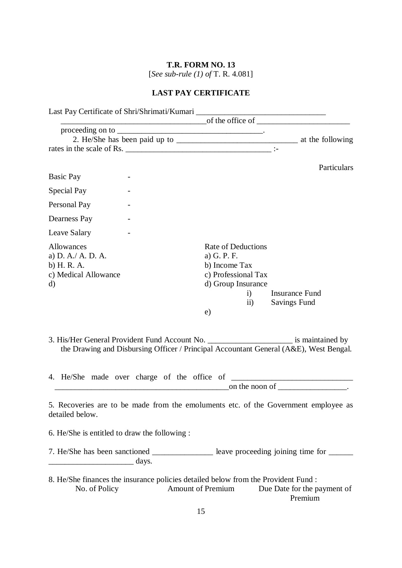# **T.R. FORM NO. 13** [*See sub-rule (1) of* T. R. 4.081]

# **LAST PAY CERTIFICATE**

| Last Pay Certificate of Shri/Shrimati/Kumari ___________________________________                   |                                                                                                                                                                                    |
|----------------------------------------------------------------------------------------------------|------------------------------------------------------------------------------------------------------------------------------------------------------------------------------------|
|                                                                                                    | $\overline{\phantom{a}}$ of the office of $\overline{\phantom{a}}$                                                                                                                 |
|                                                                                                    |                                                                                                                                                                                    |
|                                                                                                    |                                                                                                                                                                                    |
| rates in the scale of Rs.                                                                          |                                                                                                                                                                                    |
|                                                                                                    | Particulars                                                                                                                                                                        |
| Basic Pay                                                                                          |                                                                                                                                                                                    |
| Special Pay                                                                                        |                                                                                                                                                                                    |
| Personal Pay                                                                                       |                                                                                                                                                                                    |
| Dearness Pay                                                                                       |                                                                                                                                                                                    |
| Leave Salary                                                                                       |                                                                                                                                                                                    |
| <b>Allowances</b><br>a) D. A./ A. D. A.<br>b) H. R. A.<br>c) Medical Allowance<br>d)               | Rate of Deductions<br>a) G. P. F.<br>b) Income Tax<br>c) Professional Tax<br>d) Group Insurance<br><b>Insurance Fund</b><br>i)<br>$\mathbf{ii}$<br><b>Savings Fund</b><br>e)       |
|                                                                                                    | 3. His/Her General Provident Fund Account No. __________________________ is maintained by<br>the Drawing and Disbursing Officer / Principal Accountant General (A&E), West Bengal. |
|                                                                                                    |                                                                                                                                                                                    |
| detailed below.                                                                                    | 5. Recoveries are to be made from the emoluments etc. of the Government employee as                                                                                                |
| 6. He/She is entitled to draw the following :                                                      |                                                                                                                                                                                    |
| $\frac{1}{\sqrt{2}}$ days.                                                                         | 7. He/She has been sanctioned _______________ leave proceeding joining time for ______                                                                                             |
| 8. He/She finances the insurance policies detailed below from the Provident Fund:<br>No. of Policy | <b>Amount of Premium</b><br>Due Date for the payment of<br>Premium                                                                                                                 |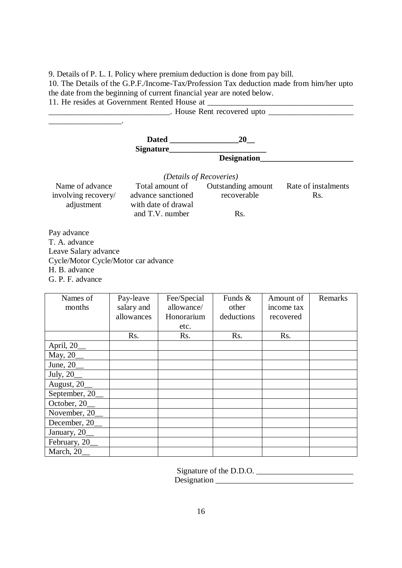9. Details of P. L. I. Policy where premium deduction is done from pay bill.

10. The Details of the G.P.F./Income-Tax/Profession Tax deduction made from him/her upto the date from the beginning of current financial year are noted below.

11. He resides at Government Rented House at \_\_\_\_\_\_\_\_\_\_\_\_\_\_\_\_\_\_\_\_\_\_\_\_\_\_\_\_\_\_\_\_\_\_\_\_

|                                                             |           |                                                              | 20                                |           |                            |  |
|-------------------------------------------------------------|-----------|--------------------------------------------------------------|-----------------------------------|-----------|----------------------------|--|
|                                                             |           |                                                              | Designation_                      |           |                            |  |
|                                                             |           |                                                              |                                   |           |                            |  |
|                                                             |           | <i>(Details of Recoveries)</i>                               |                                   |           |                            |  |
| Name of advance<br>involving recovery/<br>adjustment        |           | Total amount of<br>advance sanctioned<br>with date of drawal | Outstanding amount<br>recoverable |           | Rate of instalments<br>Rs. |  |
|                                                             |           | and T.V. number                                              | Rs.                               |           |                            |  |
| Pay advance<br>T. A. advance                                |           |                                                              |                                   |           |                            |  |
| Leave Salary advance<br>Cycle/Motor Cycle/Motor car advance |           |                                                              |                                   |           |                            |  |
| H. B. advance                                               |           |                                                              |                                   |           |                            |  |
| G. P. F. advance                                            |           |                                                              |                                   |           |                            |  |
| Names of                                                    | Pay-leave | Fee/Special                                                  | Funds &                           | Amount of | Remarks                    |  |

| inames of      | Pay-leave  | ree/Special | $r$ ulius $\alpha$ | Allioulit of | Remarks |
|----------------|------------|-------------|--------------------|--------------|---------|
| months         | salary and | allowance/  | other              | income tax   |         |
|                | allowances | Honorarium  | deductions         | recovered    |         |
|                |            | etc.        |                    |              |         |
|                | Rs.        | Rs.         | Rs.                | Rs.          |         |
| April, 20_     |            |             |                    |              |         |
| May, 20_       |            |             |                    |              |         |
| June, $20$     |            |             |                    |              |         |
| July, 20_      |            |             |                    |              |         |
| August, 20_    |            |             |                    |              |         |
| September, 20_ |            |             |                    |              |         |
| October, 20_   |            |             |                    |              |         |
| November, 20   |            |             |                    |              |         |
| December, 20   |            |             |                    |              |         |
| January, 20_   |            |             |                    |              |         |
| February, 20_  |            |             |                    |              |         |
| March, 20      |            |             |                    |              |         |

Signature of the D.D.O.

Designation \_\_\_\_\_\_\_\_\_\_\_\_\_\_\_\_\_\_\_\_\_\_\_\_\_\_\_\_\_\_\_\_\_\_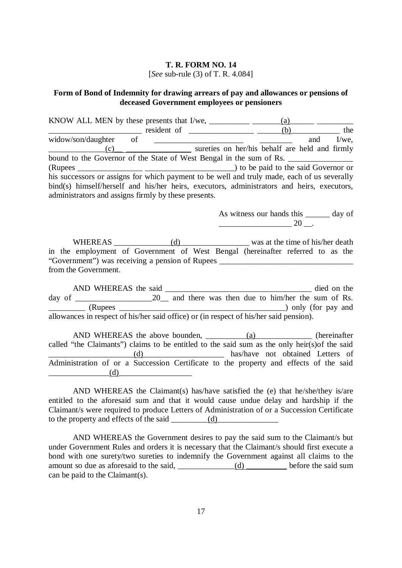#### **T. R. FORM NO. 14**  [*See* sub-rule (3) of T. R. 4.084]

#### **Form of Bond of Indemnity for drawing arrears of pay and allowances or pensions of deceased Government employees or pensioners**

KNOW ALL MEN by these presents that  $I/we$ , \_\_\_\_\_\_\_\_\_\_\_\_\_\_\_\_\_\_\_\_\_\_(a)\_\_\_\_\_\_\_\_\_\_\_\_\_  $\frac{\text{cylinder}}{\text{other}}$  resident of  $\frac{(b)}{\text{other}}$  and  $\frac{1}{\text{we}}$ , widow/son/daughter of \_\_\_\_\_\_\_\_\_\_\_\_\_\_\_\_\_\_\_\_\_\_\_\_\_\_\_\_\_\_ and I/we, \_\_\_\_\_\_\_\_\_\_\_\_\_\_(c)\_\_ \_\_\_\_\_\_\_\_\_\_\_\_\_\_\_\_ sureties on her/his behalf are held and firmly bound to the Governor of the State of West Bengal in the sum of Rs. (Rupees \_\_\_\_\_\_\_\_\_\_\_\_\_\_\_\_ \_\_\_\_\_\_\_\_\_\_\_\_\_\_\_\_\_\_\_\_\_\_) to be paid to the said Governor or his successors or assigns for which payment to be well and truly made, each of us severally bind(s) himself/herself and his/her heirs, executors, administrators and heirs, executors, administrators and assigns firmly by these presents.

> As witness our hands this \_\_\_\_\_\_ day of  $20 -$

WHEREAS \_\_\_\_\_\_\_\_\_\_\_\_\_\_(d) was at the time of his/her death in the employment of Government of West Bengal (hereinafter referred to as the "Government") was receiving a pension of Rupees \_\_\_\_\_\_\_\_\_\_\_\_\_\_\_\_\_\_\_\_\_\_\_\_\_\_\_\_\_\_\_\_\_ from the Government.

AND WHEREAS the said died on the day of \_\_\_\_\_\_\_\_\_\_\_\_\_\_\_\_\_\_\_20\_\_ and there was then due to him/her the sum of Rs. \_\_\_\_\_\_\_\_\_ (Rupees \_\_\_\_\_\_\_\_\_\_\_\_\_\_\_\_\_\_\_\_\_\_\_\_\_\_\_\_\_\_\_\_\_\_\_\_\_\_\_\_\_) only (for pay and allowances in respect of his/her said office) or (in respect of his/her said pension).

AND WHEREAS the above bounden, \_\_\_\_\_\_\_\_\_\_(a)\_\_\_\_\_\_\_\_\_\_\_\_\_\_ (hereinafter called "the Claimants") claims to be entitled to the said sum as the only heir(s)of the said \_\_\_\_\_\_\_\_\_\_\_\_\_\_\_\_\_\_\_\_\_(d)\_\_\_\_\_\_\_\_\_\_\_\_\_\_\_\_\_\_\_\_ has/have not obtained Letters of Administration of or a Succession Certificate to the property and effects of the said  $(d)$ 

AND WHEREAS the Claimant(s) has/have satisfied the (e) that he/she/they is/are entitled to the aforesaid sum and that it would cause undue delay and hardship if the Claimant/s were required to produce Letters of Administration of or a Succession Certificate to the property and effects of the said \_\_\_\_\_\_\_\_\_(d)\_\_\_\_\_\_\_\_\_\_\_\_\_\_\_

AND WHEREAS the Government desires to pay the said sum to the Claimant/s but under Government Rules and orders it is necessary that the Claimant/s should first execute a bond with one surety/two sureties to indemnify the Government against all claims to the amount so due as aforesaid to the said,  $\underline{\hspace{1cm}}$  (d)  $\underline{\hspace{1cm}}$  before the said sum can be paid to the Claimant(s).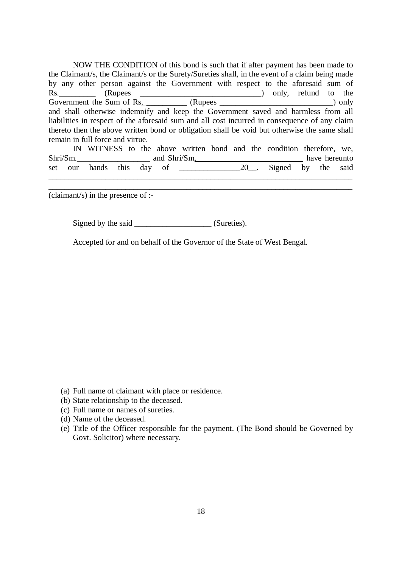NOW THE CONDITION of this bond is such that if after payment has been made to the Claimant/s, the Claimant/s or the Surety/Sureties shall, in the event of a claim being made by any other person against the Government with respect to the aforesaid sum of Rs. (Rupees \_\_\_\_\_\_\_\_\_\_\_\_\_\_\_\_\_\_\_\_\_\_\_\_\_\_\_\_\_\_\_\_\_) only, refund to the Government the Sum of Rs. \_\_\_\_\_\_\_\_\_\_ (Rupees \_\_\_\_\_\_\_\_\_\_\_\_\_\_\_\_\_\_\_\_\_\_\_\_\_\_\_\_) only and shall otherwise indemnify and keep the Government saved and harmless from all liabilities in respect of the aforesaid sum and all cost incurred in consequence of any claim thereto then the above written bond or obligation shall be void but otherwise the same shall remain in full force and virtue.

|  |                             |  |  |  |  | IN WITNESS to the above written bond and the condition therefore, we, |               |  |
|--|-----------------------------|--|--|--|--|-----------------------------------------------------------------------|---------------|--|
|  | $Shri/Sm$ . and $Shri/Sm$ . |  |  |  |  |                                                                       | have hereunto |  |
|  |                             |  |  |  |  | 20 Signed by the said                                                 |               |  |

\_\_\_\_\_\_\_\_\_\_\_\_\_\_\_\_\_\_\_\_\_\_\_\_\_\_\_\_\_\_\_\_\_\_\_\_\_\_\_\_\_\_\_\_\_\_\_\_\_\_\_\_\_\_\_\_\_\_\_\_\_\_\_\_\_\_\_\_\_\_\_\_\_\_\_

(claimant/s) in the presence of :-

Signed by the said (Sureties).

Accepted for and on behalf of the Governor of the State of West Bengal.

- (a) Full name of claimant with place or residence.
- (b) State relationship to the deceased.
- (c) Full name or names of sureties.
- (d) Name of the deceased.
- (e) Title of the Officer responsible for the payment. (The Bond should be Governed by Govt. Solicitor) where necessary.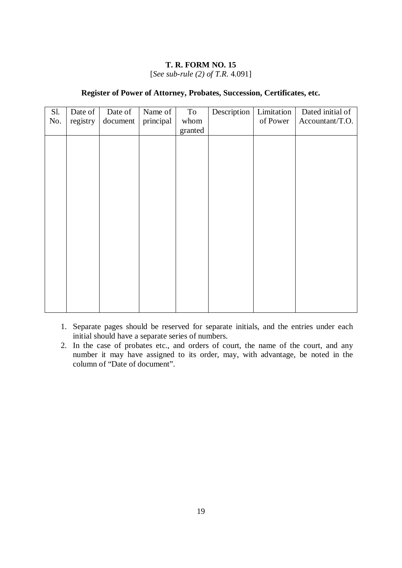[*See sub-rule (2) of T.R*. 4.091]

#### **Register of Power of Attorney, Probates, Succession, Certificates, etc.**

| Sl. | Date of  | Date of  | Name of   | To      | Description | Limitation | Dated initial of |
|-----|----------|----------|-----------|---------|-------------|------------|------------------|
| No. | registry | document | principal | whom    |             | of Power   | Accountant/T.O.  |
|     |          |          |           | granted |             |            |                  |
|     |          |          |           |         |             |            |                  |
|     |          |          |           |         |             |            |                  |
|     |          |          |           |         |             |            |                  |
|     |          |          |           |         |             |            |                  |
|     |          |          |           |         |             |            |                  |
|     |          |          |           |         |             |            |                  |
|     |          |          |           |         |             |            |                  |
|     |          |          |           |         |             |            |                  |
|     |          |          |           |         |             |            |                  |
|     |          |          |           |         |             |            |                  |
|     |          |          |           |         |             |            |                  |
|     |          |          |           |         |             |            |                  |
|     |          |          |           |         |             |            |                  |
|     |          |          |           |         |             |            |                  |
|     |          |          |           |         |             |            |                  |
|     |          |          |           |         |             |            |                  |
|     |          |          |           |         |             |            |                  |
|     |          |          |           |         |             |            |                  |
|     |          |          |           |         |             |            |                  |
|     |          |          |           |         |             |            |                  |

- 1. Separate pages should be reserved for separate initials, and the entries under each initial should have a separate series of numbers.
- 2. In the case of probates etc., and orders of court, the name of the court, and any number it may have assigned to its order, may, with advantage, be noted in the column of "Date of document".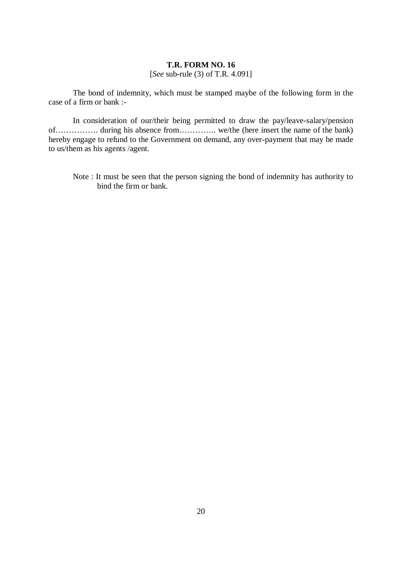#### **T.R. FORM NO. 16** [*See* sub-rule (3) of T.R. 4.091]

The bond of indemnity, which must be stamped maybe of the following form in the case of a firm or bank :-

In consideration of our/their being permitted to draw the pay/leave-salary/pension of……………. during his absence from………….. we/the (here insert the name of the bank) hereby engage to refund to the Government on demand, any over-payment that may be made to us/them as his agents /agent.

Note : It must be seen that the person signing the bond of indemnity has authority to bind the firm or bank.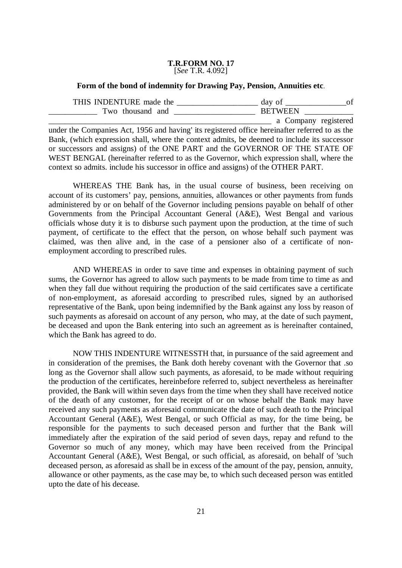#### **T.R.FORM NO. 17** [*See* T.R. 4.092]

#### **Form of the bond of indemnity for Drawing Pay, Pension, Annuities etc**.

| THIS INDENTURE made the | day of             |  |
|-------------------------|--------------------|--|
| Two thousand and        | <b>BETWEEN</b>     |  |
|                         | Company registered |  |

under the Companies Act, 1956 and having' its registered office hereinafter referred to as the Bank, (which expression shall, where the context admits, be deemed to include its successor or successors and assigns) of the ONE PART and the GOVERNOR OF THE STATE OF WEST BENGAL (hereinafter referred to as the Governor, which expression shall, where the context so admits. include his successor in office and assigns) of the OTHER PART.

WHEREAS THE Bank has, in the usual course of business, been receiving on account of its customers' pay, pensions, annuities, allowances or other payments from funds administered by or on behalf of the Governor including pensions payable on behalf of other Governments from the Principal Accountant General (A&E), West Bengal and various officials whose duty it is to disburse such payment upon the production, at the time of such payment, of certificate to the effect that the person, on whose behalf such payment was claimed, was then alive and, in the case of a pensioner also of a certificate of nonemployment according to prescribed rules.

AND WHEREAS in order to save time and expenses in obtaining payment of such sums, the Governor has agreed to allow such payments to be made from time to time as and when they fall due without requiring the production of the said certificates save a certificate of non-employment, as aforesaid according to prescribed rules, signed by an authorised representative of the Bank, upon being indemnified by the Bank against any loss by reason of such payments as aforesaid on account of any person, who may, at the date of such payment, be deceased and upon the Bank entering into such an agreement as is hereinafter contained, which the Bank has agreed to do.

NOW THIS INDENTURE WITNESSTH that, in pursuance of the said agreement and in consideration of the premises, the Bank doth hereby covenant with the Governor that .so long as the Governor shall allow such payments, as aforesaid, to be made without requiring the production of the certificates, hereinbefore referred to, subject nevertheless as hereinafter provided, the Bank will within seven days from the time when they shall have received notice of the death of any customer, for the receipt of or on whose behalf the Bank may have received any such payments as aforesaid communicate the date of such death to the Principal Accountant General (A&E), West Bengal, or such Official as may, for the time being, be responsible for the payments to such deceased person and further that the Bank will immediately after the expiration of the said period of seven days, repay and refund to the Governor so much of any money, which may have been received from the Principal Accountant General (A&E), West Bengal, or such official, as aforesaid, on behalf of 'such deceased person, as aforesaid as shall be in excess of the amount of the pay, pension, annuity, allowance or other payments, as the case may be, to which such deceased person was entitled upto the date of his decease.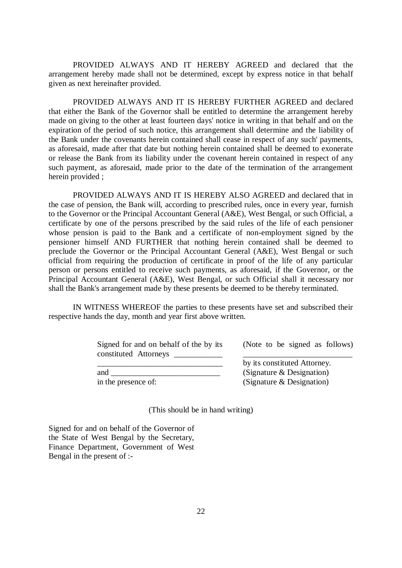PROVIDED ALWAYS AND IT HEREBY AGREED and declared that the arrangement hereby made shall not be determined, except by express notice in that behalf given as next hereinafter provided.

PROVIDED ALWAYS AND IT IS HEREBY FURTHER AGREED and declared that either the Bank of the Governor shall be entitled to determine the arrangement hereby made on giving to the other at least fourteen days' notice in writing in that behalf and on the expiration of the period of such notice, this arrangement shall determine and the liability of the Bank under the covenants herein contained shall cease in respect of any such' payments, as aforesaid, made after that date but nothing herein contained shall be deemed to exonerate or release the Bank from its liability under the covenant herein contained in respect of any such payment, as aforesaid, made prior to the date of the termination of the arrangement herein provided ;

PROVIDED ALWAYS AND IT IS HEREBY ALSO AGREED and declared that in the case of pension, the Bank will, according to prescribed rules, once in every year, furnish to the Governor or the Principal Accountant General (A&E), West Bengal, or such Official, a certificate by one of the persons prescribed by the said rules of the life of each pensioner whose pension is paid to the Bank and a certificate of non-employment signed by the pensioner himself AND FURTHER that nothing herein contained shall be deemed to preclude the Governor or the Principal Accountant General (A&E), West Bengal or such official from requiring the production of certificate in proof of the life of any particular person or persons entitled to receive such payments, as aforesaid, if the Governor, or the Principal Accountant General (A&E), West Bengal, or such Official shall it necessary nor shall the Bank's arrangement made by these presents be deemed to be thereby terminated.

IN WITNESS WHEREOF the parties to these presents have set and subscribed their respective hands the day, month and year first above written.

| Signed for and on behalf of the by its |  |
|----------------------------------------|--|
| constituted Attorneys ________         |  |
|                                        |  |
| and                                    |  |
| in the presence of:                    |  |

(Note to be signed as follows) \_\_\_\_\_\_\_\_\_\_\_\_\_\_\_\_\_\_\_\_\_\_\_\_\_\_\_

by its constituted Attorney. (Signature & Designation) (Signature & Designation)

(This should be in hand writing)

Signed for and on behalf of the Governor of the State of West Bengal by the Secretary, Finance Department, Government of West Bengal in the present of :-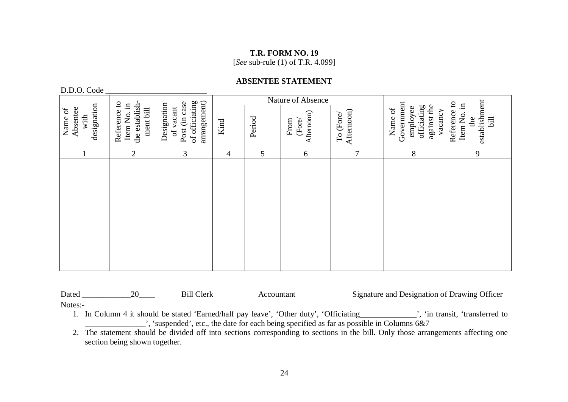[*See* sub-rule (1) of T.R. 4.099]

### **ABSENTEE STATEMENT**

D.D.O. Code

|                                            |                                                            |                                                                             |                |        | Nature of Absence            |                         |                                                                            | $\mathbf{c}$                                             |
|--------------------------------------------|------------------------------------------------------------|-----------------------------------------------------------------------------|----------------|--------|------------------------------|-------------------------|----------------------------------------------------------------------------|----------------------------------------------------------|
| designation<br>Absentee<br>Name of<br>with | Reference to<br>the establish-<br>Item No. in<br>ment bill | arrangement)<br>of officiating<br>Post (in case<br>Designation<br>of vacant | Kind           | Period | Afternoon)<br>From<br>(Fore/ | Afternoon)<br>To (Fore/ | Government<br>against the<br>officiating<br>employee<br>Name of<br>vacancy | establishment<br>Item No. in<br>Reference<br>bill<br>the |
|                                            | $\overline{2}$                                             | 3                                                                           | $\overline{4}$ | 5      | 6                            | 7                       | $8\,$                                                                      | 9                                                        |
|                                            |                                                            |                                                                             |                |        |                              |                         |                                                                            |                                                          |

| Dated  | ⊡erk |                                                                                                                                                                                                                                                                                                                                                     | Signature and Designation of Drawing Officer |  |
|--------|------|-----------------------------------------------------------------------------------------------------------------------------------------------------------------------------------------------------------------------------------------------------------------------------------------------------------------------------------------------------|----------------------------------------------|--|
| Notes: |      |                                                                                                                                                                                                                                                                                                                                                     |                                              |  |
|        |      | $\mathbf{L} \cdot \mathbf{C}$ , $\mathbf{L}$ , $\mathbf{L}$ , $\mathbf{L}$ , $\mathbf{L}$ , $\mathbf{L}$ , $\mathbf{L}$ , $\mathbf{L}$ , $\mathbf{L}$ , $\mathbf{L}$ , $\mathbf{L}$ , $\mathbf{L}$ , $\mathbf{L}$ , $\mathbf{L}$ , $\mathbf{L}$ , $\mathbf{L}$ , $\mathbf{L}$ , $\mathbf{L}$ , $\mathbf{L}$ , $\mathbf{L}$ , $\mathbf{L}$ , $\math$ |                                              |  |

1. In Column 4 it should be stated 'Earned/half pay leave', 'Other duty', 'Officiating\_\_\_\_\_\_\_\_\_\_\_\_\_\_', 'in transit, 'transferred to  $\Box$ , 'suspended', etc., the date for each being specified as far as possible in Columns 6&7

<sup>2.</sup> The statement should be divided off into sections corresponding to sections in the bill. Only those arrangements affecting one section being shown together.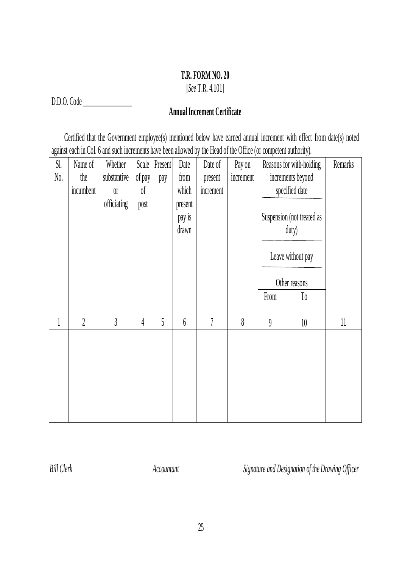[*See* T.R. 4.101]

D.D.O. Code \_\_\_\_\_\_\_\_\_\_\_\_\_\_\_\_\_

# **Annual Increment Certificate**

Certified that the Government employee(s) mentioned below have earned annual increment with effect from date(s) noted against each in Col. 6 and such increments have been allowed by the Head of the Office (or competent authority).

| Sl.          | Name of        | Whether     |                | Scale Present | Date             | Date of   | Pay on                     |          | Reasons for with-holding   | Remarks |
|--------------|----------------|-------------|----------------|---------------|------------------|-----------|----------------------------|----------|----------------------------|---------|
| No.          | the            | substantive | of pay         | pay           | from             | present   | increment                  |          | increments beyond          |         |
|              | incumbent      | $0^{\circ}$ | 0 <sup>f</sup> |               | which            | increment |                            |          | specified date             |         |
|              |                | officiating | post           |               | present          |           |                            |          |                            |         |
|              |                |             |                |               | pay is           |           |                            |          | Suspension (not treated as |         |
|              |                |             |                |               | drawn            |           |                            |          | duty)                      |         |
|              |                |             |                |               |                  |           |                            |          |                            |         |
|              |                |             |                |               |                  |           |                            |          | Leave without pay          |         |
|              |                |             |                |               |                  |           |                            |          |                            |         |
|              |                |             |                |               |                  |           |                            |          | Other reasons              |         |
|              |                |             |                |               |                  |           |                            | From     | T <sub>0</sub>             |         |
|              |                |             |                |               |                  |           |                            |          |                            |         |
| $\mathbf{1}$ | $\overline{2}$ | 3           | $\overline{4}$ | 5             | $\boldsymbol{6}$ | 7         | $\boldsymbol{\mathcal{S}}$ | $\theta$ | 10                         | 11      |
|              |                |             |                |               |                  |           |                            |          |                            |         |
|              |                |             |                |               |                  |           |                            |          |                            |         |
|              |                |             |                |               |                  |           |                            |          |                            |         |
|              |                |             |                |               |                  |           |                            |          |                            |         |
|              |                |             |                |               |                  |           |                            |          |                            |         |
|              |                |             |                |               |                  |           |                            |          |                            |         |
|              |                |             |                |               |                  |           |                            |          |                            |         |

*Bill Clerk Accountant Signature and Designation of the Drawing Officer*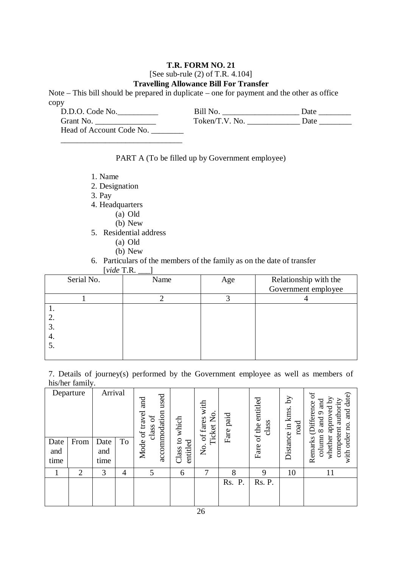### [See sub-rule (2) of T.R. 4.104]

#### **Travelling Allowance Bill For Transfer**

Note – This bill should be prepared in duplicate – one for payment and the other as office copy

| D.D.O. Code No.          | Bill No.       | Date |
|--------------------------|----------------|------|
| Grant No.                | Token/T.V. No. | Date |
| Head of Account Code No. |                |      |

### PART A (To be filled up by Government employee)

- 1. Name
- 2. Designation
- 3. Pay
- 4. Headquarters

\_\_\_\_\_\_\_\_\_\_\_\_\_\_\_\_\_\_\_\_\_\_\_\_\_\_\_\_\_\_

- (a) Old
- $(b)$  New
- 5. Residential address
	- (a) Old
	- (b) New
- 6. Particulars of the members of the family as on the date of transfer

| [ $video$ T.R. |  |  |
|----------------|--|--|
|----------------|--|--|

| Serial No. | Name | Age | Relationship with the |
|------------|------|-----|-----------------------|
|            |      |     | Government employee   |
|            |      |     |                       |
| . .        |      |     |                       |
| 2.         |      |     |                       |
| 3.         |      |     |                       |
| 4.         |      |     |                       |
| 5.         |      |     |                       |
|            |      |     |                       |

7. Details of journey(s) performed by the Government employee as well as members of his/her family.

|                     | Departure      | Arrival             |                | used<br>and<br>accommodation<br>Mode of travel<br>$\mathfrak{b}$<br>class | which                | with<br>Ticket No<br>No. of fares | Fare paid | entitled<br>class<br>of the | λÁ<br>Distance in kms.<br>road | $\mathfrak{b}$<br>and date)<br>whether approved by<br>competent authority<br>$_{\rm rad}$<br><b>Difference</b><br>$\sigma$<br>ad<br>$\infty$ |
|---------------------|----------------|---------------------|----------------|---------------------------------------------------------------------------|----------------------|-----------------------------------|-----------|-----------------------------|--------------------------------|----------------------------------------------------------------------------------------------------------------------------------------------|
| Date<br>and<br>time | From           | Date<br>and<br>time | To             |                                                                           | Class to<br>entitled |                                   |           | Fare                        |                                | with order no.<br>column<br>Remarks                                                                                                          |
|                     | $\overline{2}$ | 3                   | $\overline{4}$ | 5                                                                         | 6                    | 7                                 | 8         | 9                           | 10                             | 11                                                                                                                                           |
|                     |                |                     |                |                                                                           |                      |                                   | Rs.<br>P. | Rs. P.                      |                                |                                                                                                                                              |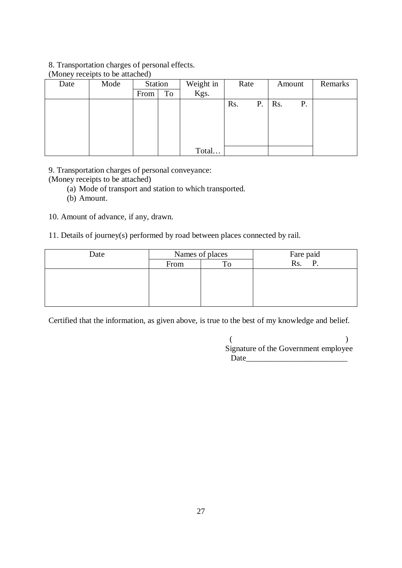#### 8. Transportation charges of personal effects.

| Date | $\mu$ one $\mu$ receipts to be attached.<br>Mode | Station |    | Weight in | Rate |    | Amount |    | Remarks |
|------|--------------------------------------------------|---------|----|-----------|------|----|--------|----|---------|
|      |                                                  | From    | To | Kgs.      |      |    |        |    |         |
|      |                                                  |         |    |           | Rs.  | Ρ. | Rs.    | Ρ. |         |
|      |                                                  |         |    |           |      |    |        |    |         |
|      |                                                  |         |    |           |      |    |        |    |         |
|      |                                                  |         |    |           |      |    |        |    |         |
|      |                                                  |         |    |           |      |    |        |    |         |
|      |                                                  |         |    | Total     |      |    |        |    |         |

### (Money receipts to be attached)

9. Transportation charges of personal conveyance:

(Money receipts to be attached)

- (a) Mode of transport and station to which transported.
- (b) Amount.

10. Amount of advance, if any, drawn.

11. Details of journey(s) performed by road between places connected by rail.

| Date |      | Names of places | Fare paid                    |
|------|------|-----------------|------------------------------|
|      | From |                 | $\overline{\text{Rs.}}$<br>D |
|      |      |                 |                              |
|      |      |                 |                              |
|      |      |                 |                              |
|      |      |                 |                              |

Certified that the information, as given above, is true to the best of my knowledge and belief.

| Signature of the Government employee |  |
|--------------------------------------|--|
| Date                                 |  |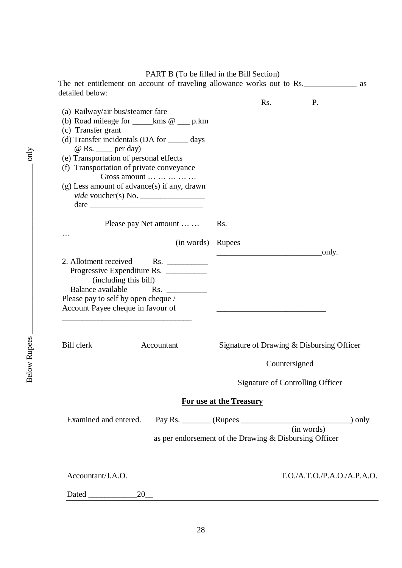#### PART B (To be filled in the Bill Section)

| <b>PANT D</b> (10 DE IMEG IN THE DIN SECTION)                                |
|------------------------------------------------------------------------------|
| The net entitlement on account of traveling allowance works out to Rs.<br>as |
| Rs.<br>P.                                                                    |
|                                                                              |
|                                                                              |
|                                                                              |
|                                                                              |
|                                                                              |
|                                                                              |
|                                                                              |
|                                                                              |
|                                                                              |
| Rs.                                                                          |
|                                                                              |
| (in words) Rupees                                                            |
| $\overline{\phantom{a}}$ only.                                               |
|                                                                              |
|                                                                              |
|                                                                              |
|                                                                              |
|                                                                              |
|                                                                              |
| Signature of Drawing & Disbursing Officer                                    |
| Countersigned                                                                |
| <b>Signature of Controlling Officer</b>                                      |
| For use at the Treasury                                                      |
|                                                                              |
|                                                                              |
| as per endorsement of the Drawing & Disbursing Officer                       |
|                                                                              |
| T.O.A.T.O.P.A.O./A.P.A.O.                                                    |
|                                                                              |
| (b) Road mileage for $\_\_\_\$ kms $\omega_{\_\_\}$ p.km                     |

only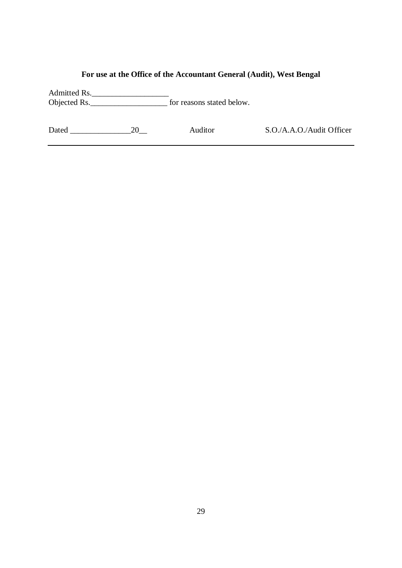# **For use at the Office of the Accountant General (Audit), West Bengal**

Admitted Rs. Objected Rs.\_\_\_\_\_\_\_\_\_\_\_\_\_\_\_\_\_\_\_ for reasons stated below.

|  | Dated | า∩ |
|--|-------|----|
|--|-------|----|

Auditor S.O./A.A.O./Audit Officer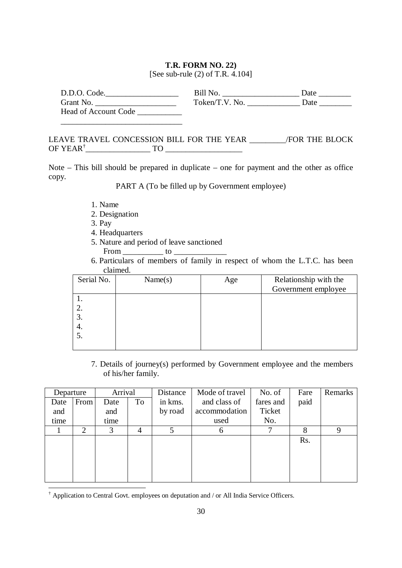#### **T.R. FORM NO. 22)**

[See sub-rule (2) of T.R. 4.104]

| D.D.O. Code.         | Bill No.       | Date |
|----------------------|----------------|------|
| Grant No.            | Token/T.V. No. | Date |
| Head of Account Code |                |      |

### LEAVE TRAVEL CONCESSION BILL FOR THE YEAR \_\_\_\_\_\_\_\_\_/FOR THE BLOCK OF YEAR† \_\_\_\_\_\_\_\_\_\_\_\_\_\_\_\_ TO \_\_\_\_\_\_\_\_\_\_\_\_\_\_\_\_\_\_\_

Note – This bill should be prepared in duplicate – one for payment and the other as office copy.

PART A (To be filled up by Government employee)

- 1. Name
- 2. Designation

\_\_\_\_\_\_\_\_\_\_\_\_\_\_\_\_\_\_\_\_\_\_\_\_\_\_\_\_\_\_

3. Pay

 $\overline{a}$ 

- 4. Headquarters
- 5. Nature and period of leave sanctioned

From \_\_\_\_\_\_\_\_\_\_\_\_\_\_\_ to \_

6. Particulars of members of family in respect of whom the L.T.C. has been claimed.

| Serial No. | Name(s) | Age | Relationship with the |
|------------|---------|-----|-----------------------|
|            |         |     | Government employee   |
|            |         |     |                       |
|            |         |     |                       |
| 3.         |         |     |                       |
| 4.         |         |     |                       |
|            |         |     |                       |
|            |         |     |                       |

7. Details of journey(s) performed by Government employee and the members of his/her family.

| Departure |                | Arrival |    | Distance | Mode of travel | No. of    | Fare | Remarks |
|-----------|----------------|---------|----|----------|----------------|-----------|------|---------|
| Date      | From           | Date    | To | in kms.  | and class of   | fares and | paid |         |
| and       |                | and     |    | by road  | accommodation  | Ticket    |      |         |
| time      |                | time    |    |          | used           | No.       |      |         |
|           | $\overline{2}$ | 3       |    |          |                |           |      | Ч       |
|           |                |         |    |          |                |           | Rs.  |         |
|           |                |         |    |          |                |           |      |         |
|           |                |         |    |          |                |           |      |         |
|           |                |         |    |          |                |           |      |         |
|           |                |         |    |          |                |           |      |         |

<sup>†</sup> Application to Central Govt. employees on deputation and / or All India Service Officers.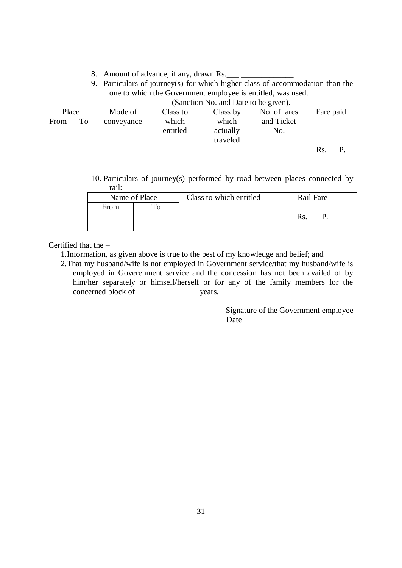- 8. Amount of advance, if any, drawn Rs.
- 9. Particulars of journey(s) for which higher class of accommodation than the one to which the Government employee is entitled, was used. (Sanction No. and Date to be given).

| Place |    | Mode of    | Class to | Class by | No. of fares | Fare paid |
|-------|----|------------|----------|----------|--------------|-----------|
| From  | To | conveyance | which    | which    | and Ticket   |           |
|       |    |            | entitled | actually | No.          |           |
|       |    |            |          | traveled |              |           |
|       |    |            |          |          |              | Rs.       |
|       |    |            |          |          |              |           |

10. Particulars of journey(s) performed by road between places connected by rail:

| Name of Place |  | Class to which entitled | Rail Fare |
|---------------|--|-------------------------|-----------|
| From          |  |                         |           |
|               |  |                         |           |
|               |  |                         |           |

## Certified that the –

1.Information, as given above is true to the best of my knowledge and belief; and

2.That my husband/wife is not employed in Government service/that my husband/wife is employed in Goverenment service and the concession has not been availed of by him/her separately or himself/herself or for any of the family members for the concerned block of \_\_\_\_\_\_\_\_\_\_\_\_\_\_\_ years.

> Signature of the Government employee Date \_\_\_\_\_\_\_\_\_\_\_\_\_\_\_\_\_\_\_\_\_\_\_\_\_\_\_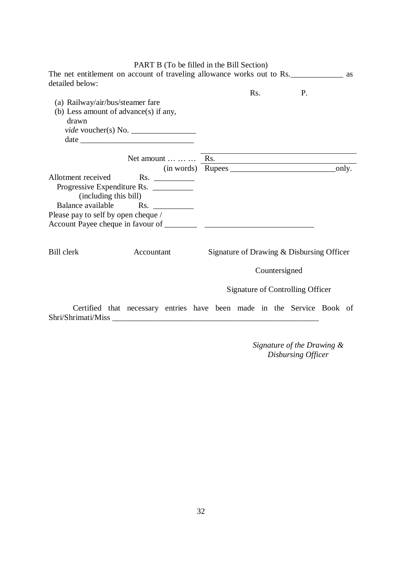|                                       | PART B (To be filled in the Bill Section)                                             |                                           |               |                                  |  |
|---------------------------------------|---------------------------------------------------------------------------------------|-------------------------------------------|---------------|----------------------------------|--|
| detailed below:                       | The net entitlement on account of traveling allowance works out to Rs.                |                                           |               |                                  |  |
|                                       |                                                                                       | Rs.                                       |               | P.                               |  |
| (a) Railway/air/bus/steamer fare      |                                                                                       |                                           |               |                                  |  |
| (b) Less amount of advance(s) if any, |                                                                                       |                                           |               |                                  |  |
| drawn                                 |                                                                                       |                                           |               |                                  |  |
|                                       | <i>vide</i> voucher(s) No. $\_\_\_\_\_\_\_\_\_\_\_\_\_\_\_\_\_\_\_\_\_\_\_\_\_\_\_\_$ |                                           |               |                                  |  |
|                                       |                                                                                       |                                           |               |                                  |  |
|                                       |                                                                                       |                                           |               |                                  |  |
|                                       | Net amount $\dots \dots \dots$ Rs.                                                    |                                           |               |                                  |  |
|                                       |                                                                                       |                                           |               |                                  |  |
| Allotment received                    | $\mathsf{Rs.}$                                                                        |                                           |               |                                  |  |
|                                       | Progressive Expenditure Rs.                                                           |                                           |               |                                  |  |
| (including this bill)                 |                                                                                       |                                           |               |                                  |  |
|                                       | Balance available Rs.                                                                 |                                           |               |                                  |  |
| Please pay to self by open cheque /   |                                                                                       |                                           |               |                                  |  |
|                                       |                                                                                       |                                           |               |                                  |  |
|                                       |                                                                                       |                                           |               |                                  |  |
| <b>Bill</b> clerk                     | Accountant                                                                            | Signature of Drawing & Disbursing Officer |               |                                  |  |
|                                       |                                                                                       |                                           |               |                                  |  |
|                                       |                                                                                       |                                           | Countersigned |                                  |  |
|                                       |                                                                                       |                                           |               | Signature of Controlling Officer |  |
|                                       |                                                                                       |                                           |               |                                  |  |
|                                       | Certified that necessary entries have been made in the Service Book of                |                                           |               |                                  |  |
|                                       | Shri/Shrimati/Miss                                                                    |                                           |               |                                  |  |
|                                       |                                                                                       |                                           |               |                                  |  |
|                                       |                                                                                       |                                           |               |                                  |  |

*Signature of the Drawing & Disbursing Officer*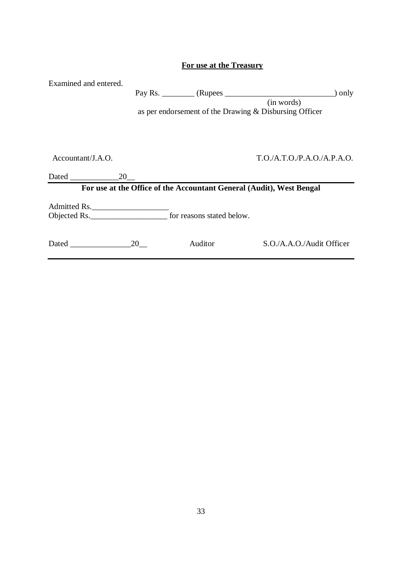| Examined and entered.         |    | as per endorsement of the Drawing & Disbursing Officer               | ) only<br>(in words)      |
|-------------------------------|----|----------------------------------------------------------------------|---------------------------|
| Accountant/J.A.O.<br>Dated 20 |    |                                                                      | T.O.A.T.O.P.A.O./A.P.A.O. |
|                               |    | For use at the Office of the Accountant General (Audit), West Bengal |                           |
| Admitted Rs.                  |    |                                                                      |                           |
|                               | 20 | Auditor                                                              | S.O./A.A.O./Audit Officer |

### **For use at the Treasury**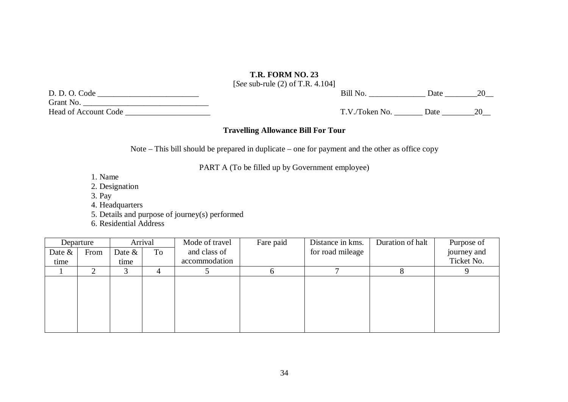[*See* sub-rule (2) of T.R. 4.104]

| D. D. O. Code               |  |
|-----------------------------|--|
| Grant No.                   |  |
| <b>Head of Account Code</b> |  |

Head of Account Code \_\_\_\_\_\_\_\_\_\_\_\_\_\_\_\_\_\_\_\_\_ T.V./Token No. \_\_\_\_\_\_\_ Date \_\_\_\_\_\_\_\_20\_\_

D. D. O. Code \_\_\_\_\_\_\_\_\_\_\_\_\_\_\_\_\_\_\_\_\_\_\_\_\_Bill No. \_\_\_\_\_\_\_\_\_\_\_\_\_\_ Date \_\_\_\_\_\_\_\_20\_\_

#### **Travelling Allowance Bill For Tour**

Note – This bill should be prepared in duplicate – one for payment and the other as office copy

PART A (To be filled up by Government employee)

- 1. Name
- 2. Designation
- 3. Pay
- 4. Headquarters
- 5. Details and purpose of journey(s) performed
- 6. Residential Address

|           | Departure |           | Arrival | Mode of travel | Fare paid | Distance in kms. | Duration of halt | Purpose of  |
|-----------|-----------|-----------|---------|----------------|-----------|------------------|------------------|-------------|
| Date $\&$ | From      | Date $\&$ | To      | and class of   |           | for road mileage |                  | journey and |
| time      |           | time      |         | accommodation  |           |                  |                  | Ticket No.  |
|           |           |           |         |                |           |                  |                  |             |
|           |           |           |         |                |           |                  |                  |             |
|           |           |           |         |                |           |                  |                  |             |
|           |           |           |         |                |           |                  |                  |             |
|           |           |           |         |                |           |                  |                  |             |
|           |           |           |         |                |           |                  |                  |             |
|           |           |           |         |                |           |                  |                  |             |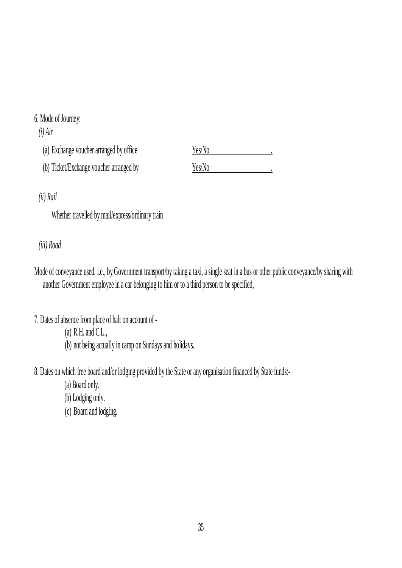# 6. Mode of Journey:

*(i) Air*

| (a) Exchange voucher arranged by office | Yes/No |  |
|-----------------------------------------|--------|--|
| (b) Ticket/Exchange voucher arranged by | Yes/No |  |

*(ii) Rail*

Whether travelled by mail/express/ordinary train

*(iii) Road* 

- Mode of conveyance used. i.e., by Government transport/by taking a taxi, a single seat in a bus or other public conveyance/by sharing with another Government employee in a car belonging to him or to a third person to be specified,
- 7. Dates of absence from place of halt on account of
	- (a) R.H. and C.L.,
	- (b) not being actually in camp on Sundays and holidays.
- 8. Dates on which free board and/or lodging provided by the State or any organisation financed by State funds:-
	- (a) Board only.
	- (b) Lodging only.
	- (c) Board and lodging.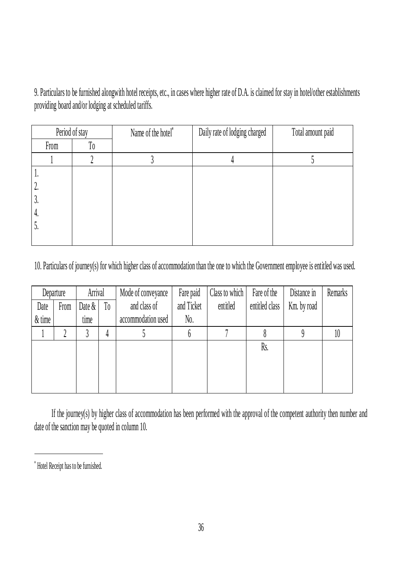9. Particulars to be furnished alongwith hotel receipts, etc., in cases where higher rate of D.A. is claimed for stay in hotel/other establishments providing board and/or lodging at scheduled tariffs.

| Period of stay         |  | Name of the hotel* | Daily rate of lodging charged | Total amount paid |  |
|------------------------|--|--------------------|-------------------------------|-------------------|--|
| T <sub>0</sub><br>From |  |                    |                               |                   |  |
|                        |  |                    |                               |                   |  |
| 1.                     |  |                    |                               |                   |  |
| ٠.                     |  |                    |                               |                   |  |
| J.                     |  |                    |                               |                   |  |
| 4.                     |  |                    |                               |                   |  |
| J.                     |  |                    |                               |                   |  |
|                        |  |                    |                               |                   |  |

10. Particulars of journey(s) for which higher class of accommodation than the one to which the Government employee is entitled was used.

| Departure |      | Arrival   |                | Mode of conveyance | Fare paid         | Class to which | Fare of the    | Distance in | Remarks |
|-----------|------|-----------|----------------|--------------------|-------------------|----------------|----------------|-------------|---------|
| Date      | From | Date $\&$ | T <sub>0</sub> | and class of       | and Ticket        | entitled       | entitled class | Km. by road |         |
| $&$ time  |      | time      |                | accommodation used | $\mathcal{N}_0$ . |                |                |             |         |
|           |      |           |                |                    |                   |                |                |             | 10      |
|           |      |           |                |                    |                   |                | Rs.            |             |         |
|           |      |           |                |                    |                   |                |                |             |         |
|           |      |           |                |                    |                   |                |                |             |         |
|           |      |           |                |                    |                   |                |                |             |         |

If the journey(s) by higher class of accommodation has been performed with the approval of the competent authority then number and date of the sanction may be quoted in column 10.

i

 Hotel Receipt has to be furnished.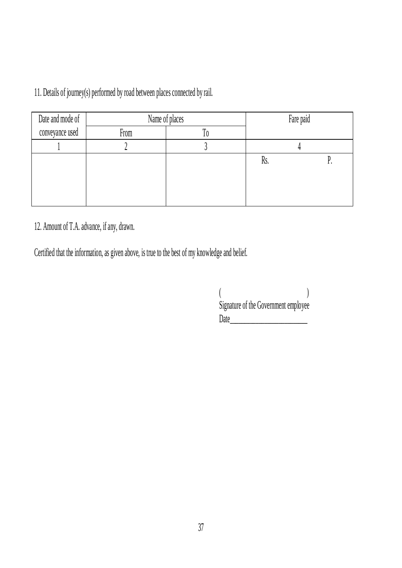11. Details of journey(s) performed by road between places connected by rail.

| Date and mode of | Name of places | Fare paid |     |  |  |
|------------------|----------------|-----------|-----|--|--|
| conveyance used  | From           | 10        |     |  |  |
|                  |                |           |     |  |  |
|                  |                |           | KS. |  |  |
|                  |                |           |     |  |  |
|                  |                |           |     |  |  |
|                  |                |           |     |  |  |

12. Amount of T.A. advance, if any, drawn.

Certified that the information, as given above, is true to the best of my knowledge and belief.

| Signature of the Government employee |  |
|--------------------------------------|--|
| Date                                 |  |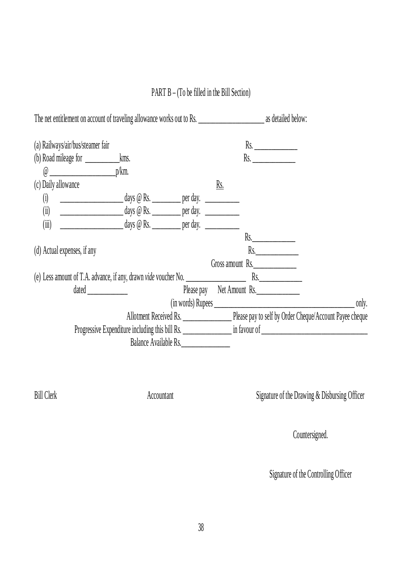# PART B – (To be filled in the Bill Section)

| The net entitlement on account of traveling allowance works out to Rs.                                                                                                                                                        | as detailed below:                              |
|-------------------------------------------------------------------------------------------------------------------------------------------------------------------------------------------------------------------------------|-------------------------------------------------|
| (a) Railways/air/bus/steamer fair                                                                                                                                                                                             | Rs.                                             |
|                                                                                                                                                                                                                               | Rs.                                             |
| $\omega$ p/km.                                                                                                                                                                                                                |                                                 |
| (c) Daily allowance                                                                                                                                                                                                           | Rs.                                             |
| <u>___________________</u> ____________days @ Rs. _______________ per day. _____________<br>(i)                                                                                                                               |                                                 |
| (ii)                                                                                                                                                                                                                          |                                                 |
| (iii)                                                                                                                                                                                                                         |                                                 |
|                                                                                                                                                                                                                               | Rs.                                             |
| (d) Actual expenses, if any                                                                                                                                                                                                   | Rs.                                             |
|                                                                                                                                                                                                                               | Gross amount Rs.                                |
|                                                                                                                                                                                                                               |                                                 |
| dated and the contract of the contract of the contract of the contract of the contract of the contract of the contract of the contract of the contract of the contract of the contract of the contract of the contract of the | Please pay Net Amount Rs.                       |
|                                                                                                                                                                                                                               |                                                 |
|                                                                                                                                                                                                                               |                                                 |
|                                                                                                                                                                                                                               | Progressive Expenditure including this bill Rs. |
| Balance Available Rs.                                                                                                                                                                                                         |                                                 |

Bill Clerk Accountant Accountant Signature of the Drawing & Disbursing Officer

Countersigned.

Signature of the Controlling Officer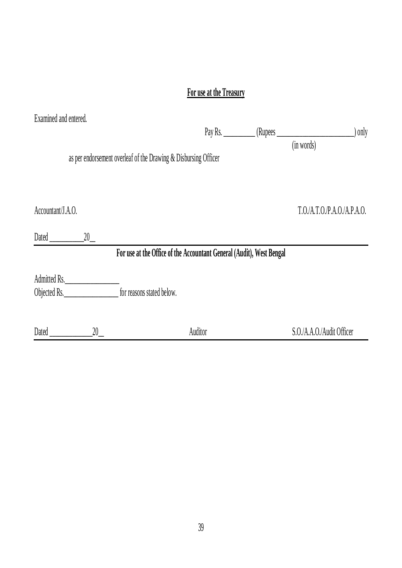# **For use at the Treasury**

| Examined and entered. |              |                                                                      |                             |
|-----------------------|--------------|----------------------------------------------------------------------|-----------------------------|
|                       |              |                                                                      | $\int$ only                 |
|                       |              | as per endorsement overleaf of the Drawing & Disbursing Officer      | (in words)                  |
| Accountant/J.A.O.     |              |                                                                      | T.O./A.T.O./P.A.O./A.P.A.O. |
| Dated                 | 20           |                                                                      |                             |
|                       |              | For use at the Office of the Accountant General (Audit), West Bengal |                             |
| Objected Rs.          | Admitted Rs. | for reasons stated below.                                            |                             |
| Dated                 | 20           | Auditor                                                              | S.O./A.A.O./Audit Officer   |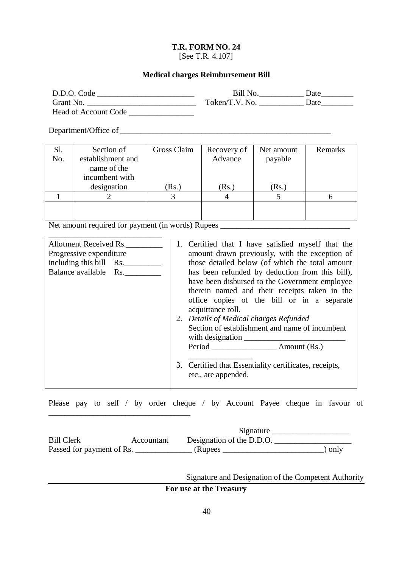[See T.R. 4.107]

#### **Medical charges Reimbursement Bill**

| D.D.O. Code          | Bill No.       | Date |
|----------------------|----------------|------|
| Grant No.            | Token/T.V. No. | Date |
| Head of Account Code |                |      |

Department/Office of \_\_\_\_\_\_\_\_\_\_\_\_\_\_\_\_\_\_\_\_\_\_\_\_\_\_\_\_\_\_\_\_\_\_\_\_\_\_\_\_\_\_\_\_\_\_\_\_\_\_\_\_

| Sl. | Section of        | Gross Claim | Recovery of | Net amount | Remarks |
|-----|-------------------|-------------|-------------|------------|---------|
| No. | establishment and |             | Advance     | payable    |         |
|     | name of the       |             |             |            |         |
|     | incumbent with    |             |             |            |         |
|     | designation       | (Rs.)       | (Rs.)       | (Rs.)      |         |
|     |                   |             |             |            |         |
|     |                   |             |             |            |         |
|     |                   |             |             |            |         |

Net amount required for payment (in words) Rupees \_\_\_\_\_\_\_\_\_\_\_\_\_\_\_\_\_\_\_\_\_\_\_\_\_\_\_\_\_\_\_\_

\_\_\_\_\_\_\_\_\_\_\_\_\_\_\_\_\_\_\_\_\_\_\_\_\_\_\_\_\_\_\_\_\_\_\_

| Allotment Received Rs.  | 1. | Certified that I have satisfied myself that the        |
|-------------------------|----|--------------------------------------------------------|
| Progressive expenditure |    | amount drawn previously, with the exception of         |
| including this bill Rs. |    | those detailed below (of which the total amount        |
| Balance available Rs.   |    | has been refunded by deduction from this bill),        |
|                         |    | have been disbursed to the Government employee         |
|                         |    | therein named and their receipts taken in the          |
|                         |    | office copies of the bill or in a separate             |
|                         |    | acquittance roll.                                      |
|                         |    | 2. Details of Medical charges Refunded                 |
|                         |    | Section of establishment and name of incumbent         |
|                         |    | with designation                                       |
|                         |    |                                                        |
|                         |    |                                                        |
|                         |    | 3. Certified that Essentiality certificates, receipts, |
|                         |    | etc., are appended.                                    |
|                         |    |                                                        |

Please pay to self / by order cheque / by Account Payee cheque in favour of

|                           |            | Signature                 |      |
|---------------------------|------------|---------------------------|------|
| <b>Bill Clerk</b>         | Accountant | Designation of the D.D.O. |      |
| Passed for payment of Rs. |            | (Rupees)                  | only |

Signature and Designation of the Competent Authority

### **For use at the Treasury**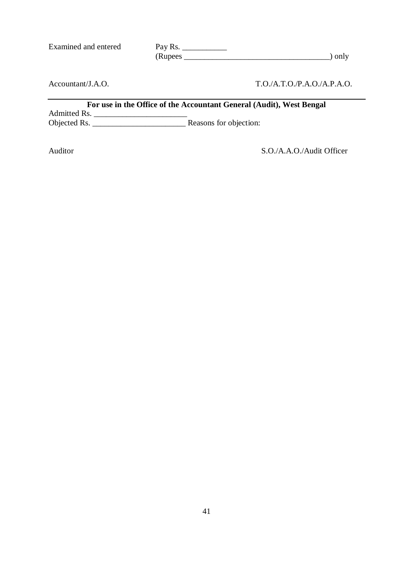Examined and entered

| Pay Rs.  |        |
|----------|--------|
| (Rupees) | ) only |

Accountant/J.A.O.

### T.O./A.T.O./P.A.O./A.P.A.O.

|              | For use in the Office of the Accountant General (Audit), West Bengal |
|--------------|----------------------------------------------------------------------|
| Admitted Rs. |                                                                      |
| Objected Rs. | Reasons for objection:                                               |

Auditor S.O./A.A.O./Audit Officer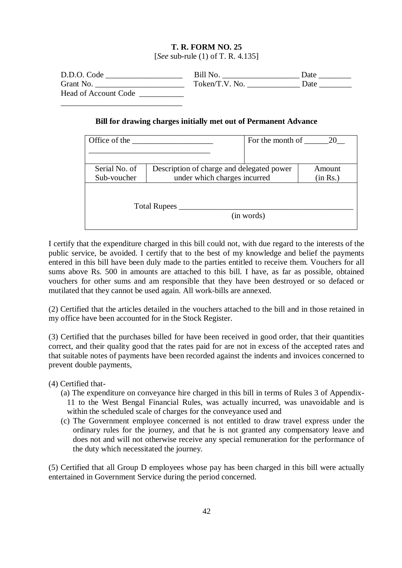[*See* sub-rule (1) of T. R. 4.135]

| D.D.O. Code                 | Bill No.       | Date |
|-----------------------------|----------------|------|
| Grant No.                   | Token/T.V. No. | Date |
| <b>Head of Account Code</b> |                |      |
|                             |                |      |

#### **Bill for drawing charges initially met out of Permanent Advance**

| Office of the                | For the month of                                                          | 20                 |
|------------------------------|---------------------------------------------------------------------------|--------------------|
| Serial No. of<br>Sub-voucher | Description of charge and delegated power<br>under which charges incurred | Amount<br>(in Rs.) |
|                              | <b>Total Rupees</b>                                                       |                    |
|                              | (in words)                                                                |                    |

I certify that the expenditure charged in this bill could not, with due regard to the interests of the public service, be avoided. I certify that to the best of my knowledge and belief the payments entered in this bill have been duly made to the parties entitled to receive them. Vouchers for all sums above Rs. 500 in amounts are attached to this bill. I have, as far as possible, obtained vouchers for other sums and am responsible that they have been destroyed or so defaced or mutilated that they cannot be used again. All work-bills are annexed.

(2) Certified that the articles detailed in the vouchers attached to the bill and in those retained in my office have been accounted for in the Stock Register.

(3) Certified that the purchases billed for have been received in good order, that their quantities correct, and their quality good that the rates paid for are not in excess of the accepted rates and that suitable notes of payments have been recorded against the indents and invoices concerned to prevent double payments,

(4) Certified that-

- (a) The expenditure on conveyance hire charged in this bill in terms of Rules 3 of Appendix-11 to the West Bengal Financial Rules, was actually incurred, was unavoidable and is within the scheduled scale of charges for the conveyance used and
- (c) The Government employee concerned is not entitled to draw travel express under the ordinary rules for the journey, and that he is not granted any compensatory leave and does not and will not otherwise receive any special remuneration for the performance of the duty which necessitated the journey.

(5) Certified that all Group D employees whose pay has been charged in this bill were actually entertained in Government Service during the period concerned.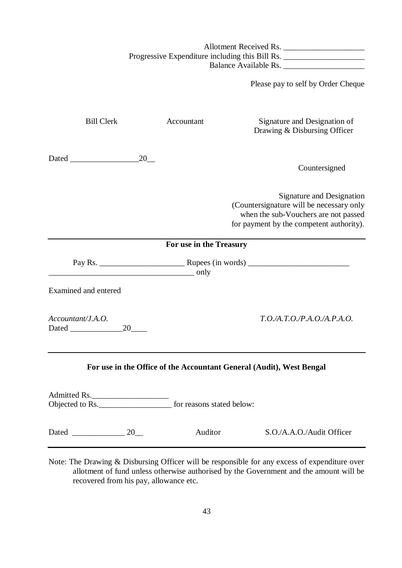Allotment Received Rs. \_\_\_\_\_\_\_\_\_\_\_\_\_\_\_\_\_\_\_\_ Progressive Expenditure including this Bill Rs. \_\_\_\_\_\_\_\_\_\_\_\_\_\_\_\_\_\_\_\_\_\_\_\_\_\_\_\_\_\_\_\_ Balance Available Rs.

Please pay to self by Order Cheque

| <b>Bill Clerk</b>                                                                          |             | Accountant              | Signature and Designation of<br>Drawing & Disbursing Officer                                                                                                     |
|--------------------------------------------------------------------------------------------|-------------|-------------------------|------------------------------------------------------------------------------------------------------------------------------------------------------------------|
|                                                                                            | 20          |                         | Countersigned                                                                                                                                                    |
|                                                                                            |             |                         | <b>Signature and Designation</b><br>(Countersignature will be necessary only<br>when the sub-Vouchers are not passed<br>for payment by the competent authority). |
|                                                                                            |             | For use in the Treasury |                                                                                                                                                                  |
|                                                                                            | <u>only</u> |                         |                                                                                                                                                                  |
| Examined and entered                                                                       |             |                         |                                                                                                                                                                  |
| Accountant/J.A.O.                                                                          | 20          |                         | T.O.A.T.O.P.A.O.A.P.A.O.                                                                                                                                         |
|                                                                                            |             |                         | For use in the Office of the Accountant General (Audit), West Bengal                                                                                             |
| Admitted Rs.<br>Objected to Rs.<br><u>Objected to Rs.</u> <b>for reasons stated below:</b> |             |                         |                                                                                                                                                                  |
| Dated 20                                                                                   |             | Auditor                 | S.O./A.A.O./Audit Officer                                                                                                                                        |

Note: The Drawing & Disbursing Officer will be responsible for any excess of expenditure over allotment of fund unless otherwise authorised by the Government and the amount will be recovered from his pay, allowance etc.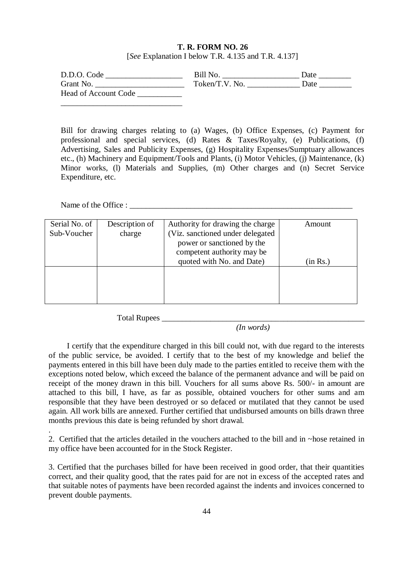#### **T. R. FORM NO. 26**  [*See* Explanation I below T.R. 4.135 and T.R. 4.137]

| D.D.O. Code                 | Bill No.       | Date |
|-----------------------------|----------------|------|
| Grant No.                   | Token/T.V. No. | Date |
| <b>Head of Account Code</b> |                |      |

Bill for drawing charges relating to (a) Wages, (b) Office Expenses, (c) Payment for professional and special services, (d) Rates & Taxes/Royalty, (e) Publications, (f) Advertising, Sales and Publicity Expenses, (g) Hospitality Expenses/Sumptuary allowances etc., (h) Machinery and Equipment/Tools and Plants, (i) Motor Vehicles, (j) Maintenance, (k) Minor works, (l) Materials and Supplies, (m) Other charges and (n) Secret Service Expenditure, etc.

Name of the Office : \_\_\_\_\_\_\_\_\_\_\_\_\_\_\_\_\_\_\_\_\_\_\_\_\_\_\_\_\_\_\_\_\_\_\_\_\_\_\_\_\_\_\_\_\_\_\_\_\_\_\_\_\_\_\_

| Serial No. of<br>Sub-Voucher | Description of<br>charge | Authority for drawing the charge<br>(Viz. sanctioned under delegated<br>power or sanctioned by the<br>competent authority may be<br>quoted with No. and Date) | Amount<br>(in Rs.) |
|------------------------------|--------------------------|---------------------------------------------------------------------------------------------------------------------------------------------------------------|--------------------|
|                              |                          |                                                                                                                                                               |                    |

Total Rupees \_\_\_\_\_\_\_\_\_\_\_\_\_\_\_\_\_\_\_\_\_\_\_\_\_\_\_\_\_\_\_\_\_\_\_\_\_\_\_\_\_\_\_\_\_\_\_\_\_\_

 *(In words)*

I certify that the expenditure charged in this bill could not, with due regard to the interests of the public service, be avoided. I certify that to the best of my knowledge and belief the payments entered in this bill have been duly made to the parties entitled to receive them with the exceptions noted below, which exceed the balance of the permanent advance and will be paid on receipt of the money drawn in this bill. Vouchers for all sums above Rs. 500/- in amount are attached to this bill, I have, as far as possible, obtained vouchers for other sums and am responsible that they have been destroyed or so defaced or mutilated that they cannot be used again. All work bills are annexed. Further certified that undisbursed amounts on bills drawn three months previous this date is being refunded by short drawal.

. 2. Certified that the articles detailed in the vouchers attached to the bill and in ~hose retained in my office have been accounted for in the Stock Register.

3. Certified that the purchases billed for have been received in good order, that their quantities correct, and their quality good, that the rates paid for are not in excess of the accepted rates and that suitable notes of payments have been recorded against the indents and invoices concerned to prevent double payments.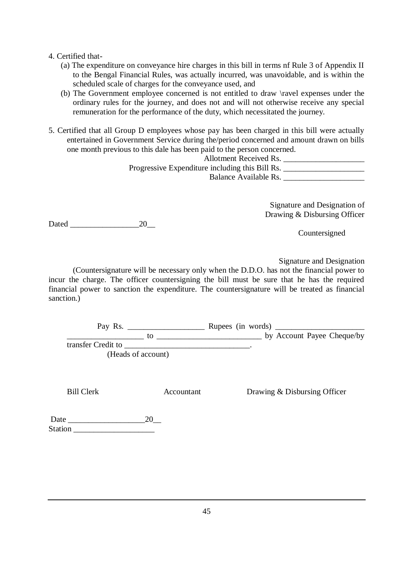#### 4. Certified that-

- (a) The expenditure on conveyance hire charges in this bill in terms nf Rule 3 of Appendix II to the Bengal Financial Rules, was actually incurred, was unavoidable, and is within the scheduled scale of charges for the conveyance used, and
- (b) The Government employee concerned is not entitled to draw \ravel expenses under the ordinary rules for the journey, and does not and will not otherwise receive any special remuneration for the performance of the duty, which necessitated the journey.
- 5. Certified that all Group D employees whose pay has been charged in this bill were actually entertained in Government Service during the/period concerned and amount drawn on bills one month previous to this dale has been paid to the person concerned.

| Allotment Received Rs.                          |  |
|-------------------------------------------------|--|
| Progressive Expenditure including this Bill Rs. |  |
| Balance Available Rs.                           |  |

Signature and Designation of Drawing & Disbursing Officer

Dated 20

Countersigned

Signature and Designation

(Countersignature will be necessary only when the D.D.O. has not the financial power to incur the charge. The officer countersigning the bill must be sure that he has the required financial power to sanction the expenditure. The countersignature will be treated as financial sanction.)

Pay Rs. \_\_\_\_\_\_\_\_\_\_\_\_\_\_\_\_\_\_\_ Rupees (in words) \_\_\_\_\_\_\_\_\_\_\_\_\_\_\_\_\_\_\_\_\_\_ \_\_\_\_\_\_\_\_\_\_\_\_\_\_\_\_\_\_\_ to \_\_\_\_\_\_\_\_\_\_\_\_\_\_\_\_\_\_\_\_\_\_\_\_\_\_ by Account Payee Cheque/by transfer Credit to \_\_\_\_\_\_\_\_\_\_\_\_\_\_\_\_\_\_\_\_\_\_\_\_\_\_\_\_\_\_\_. (Heads of account)

Bill Clerk Accountant Drawing & Disbursing Officer

 Date \_\_\_\_\_\_\_\_\_\_\_\_\_\_\_\_\_\_\_20\_\_ Station **and the station**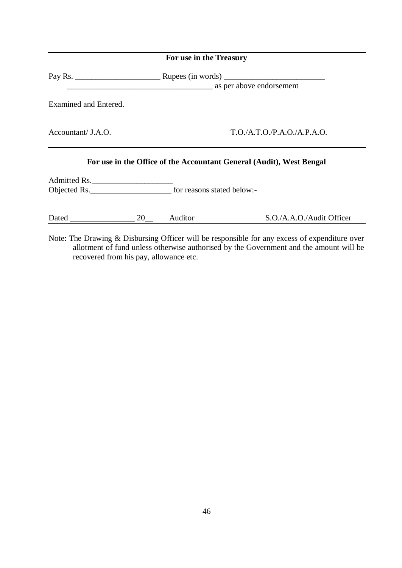|                       | For use in the Treasury                                              |
|-----------------------|----------------------------------------------------------------------|
|                       | as per above endorsement                                             |
| Examined and Entered. |                                                                      |
| Accountant/ J.A.O.    | T.O./A.T.O./P.A.O./A.P.A.O.                                          |
|                       | For use in the Office of the Accountant General (Audit), West Bengal |
| Admitted Rs.          | Objected Rs. <u>for reasons</u> stated below:-                       |

| Dated | Auditor | S.O./A.A.O./Audit Officer |
|-------|---------|---------------------------|
|-------|---------|---------------------------|

Note: The Drawing & Disbursing Officer will be responsible for any excess of expenditure over allotment of fund unless otherwise authorised by the Government and the amount will be recovered from his pay, allowance etc.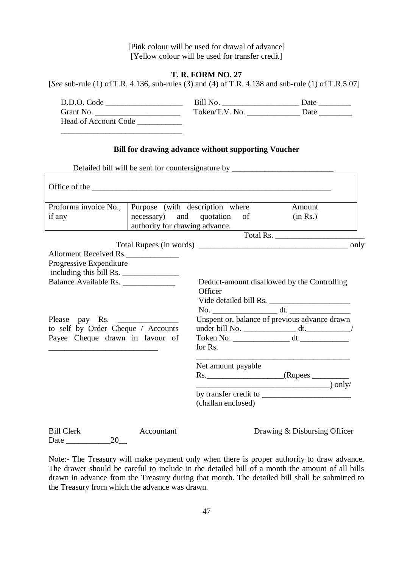[Pink colour will be used for drawal of advance] [Yellow colour will be used for transfer credit]

#### **T. R. FORM NO. 27**

[*See* sub-rule (1) of T.R. 4.136, sub-rules (3) and (4) of T.R. 4.138 and sub-rule (1) of T.R.5.07]

| D.D.O. Code                 | Bill No.       | Date |
|-----------------------------|----------------|------|
| Grant No.                   | Token/T.V. No. | Date |
| <b>Head of Account Code</b> |                |      |

#### **Bill for drawing advance without supporting Voucher**

Detailed bill will be sent for countersignature by \_

\_\_\_\_\_\_\_\_\_\_\_\_\_\_\_\_\_\_\_\_\_\_\_\_\_\_\_\_\_\_

| Office of the contract the contract of the contract of the contract of the contract of the contract of the contract of the contract of the contract of the contract of the contract of the contract of the contract of the con |                                                            |                                       |                                               |
|--------------------------------------------------------------------------------------------------------------------------------------------------------------------------------------------------------------------------------|------------------------------------------------------------|---------------------------------------|-----------------------------------------------|
| Proforma invoice No.,<br>if any                                                                                                                                                                                                | necessary) and quotation<br>authority for drawing advance. | Purpose (with description where<br>of | Amount<br>(in Rs.)                            |
|                                                                                                                                                                                                                                |                                                            |                                       | Total Rs.                                     |
|                                                                                                                                                                                                                                |                                                            |                                       |                                               |
| Allotment Received Rs.                                                                                                                                                                                                         |                                                            |                                       |                                               |
| Progressive Expenditure<br>including this bill Rs.                                                                                                                                                                             |                                                            |                                       |                                               |
| Balance Available Rs.                                                                                                                                                                                                          |                                                            | Officer                               | Deduct-amount disallowed by the Controlling   |
| Please pay Rs.                                                                                                                                                                                                                 |                                                            |                                       | Unspent or, balance of previous advance drawn |
| to self by Order Cheque / Accounts                                                                                                                                                                                             |                                                            |                                       |                                               |
| Payee Cheque drawn in favour of                                                                                                                                                                                                |                                                            | for Rs.                               | Token No. ________________________ dt.        |
|                                                                                                                                                                                                                                |                                                            | Net amount payable                    |                                               |
|                                                                                                                                                                                                                                |                                                            |                                       |                                               |
|                                                                                                                                                                                                                                |                                                            |                                       | $\qquad \qquad$ only/                         |
|                                                                                                                                                                                                                                |                                                            |                                       |                                               |
|                                                                                                                                                                                                                                |                                                            | (challan enclosed)                    |                                               |
|                                                                                                                                                                                                                                |                                                            |                                       |                                               |

| <b>Bill Clerk</b> |    | Accountant |
|-------------------|----|------------|
| Date              | 20 |            |

Drawing & Disbursing Officer

Note:- The Treasury will make payment only when there is proper authority to draw advance. The drawer should be careful to include in the detailed bill of a month the amount of all bills drawn in advance from the Treasury during that month. The detailed bill shall be submitted to the Treasury from which the advance was drawn.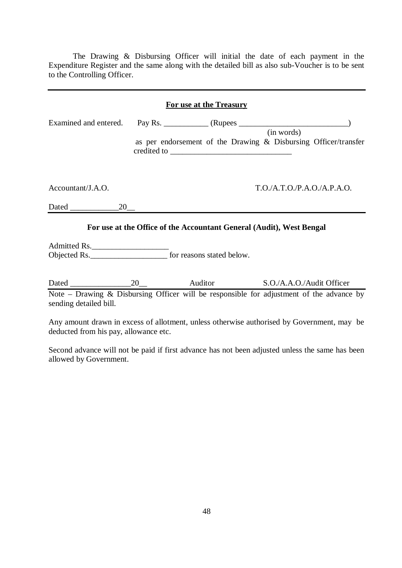The Drawing & Disbursing Officer will initial the date of each payment in the Expenditure Register and the same along with the detailed bill as also sub-Voucher is to be sent to the Controlling Officer.

|                       | For use at the Treasury                                              |                                                                               |
|-----------------------|----------------------------------------------------------------------|-------------------------------------------------------------------------------|
| Examined and entered. |                                                                      | (in words)<br>as per endorsement of the Drawing & Disbursing Officer/transfer |
| Accountant/J.A.O.     |                                                                      | T.O.A.T.O.P.A.O./A.P.A.O.                                                     |
|                       |                                                                      |                                                                               |
| Admitted Rs.          | For use at the Office of the Accountant General (Audit), West Bengal |                                                                               |
|                       |                                                                      |                                                                               |

Dated 20 20 Auditor S.O./A.A.O./Audit Officer Note – Drawing & Disbursing Officer will be responsible for adjustment of the advance by sending detailed bill.

Any amount drawn in excess of allotment, unless otherwise authorised by Government, may be deducted from his pay, allowance etc.

Second advance will not be paid if first advance has not been adjusted unless the same has been allowed by Government.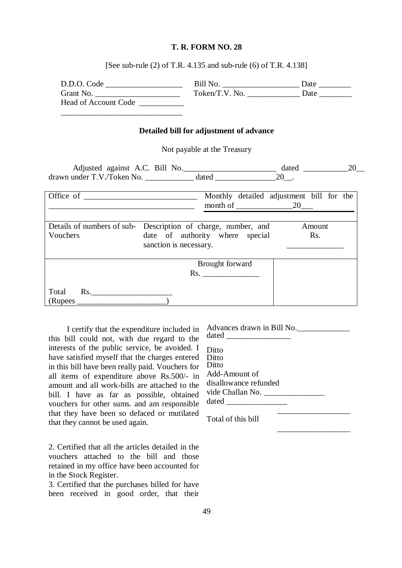[See sub-rule (2) of T.R. 4.135 and sub-rule (6) of T.R. 4.138]

| D.D.O. Code                 | Bill No.       | Date |
|-----------------------------|----------------|------|
| Grant No.                   | Token/T.V. No. | Date |
| <b>Head of Account Code</b> |                |      |

#### **Detailed bill for adjustment of advance**

Not payable at the Treasury

| Adjusted against A.C. Bill No. |       | dated |  |
|--------------------------------|-------|-------|--|
| drawn under T.V./Token No.     | datec |       |  |

| Office of _______ | Monthly detailed adjustment bill for the<br>month of 20                                                                                        |
|-------------------|------------------------------------------------------------------------------------------------------------------------------------------------|
| Vouchers          | Details of numbers of sub-<br>Description of charge, number, and<br>Amount<br>date of authority where special<br>Rs.<br>sanction is necessary. |
| Total<br>Rs.      | Brought forward<br>$\mathbf{Rs.}$                                                                                                              |
| (Rupees)          |                                                                                                                                                |

I certify that the expenditure included in this bill could not, with due regard to the interests of the public service, be avoided. I have satisfied myself that the charges entered in this bill have been really paid. Vouchers for all items of expenditure above Rs.500/- in amount and all work-bills are attached to the bill. I have as far as possible, obtained vouchers for other sums. and am responsible that they have been so defaced or mutilated that they cannot be used again.

\_\_\_\_\_\_\_\_\_\_\_\_\_\_\_\_\_\_\_\_\_\_\_\_\_\_\_\_\_\_

2. Certified that all the articles detailed in the vouchers attached to the bill and those retained in my office have been accounted for in the Stock Register.

3. Certified that the purchases billed for have been received in good order, that their

| Advances drawn in Bill No. |  |
|----------------------------|--|
|                            |  |
| Ditto                      |  |
| Ditto                      |  |
| Ditto                      |  |
| Add-Amount of              |  |
| disallowance refunded      |  |
| vide Challan No.           |  |
|                            |  |

 $\frac{1}{2}$  , and the set of the set of the set of the set of the set of the set of the set of the set of the set of the set of the set of the set of the set of the set of the set of the set of the set of the set of the set

 $\frac{1}{\sqrt{2}}$  ,  $\frac{1}{\sqrt{2}}$  ,  $\frac{1}{\sqrt{2}}$  ,  $\frac{1}{\sqrt{2}}$  ,  $\frac{1}{\sqrt{2}}$  ,  $\frac{1}{\sqrt{2}}$  ,  $\frac{1}{\sqrt{2}}$  ,  $\frac{1}{\sqrt{2}}$  ,  $\frac{1}{\sqrt{2}}$  ,  $\frac{1}{\sqrt{2}}$  ,  $\frac{1}{\sqrt{2}}$  ,  $\frac{1}{\sqrt{2}}$  ,  $\frac{1}{\sqrt{2}}$  ,  $\frac{1}{\sqrt{2}}$  ,  $\frac{1}{\sqrt{2}}$ 

Total of this bill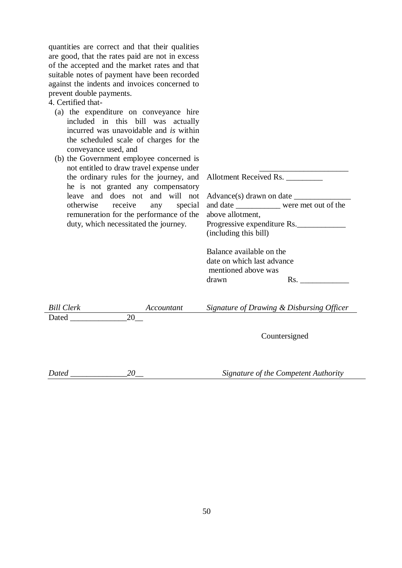quantities are correct and that their qualities are good, that the rates paid are not in excess of the accepted and the market rates and that suitable notes of payment have been recorded against the indents and invoices concerned to prevent double payments.

#### 4. Certified that-

- (a) the expenditure on conveyance hire included in this bill was actually incurred was unavoidable and *is* within the scheduled scale of charges for the conveyance used, and
- (b) the Government employee concerned is not entitled to draw travel expense under the ordinary rules for the journey, and he is not granted any compensatory leave and does not and will not otherwise receive any special remuneration for the performance of the duty, which necessitated the journey.

| <b>Allotment Received Rs.</b> |  |
|-------------------------------|--|
|-------------------------------|--|

 $\frac{1}{2}$  , and the set of the set of the set of the set of the set of the set of the set of the set of the set of the set of the set of the set of the set of the set of the set of the set of the set of the set of the set

Advance(s) drawn on date and date \_\_\_\_\_\_\_\_\_\_\_ were met out of the above allotment, Progressive expenditure Rs. (including this bill)

| Balance available on the   |     |
|----------------------------|-----|
| date on which last advance |     |
| mentioned above was        |     |
| drawn                      | Rs. |
|                            |     |

| Bill Clerk | Accountant | Signature of Drawing & Disbursing Officer |
|------------|------------|-------------------------------------------|
| Dated      |            |                                           |
|            |            |                                           |

Countersigned

*Dated \_\_\_\_\_\_\_\_\_\_\_\_\_\_20\_\_ Signature of the Competent Authority*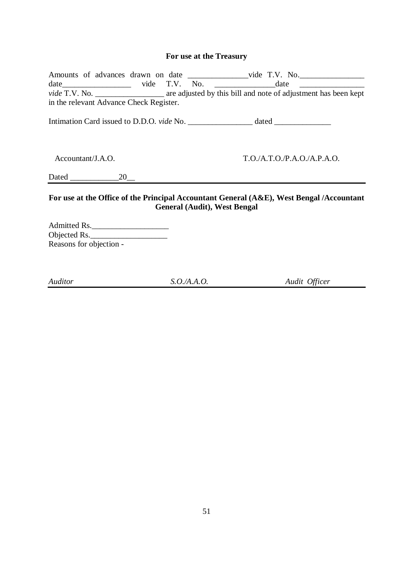### **For use at the Treasury**

|                                         |  | Amounts of advances drawn on date ______________________vide T.V. No.                                                                                                                                                                                               |
|-----------------------------------------|--|---------------------------------------------------------------------------------------------------------------------------------------------------------------------------------------------------------------------------------------------------------------------|
|                                         |  | $date$ $date$ $x = 0$ $x = 0$ $x = 0$ $x = 0$ $x = 0$ $x = 0$ $x = 0$ $x = 0$ $x = 0$ $x = 0$ $x = 0$ $x = 0$ $x = 0$ $x = 0$ $x = 0$ $x = 0$ $x = 0$ $x = 0$ $x = 0$ $x = 0$ $x = 0$ $x = 0$ $x = 0$ $x = 0$ $x = 0$ $x = 0$ $x = 0$ $x = 0$ $x = 0$ $x = 0$ $x =$ |
|                                         |  |                                                                                                                                                                                                                                                                     |
| in the relevant Advance Check Register. |  |                                                                                                                                                                                                                                                                     |
|                                         |  |                                                                                                                                                                                                                                                                     |
| Accountant/J.A.O.                       |  | T.O./A.T.O./P.A.O./A.P.A.O.                                                                                                                                                                                                                                         |
| Dated 20                                |  |                                                                                                                                                                                                                                                                     |
|                                         |  | For use at the Office of the Principal Accountant General $(A\&E)$ , West Bengal /Accountant<br><b>General (Audit), West Bengal</b>                                                                                                                                 |

Admitted Rs.\_\_\_\_\_\_\_\_\_\_\_\_\_\_\_\_\_\_\_ Objected Rs. Reasons for objection -

*Auditor S.O./A.A.O. Audit Officer*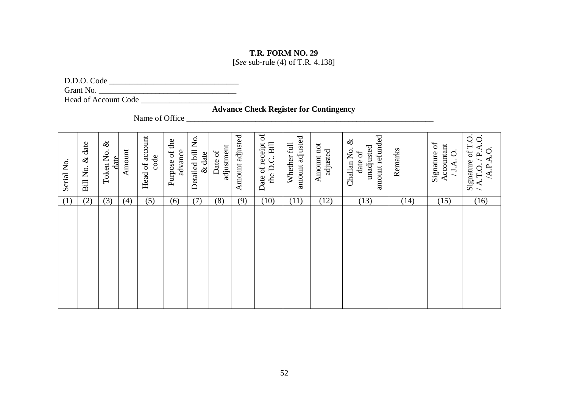[*See* sub-rule (4) of T.R. 4.138]

D.D.O. Code \_\_\_\_\_\_\_\_\_\_\_\_\_\_\_\_\_\_\_\_\_\_\_\_\_\_\_\_\_\_\_\_

Grant No. \_\_\_\_\_\_\_\_\_\_\_\_\_\_\_\_\_\_\_\_\_\_\_\_\_\_\_\_\_\_\_\_\_\_

Head of Account Code \_\_\_\_\_\_\_\_\_\_\_\_\_\_\_\_\_\_\_\_\_\_\_\_\_

**Advance Check Register for Contingency**

Name of Office \_\_\_\_\_\_\_\_\_\_\_\_\_\_\_\_\_\_\_\_\_\_\_\_\_\_\_\_\_\_\_\_\_\_\_\_\_\_\_\_\_\_\_\_\_\_\_\_\_\_\_\_\_\_\_\_\_\_\_\_\_

| Serial No. | date<br>$\infty$<br>Bill No. | $\infty$<br>Token No.<br>$_{\rm date}$ | Amount | account<br>code<br>Head of | Purpose of the<br>advance | Detailed bill No.<br>date<br>$\infty$ | adjustment<br>Date of | Amount adjusted | Date of receipt of<br>the D.C. Bill | amount adjusted<br>Whether full | Amount not<br>adjusted | amount refunded<br>$\infty$<br>unadjusted<br>Challan No.<br>date of | Remarks | Signature of<br>Accountant<br>$\dot{\circ}$<br>J.A. | Signature of T.O<br>Q<br>≺<br>S<br>ېم<br>⋖<br>$\bullet$<br>A.P.<br>/ A.T.O |
|------------|------------------------------|----------------------------------------|--------|----------------------------|---------------------------|---------------------------------------|-----------------------|-----------------|-------------------------------------|---------------------------------|------------------------|---------------------------------------------------------------------|---------|-----------------------------------------------------|----------------------------------------------------------------------------|
| (1)        | (2)                          | (3)                                    | (4)    | (5)                        | (6)                       | (7)                                   | (8)                   | (9)             | (10)                                | (11)                            | (12)                   | (13)                                                                | (14)    | (15)                                                | (16)                                                                       |
|            |                              |                                        |        |                            |                           |                                       |                       |                 |                                     |                                 |                        |                                                                     |         |                                                     |                                                                            |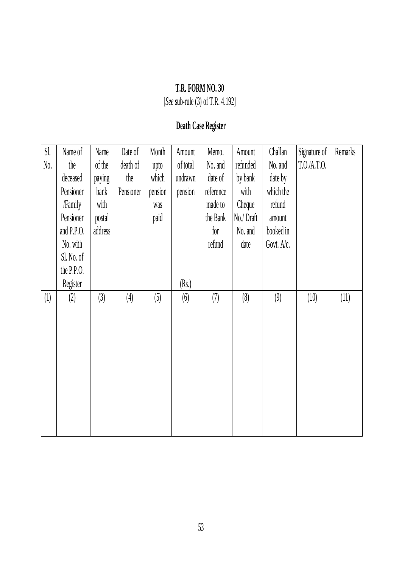[*See* sub-rule (3) of T.R. 4.192]

# **Death Case Register**

| Sl.<br>No. | Name of<br>the<br>deceased<br>Pensioner<br>/Family<br>Pensioner<br>and $P.P.0$ .<br>No. with<br>Sl. No. of<br>the P.P.O.<br>Register | Name<br>of the<br>paying<br>bank<br>with<br>postal<br>address | Date of<br>death of<br>the<br>Pensioner | Month<br>upto<br>which<br>pension<br>was<br>paid | Amount<br>of total<br>undrawn<br>pension<br>(Rs.) | Memo.<br>No. and<br>date of<br>reference<br>made to<br>the Bank<br>for<br>refund | Amount<br>refunded<br>by bank<br>with<br>Cheque<br>No./Draft<br>No. and<br>date | Challan<br>No. and<br>date by<br>which the<br>refund<br>amount<br>booked in<br>Govt. A/c. | Signature of<br>T.0.A.T.0. | Remarks |
|------------|--------------------------------------------------------------------------------------------------------------------------------------|---------------------------------------------------------------|-----------------------------------------|--------------------------------------------------|---------------------------------------------------|----------------------------------------------------------------------------------|---------------------------------------------------------------------------------|-------------------------------------------------------------------------------------------|----------------------------|---------|
| (1)        | (2)                                                                                                                                  | (3)                                                           | (4)                                     | (5)                                              | (6)                                               | (7)                                                                              | (8)                                                                             | (9)                                                                                       | (10)                       | (11)    |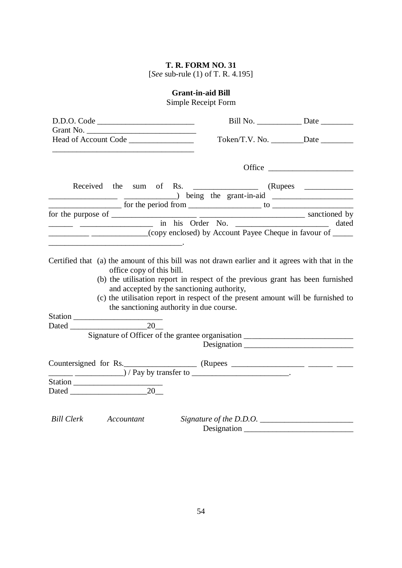[*See* sub-rule (1) of T. R. 4.195]

# **Grant-in-aid Bill**

Simple Receipt Form

| D.D.O. Code                                                                                                                                                                                                                                                                                                                                                                                                           |             |  |
|-----------------------------------------------------------------------------------------------------------------------------------------------------------------------------------------------------------------------------------------------------------------------------------------------------------------------------------------------------------------------------------------------------------------------|-------------|--|
|                                                                                                                                                                                                                                                                                                                                                                                                                       |             |  |
|                                                                                                                                                                                                                                                                                                                                                                                                                       |             |  |
|                                                                                                                                                                                                                                                                                                                                                                                                                       |             |  |
|                                                                                                                                                                                                                                                                                                                                                                                                                       |             |  |
|                                                                                                                                                                                                                                                                                                                                                                                                                       |             |  |
|                                                                                                                                                                                                                                                                                                                                                                                                                       |             |  |
|                                                                                                                                                                                                                                                                                                                                                                                                                       |             |  |
| and the same of the same of the same of the same of the same of the same of the same of the same of the same of the same of the same of the same of the same of the same of the same of the same of the same of the same of th                                                                                                                                                                                        |             |  |
| ____________________________(copy enclosed) by Account Payee Cheque in favour of ______                                                                                                                                                                                                                                                                                                                               |             |  |
| the contract of the contract of the contract of the contract of the contract of                                                                                                                                                                                                                                                                                                                                       |             |  |
| (b) the utilisation report in respect of the previous grant has been furnished<br>and accepted by the sanctioning authority,<br>(c) the utilisation report in respect of the present amount will be furnished to<br>the sanctioning authority in due course.                                                                                                                                                          |             |  |
|                                                                                                                                                                                                                                                                                                                                                                                                                       |             |  |
| Signature of Officer of the grantee organisation _______________________________                                                                                                                                                                                                                                                                                                                                      |             |  |
|                                                                                                                                                                                                                                                                                                                                                                                                                       | Designation |  |
| $\frac{1}{1-\frac{1}{1-\frac{1}{1-\frac{1}{1-\frac{1}{1-\frac{1}{1-\frac{1}{1-\frac{1}{1-\frac{1}{1-\frac{1}{1-\frac{1}{1-\frac{1}{1-\frac{1}{1-\frac{1}{1-\frac{1}{1-\frac{1}{1-\frac{1}{1-\frac{1}{1-\frac{1}{1-\frac{1}{1-\frac{1}{1-\frac{1}{1-\frac{1}{1-\frac{1}{1-\frac{1}{1-\frac{1}{1-\frac{1}{1-\frac{1}{1-\frac{1}{1-\frac{1}{1-\frac{1}{1-\frac{1}{1-\frac{1}{1-\frac{1}{1-\frac{1}{1-\frac{1}{1-\frac{1$ |             |  |
|                                                                                                                                                                                                                                                                                                                                                                                                                       |             |  |
|                                                                                                                                                                                                                                                                                                                                                                                                                       |             |  |
|                                                                                                                                                                                                                                                                                                                                                                                                                       |             |  |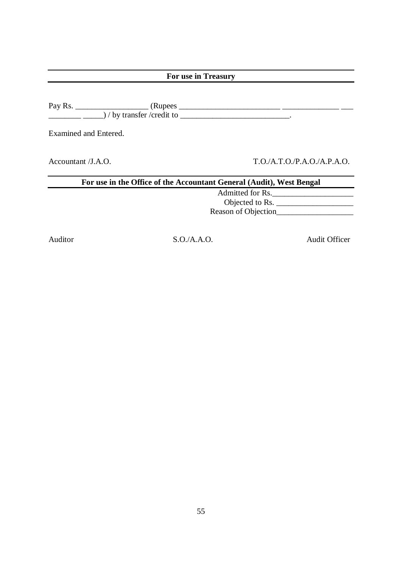| For use in Treasury                                                  |                           |  |  |  |  |  |
|----------------------------------------------------------------------|---------------------------|--|--|--|--|--|
| $\frac{1}{1}$ / by transfer / credit to $\frac{1}{1}$ .              |                           |  |  |  |  |  |
| Examined and Entered.                                                |                           |  |  |  |  |  |
| Accountant $/J.A.O.$                                                 | T.O.A.T.O.P.A.O./A.P.A.O. |  |  |  |  |  |
| For use in the Office of the Accountant General (Audit), West Bengal |                           |  |  |  |  |  |
|                                                                      | Admitted for Rs.          |  |  |  |  |  |
|                                                                      | Objected to Rs.           |  |  |  |  |  |
|                                                                      | Reason of Objection       |  |  |  |  |  |

Auditor S.O./A.A.O. Audit Officer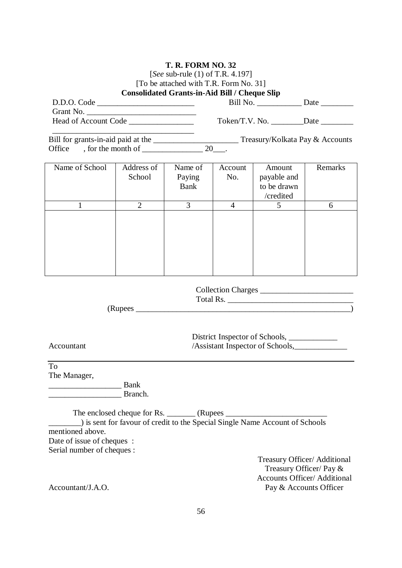### [*See* sub-rule (1) of T.R. 4.197]

# [To be attached with T.R. Form No. 31]

|                                                                                                                                               |                                                                              | <b>Consolidated Grants-in-Aid Bill / Cheque Slip</b> |                |                                                                                   |                    |  |  |
|-----------------------------------------------------------------------------------------------------------------------------------------------|------------------------------------------------------------------------------|------------------------------------------------------|----------------|-----------------------------------------------------------------------------------|--------------------|--|--|
| D.D.O. Code                                                                                                                                   |                                                                              |                                                      |                |                                                                                   |                    |  |  |
|                                                                                                                                               |                                                                              |                                                      |                |                                                                                   |                    |  |  |
|                                                                                                                                               |                                                                              |                                                      |                |                                                                                   |                    |  |  |
| Bill for grants-in-aid paid at the _______________________________Treasury/Kolkata Pay & Accounts                                             |                                                                              |                                                      |                |                                                                                   |                    |  |  |
| Office                                                                                                                                        | , for the month of $\frac{\qquad \qquad }{20}$ .                             |                                                      |                |                                                                                   |                    |  |  |
|                                                                                                                                               |                                                                              |                                                      |                |                                                                                   |                    |  |  |
| Name of School                                                                                                                                | Address of<br>School                                                         | Name of<br>Paying<br>Bank                            | Account<br>No. | Amount<br>payable and<br>to be drawn<br>/credited                                 | Remarks            |  |  |
| 1                                                                                                                                             | $\overline{2}$                                                               | 3                                                    | 4              | 5                                                                                 | 6                  |  |  |
|                                                                                                                                               |                                                                              |                                                      |                |                                                                                   |                    |  |  |
|                                                                                                                                               |                                                                              |                                                      |                |                                                                                   | Collection Charges |  |  |
|                                                                                                                                               |                                                                              |                                                      |                |                                                                                   |                    |  |  |
| Accountant                                                                                                                                    |                                                                              |                                                      |                | District Inspector of Schools, ______________<br>/Assistant Inspector of Schools, |                    |  |  |
| <b>To</b><br>The Manager,                                                                                                                     | Bank<br>Branch.                                                              |                                                      |                |                                                                                   |                    |  |  |
| mentioned above.<br>Date of issue of cheques :<br>Serial number of cheques :                                                                  | ) is sent for favour of credit to the Special Single Name Account of Schools |                                                      |                |                                                                                   |                    |  |  |
| Treasury Officer/ Additional<br>Treasury Officer/ Pay &<br><b>Accounts Officer/ Additional</b><br>Accountant/J.A.O.<br>Pay & Accounts Officer |                                                                              |                                                      |                |                                                                                   |                    |  |  |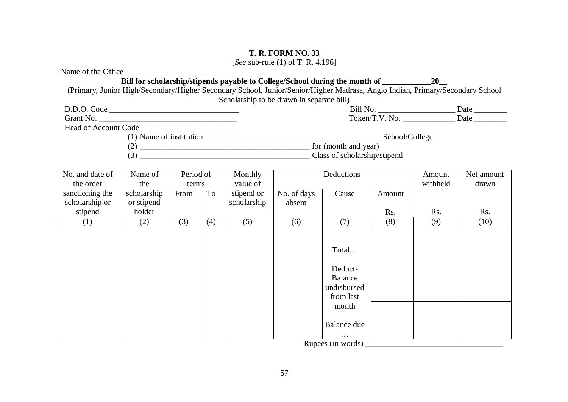[*See* sub-rule (1) of T. R. 4.196]

| Name of the Office                                                                                                            |             |           |     |                                           |             |                                                                                                               |                |          |            |
|-------------------------------------------------------------------------------------------------------------------------------|-------------|-----------|-----|-------------------------------------------|-------------|---------------------------------------------------------------------------------------------------------------|----------------|----------|------------|
|                                                                                                                               |             |           |     |                                           |             | Bill for scholarship/stipends payable to College/School during the month of _________________________________ |                |          |            |
| (Primary, Junior High/Secondary/Higher Secondary School, Junior/Senior/Higher Madrasa, Anglo Indian, Primary/Secondary School |             |           |     |                                           |             |                                                                                                               |                |          |            |
|                                                                                                                               |             |           |     | Scholarship to be drawn in separate bill) |             |                                                                                                               |                |          |            |
| D.D.O. Code                                                                                                                   |             |           |     |                                           |             |                                                                                                               |                |          |            |
| Head of Account Code                                                                                                          |             |           |     |                                           |             |                                                                                                               |                |          |            |
|                                                                                                                               |             |           |     |                                           |             |                                                                                                               | School/College |          |            |
|                                                                                                                               |             |           |     |                                           |             |                                                                                                               |                |          |            |
|                                                                                                                               |             |           |     |                                           |             |                                                                                                               |                |          |            |
|                                                                                                                               |             |           |     |                                           |             |                                                                                                               |                |          |            |
| No. and date of                                                                                                               | Name of     | Period of |     | Monthly                                   |             | Deductions                                                                                                    |                | Amount   | Net amount |
| the order                                                                                                                     | the         | terms     |     | value of                                  |             |                                                                                                               |                | withheld | drawn      |
| sanctioning the                                                                                                               | scholarship | From      | To  | stipend or                                | No. of days | Cause                                                                                                         | Amount         |          |            |
| scholarship or                                                                                                                | or stipend  |           |     | scholarship                               | absent      |                                                                                                               |                |          |            |
| stipend                                                                                                                       | holder      |           |     |                                           |             |                                                                                                               | Rs.            | Rs.      | Rs.        |
| (1)                                                                                                                           | (2)         | (3)       | (4) | (5)                                       | (6)         | (7)                                                                                                           | (8)            | (9)      | (10)       |
|                                                                                                                               |             |           |     |                                           |             |                                                                                                               |                |          |            |
|                                                                                                                               |             |           |     |                                           |             | Total                                                                                                         |                |          |            |
|                                                                                                                               |             |           |     |                                           |             |                                                                                                               |                |          |            |
|                                                                                                                               |             |           |     |                                           |             | Deduct-                                                                                                       |                |          |            |
|                                                                                                                               |             |           |     |                                           |             | <b>Balance</b>                                                                                                |                |          |            |
|                                                                                                                               |             |           |     |                                           |             | undisbursed                                                                                                   |                |          |            |
|                                                                                                                               |             |           |     |                                           |             | from last                                                                                                     |                |          |            |
|                                                                                                                               |             |           |     |                                           |             | month                                                                                                         |                |          |            |
|                                                                                                                               |             |           |     |                                           |             | Balance due                                                                                                   |                |          |            |
|                                                                                                                               |             |           |     |                                           |             | Rupees (in words)                                                                                             |                |          |            |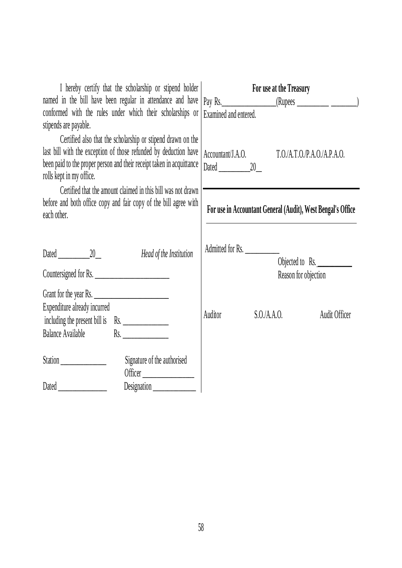| I hereby certify that the scholarship or stipend holder<br>named in the bill have been regular in attendance and have<br>conformed with the rules under which their scholarships or<br>stipends are payable.                         | For use at the Treasury<br>Examined and entered.            |
|--------------------------------------------------------------------------------------------------------------------------------------------------------------------------------------------------------------------------------------|-------------------------------------------------------------|
| Certified also that the scholarship or stipend drawn on the<br>last bill with the exception of those refunded by deduction have<br>been paid to the proper person and their receipt taken in acquittance<br>rolls kept in my office. | Accountant/J.A.O. T.O./A.T.O./P.A.O./A.P.A.O.               |
| Certified that the amount claimed in this bill was not drawn<br>before and both office copy and fair copy of the bill agree with<br>each other.                                                                                      | For use in Accountant General (Audit), West Bengal's Office |
| Dated 20<br>Head of the Institution                                                                                                                                                                                                  | Admitted for Rs.<br>Objected to Rs.<br>Reason for objection |
| Grant for the year Rs.<br>Expenditure already incurred<br>including the present bill is Rs.<br>Balance Available Rs.                                                                                                                 | Auditor<br>S.O.A.A.O.<br>Audit Officer                      |
| Station<br>Signature of the authorised<br>Officer<br>Designation _____________                                                                                                                                                       |                                                             |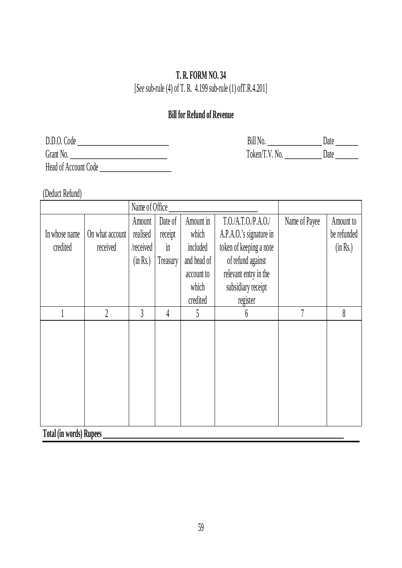[*See* sub-rule (4) of T. R. 4.199 sub-rule (1) ofT.R.4.201]

# **Bill for Refund of Revenue**

| D.D.0.<br>Code                   | <b>Bill N</b>                                 | Date |
|----------------------------------|-----------------------------------------------|------|
| Grant No.                        | $T$ <sub>O</sub> $k$ en $\lambda$<br>V<br>NO. | Date |
| Head of Account (<br>Code<br>___ |                                               |      |

(Deduct Refund)

|                                    |                 | Name of Office |                |             |                         |               |             |
|------------------------------------|-----------------|----------------|----------------|-------------|-------------------------|---------------|-------------|
|                                    |                 | Amount         | Date of        | Amount in   | T.O./A.T.O./P.A.O./     | Name of Payee | Amount to   |
| In whose name                      | On what account | realised       | receipt        | which       | A.P.A.O.'s signature in |               | be refunded |
| credited                           | received        | /received      | $\overline{m}$ | included    | token of keeping a note |               | (in Rs.)    |
|                                    |                 | (in Rs.)       | Treasury       | and head of | of refund against       |               |             |
|                                    |                 |                |                | account to  | relevant entry in the   |               |             |
|                                    |                 |                |                | which       | subsidiary receipt      |               |             |
|                                    |                 |                |                | credited    | register                |               |             |
|                                    | $\overline{2}$  | $\overline{3}$ | 4              | 5           | 6                       |               | 8           |
|                                    |                 |                |                |             |                         |               |             |
|                                    |                 |                |                |             |                         |               |             |
|                                    |                 |                |                |             |                         |               |             |
|                                    |                 |                |                |             |                         |               |             |
|                                    |                 |                |                |             |                         |               |             |
|                                    |                 |                |                |             |                         |               |             |
|                                    |                 |                |                |             |                         |               |             |
| .<br>$\mathbf{r} \cdot \mathbf{n}$ |                 |                |                |             |                         |               |             |

**Total (in words) Rupees \_\_\_\_\_\_\_\_\_\_\_\_\_\_\_\_\_\_\_\_\_\_\_\_\_\_\_\_\_\_\_\_\_\_\_\_\_\_\_\_\_\_\_\_\_\_\_\_\_\_\_\_\_\_\_\_\_\_\_\_\_\_\_\_\_\_\_\_\_\_\_\_\_\_\_\_\_\_\_\_\_\_\_\_**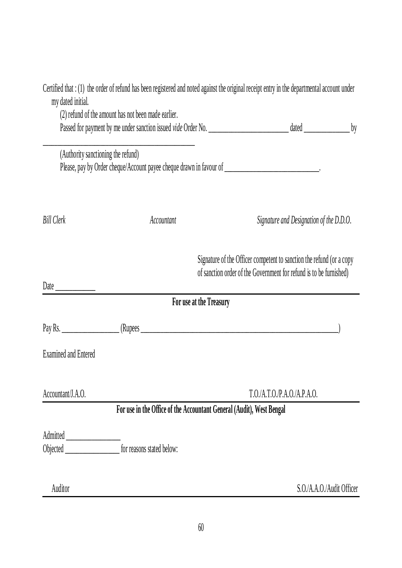| my dated initial.                                                        | Certified that : (1) the order of refund has been registered and noted against the original receipt entry in the departmental account under<br>(2) refund of the amount has not been made earlier. |                                                                                                                                            |                                         |                           |
|--------------------------------------------------------------------------|----------------------------------------------------------------------------------------------------------------------------------------------------------------------------------------------------|--------------------------------------------------------------------------------------------------------------------------------------------|-----------------------------------------|---------------------------|
|                                                                          |                                                                                                                                                                                                    |                                                                                                                                            |                                         | by                        |
| (Authority sanctioning the refund)                                       | Please, pay by Order cheque/Account payee cheque drawn in favour of _______________________________.                                                                                               |                                                                                                                                            |                                         |                           |
| <b>Bill Clerk</b>                                                        | Accountant                                                                                                                                                                                         |                                                                                                                                            | Signature and Designation of the D.D.O. |                           |
| Date $\frac{1}{\sqrt{1-\frac{1}{2}}\cdot\frac{1}{\sqrt{1-\frac{1}{2}}}}$ |                                                                                                                                                                                                    | Signature of the Officer competent to sanction the refund (or a copy<br>of sanction order of the Government for refund is to be furnished) |                                         |                           |
|                                                                          | For use at the Treasury                                                                                                                                                                            |                                                                                                                                            |                                         |                           |
|                                                                          |                                                                                                                                                                                                    |                                                                                                                                            |                                         |                           |
| <b>Examined and Entered</b>                                              |                                                                                                                                                                                                    |                                                                                                                                            |                                         |                           |
| Accountant/J.A.O.                                                        |                                                                                                                                                                                                    |                                                                                                                                            | T.O./A.T.O.P.A.O./A.P.A.O.              |                           |
|                                                                          | For use in the Office of the Accountant General (Audit), West Bengal                                                                                                                               |                                                                                                                                            |                                         |                           |
|                                                                          |                                                                                                                                                                                                    |                                                                                                                                            |                                         |                           |
|                                                                          | for reasons stated below:                                                                                                                                                                          |                                                                                                                                            |                                         |                           |
| Auditor                                                                  |                                                                                                                                                                                                    |                                                                                                                                            |                                         | S.O./A.A.O./Audit Officer |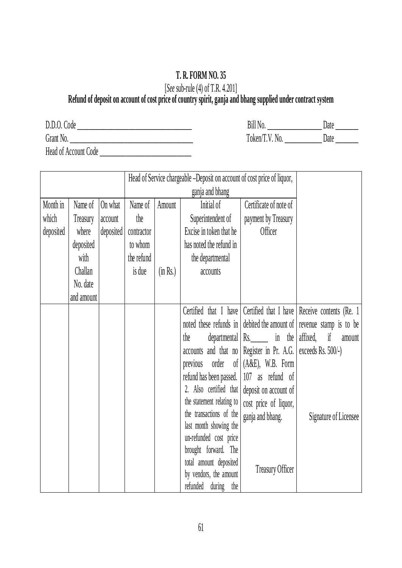# [*See* sub-rule (4) of T.R. 4.201]

### **Refund of deposit on account of cost price of country spirit, ganja and bhang supplied under contract system**

| D.D.O. Code          |  |
|----------------------|--|
| Grant No.            |  |
| Head of Account Code |  |

| Bill No.       | Date  |
|----------------|-------|
| Token/T.V. No. | 1)ate |

|           |            |           |            |          | Head of Service chargeable –Deposit on account of cost price of liquor, |                                                 |                                                                     |
|-----------|------------|-----------|------------|----------|-------------------------------------------------------------------------|-------------------------------------------------|---------------------------------------------------------------------|
|           |            |           |            |          | ganja and bhang                                                         |                                                 |                                                                     |
| Month in  | Name of    | On what   | Name of    | Amount   | Initial of                                                              | Certificate of note of                          |                                                                     |
| which     | Treasury   | account   | the        |          | Superintendent of                                                       | payment by Treasury                             |                                                                     |
| deposited | where      | deposited | contractor |          | Excise in token that he                                                 | <b>Officer</b>                                  |                                                                     |
|           | deposited  |           | to whom    |          | has noted the refund in                                                 |                                                 |                                                                     |
|           | with       |           | the refund |          | the departmental                                                        |                                                 |                                                                     |
|           | Challan    |           | is due     | (in Rs.) | accounts                                                                |                                                 |                                                                     |
|           | No. date   |           |            |          |                                                                         |                                                 |                                                                     |
|           | and amount |           |            |          |                                                                         |                                                 |                                                                     |
|           |            |           |            |          | Certified that I have                                                   |                                                 | Certified that I have Receive contents (Re. 1)                      |
|           |            |           |            |          |                                                                         |                                                 | noted these refunds in debited the amount of revenue stamp is to be |
|           |            |           |            |          | the                                                                     | departmental $\left  \text{Rs.} \right $ in the | if<br>affixed,<br>amount                                            |
|           |            |           |            |          | accounts and that no                                                    | Register in Pr. A.G.                            | exceeds Rs. 500/-)                                                  |
|           |            |           |            |          | order<br>$\delta$<br>previous                                           | $(A&E)$ , W.B. Form                             |                                                                     |
|           |            |           |            |          | refund has been passed.                                                 | 107 as refund of                                |                                                                     |
|           |            |           |            |          | 2. Also certified that                                                  | deposit on account of                           |                                                                     |
|           |            |           |            |          | the statement relating to                                               | cost price of liquor,                           |                                                                     |
|           |            |           |            |          | the transactions of the                                                 | ganja and bhang.                                | Signature of Licensee                                               |
|           |            |           |            |          | last month showing the                                                  |                                                 |                                                                     |
|           |            |           |            |          | un-refunded cost price                                                  |                                                 |                                                                     |
|           |            |           |            |          | brought forward. The<br>total amount deposited                          |                                                 |                                                                     |
|           |            |           |            |          | <b>Treasury Officer</b><br>by vendors, the amount                       |                                                 |                                                                     |
|           |            |           |            |          | during<br>refunded<br>the                                               |                                                 |                                                                     |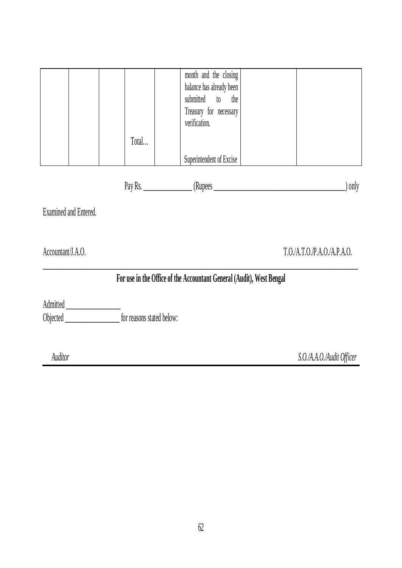|                       |                                                            | month and the closing                                                |                             |
|-----------------------|------------------------------------------------------------|----------------------------------------------------------------------|-----------------------------|
|                       |                                                            | balance has already been                                             |                             |
|                       |                                                            | submitted to the                                                     |                             |
|                       |                                                            | Treasury for necessary                                               |                             |
|                       |                                                            | verification.                                                        |                             |
|                       | Total                                                      |                                                                      |                             |
|                       |                                                            | Superintendent of Excise                                             |                             |
|                       |                                                            |                                                                      | $\int$ ) only               |
| Examined and Entered. |                                                            |                                                                      |                             |
| Accountant/J.A.O.     |                                                            |                                                                      | T.O./A.T.O./P.A.O./A.P.A.O. |
|                       |                                                            | For use in the Office of the Accountant General (Audit), West Bengal |                             |
|                       |                                                            |                                                                      |                             |
|                       | Objected _______________________ for reasons stated below: |                                                                      |                             |
|                       |                                                            |                                                                      |                             |
| Auditor               |                                                            |                                                                      | S.O./A.A.O./Audit Officer   |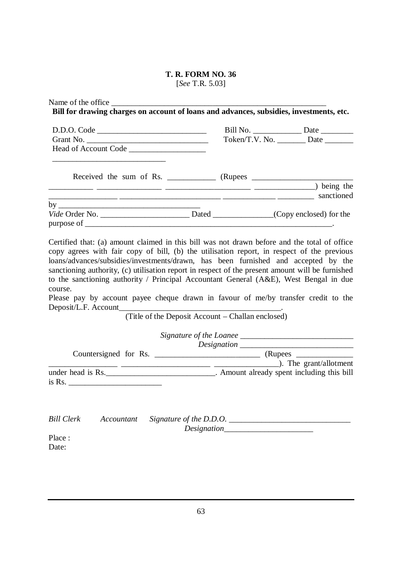[*See* T.R. 5.03]

| Name of the office                                                                                                                                                                                                             |                                                   |                                                                                                                                                                                                                                                                                                                                                                                                                                   |
|--------------------------------------------------------------------------------------------------------------------------------------------------------------------------------------------------------------------------------|---------------------------------------------------|-----------------------------------------------------------------------------------------------------------------------------------------------------------------------------------------------------------------------------------------------------------------------------------------------------------------------------------------------------------------------------------------------------------------------------------|
| Bill for drawing charges on account of loans and advances, subsidies, investments, etc.                                                                                                                                        |                                                   |                                                                                                                                                                                                                                                                                                                                                                                                                                   |
|                                                                                                                                                                                                                                |                                                   |                                                                                                                                                                                                                                                                                                                                                                                                                                   |
|                                                                                                                                                                                                                                |                                                   | Token/T.V. No. _________ Date ________                                                                                                                                                                                                                                                                                                                                                                                            |
|                                                                                                                                                                                                                                |                                                   |                                                                                                                                                                                                                                                                                                                                                                                                                                   |
|                                                                                                                                                                                                                                |                                                   |                                                                                                                                                                                                                                                                                                                                                                                                                                   |
| being the contract of the contract of the contract of the contract of the contract of the contract of the contract of the contract of the contract of the contract of the contract of the contract of the contract of the cont |                                                   |                                                                                                                                                                                                                                                                                                                                                                                                                                   |
|                                                                                                                                                                                                                                |                                                   |                                                                                                                                                                                                                                                                                                                                                                                                                                   |
| by $\overline{\phantom{a}}$<br>Vide Order No. __________________________________Dated ________________(Copy enclosed) for the                                                                                                  |                                                   |                                                                                                                                                                                                                                                                                                                                                                                                                                   |
|                                                                                                                                                                                                                                |                                                   |                                                                                                                                                                                                                                                                                                                                                                                                                                   |
| to the sanctioning authority / Principal Accountant General (A&E), West Bengal in due<br>course.<br>Please pay by account payee cheque drawn in favour of me/by transfer credit to the                                         | (Title of the Deposit Account - Challan enclosed) |                                                                                                                                                                                                                                                                                                                                                                                                                                   |
|                                                                                                                                                                                                                                |                                                   |                                                                                                                                                                                                                                                                                                                                                                                                                                   |
|                                                                                                                                                                                                                                |                                                   |                                                                                                                                                                                                                                                                                                                                                                                                                                   |
|                                                                                                                                                                                                                                |                                                   |                                                                                                                                                                                                                                                                                                                                                                                                                                   |
|                                                                                                                                                                                                                                |                                                   | $\frac{1}{\sqrt{1-\frac{1}{\sqrt{1-\frac{1}{\sqrt{1-\frac{1}{\sqrt{1-\frac{1}{\sqrt{1-\frac{1}{\sqrt{1-\frac{1}{\sqrt{1-\frac{1}{\sqrt{1-\frac{1}{\sqrt{1-\frac{1}{\sqrt{1-\frac{1}{\sqrt{1-\frac{1}{\sqrt{1-\frac{1}{\sqrt{1-\frac{1}{\sqrt{1-\frac{1}{\sqrt{1-\frac{1}{\sqrt{1-\frac{1}{\sqrt{1-\frac{1}{\sqrt{1-\frac{1}{\sqrt{1-\frac{1}{\sqrt{1-\frac{1}{\sqrt{1-\frac{1}{\sqrt{1-\frac{1}{\sqrt{1-\frac{1}{\sqrt{1-\frac{1$ |
| under head is Rs. _______________________________. Amount already spent including this bill<br>$\overline{1}$ is Rs.                                                                                                           |                                                   |                                                                                                                                                                                                                                                                                                                                                                                                                                   |
|                                                                                                                                                                                                                                |                                                   |                                                                                                                                                                                                                                                                                                                                                                                                                                   |
| <b>Bill Clerk</b><br>Accountant                                                                                                                                                                                                |                                                   |                                                                                                                                                                                                                                                                                                                                                                                                                                   |
| Place:                                                                                                                                                                                                                         |                                                   |                                                                                                                                                                                                                                                                                                                                                                                                                                   |
| Date:                                                                                                                                                                                                                          |                                                   |                                                                                                                                                                                                                                                                                                                                                                                                                                   |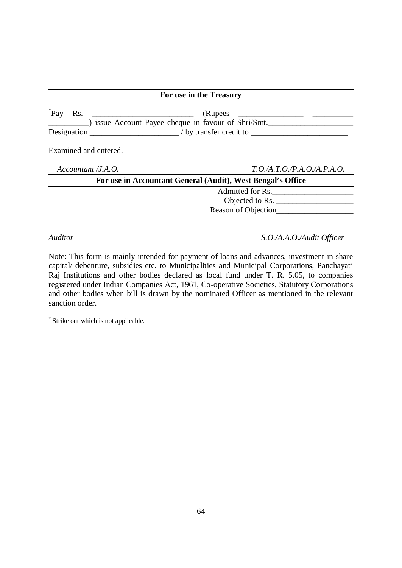|     |                       | For use in the Treasury                                                                                                                                                                                                                                                                                                                                                                                                                               |
|-----|-----------------------|-------------------------------------------------------------------------------------------------------------------------------------------------------------------------------------------------------------------------------------------------------------------------------------------------------------------------------------------------------------------------------------------------------------------------------------------------------|
| Pay |                       | (Rupees<br>issue Account Payee cheque in favour of Shri/Smt.<br>Designation $\sqrt{b}$ by transfer credit to $\frac{1}{1-\frac{b}{1-\frac{b}{1-\frac{b}{1-\frac{b}{1-\frac{b}{1-\frac{b}{1-\frac{b}{1-\frac{b}{1-\frac{b}{1-\frac{b}{1-\frac{b}{1-\frac{b}{1-\frac{b}{1-\frac{b}{1-\frac{b}{1-\frac{b}{1-\frac{b}{1-\frac{b}{1-\frac{b}{1-\frac{b}{1-\frac{b}{1-\frac{b}{1-\frac{b}{1-\frac{b}{1-\frac{b}{1-\frac{b}{1-\frac{b}{1-\frac{b}{1-\frac{b$ |
|     | Examined and entered. |                                                                                                                                                                                                                                                                                                                                                                                                                                                       |
|     | Accountant /J.A.O.    | T.O.A.T.O.P.A.O.A.P.A.O.                                                                                                                                                                                                                                                                                                                                                                                                                              |
|     |                       | For use in Accountant General (Audit), West Bengal's Office                                                                                                                                                                                                                                                                                                                                                                                           |
|     |                       | Admitted for Rs.                                                                                                                                                                                                                                                                                                                                                                                                                                      |
|     |                       | Objected to Rs.                                                                                                                                                                                                                                                                                                                                                                                                                                       |
|     |                       | Reason of Objection                                                                                                                                                                                                                                                                                                                                                                                                                                   |
|     |                       |                                                                                                                                                                                                                                                                                                                                                                                                                                                       |

*Auditor S.O./A.A.O./Audit Officer*

Note: This form is mainly intended for payment of loans and advances, investment in share capital/ debenture, subsidies etc. to Municipalities and Municipal Corporations, Panchayati Raj Institutions and other bodies declared as local fund under T. R. 5.05, to companies registered under Indian Companies Act, 1961, Co-operative Societies, Statutory Corporations and other bodies when bill is drawn by the nominated Officer as mentioned in the relevant sanction order.

 \* Strike out which is not applicable.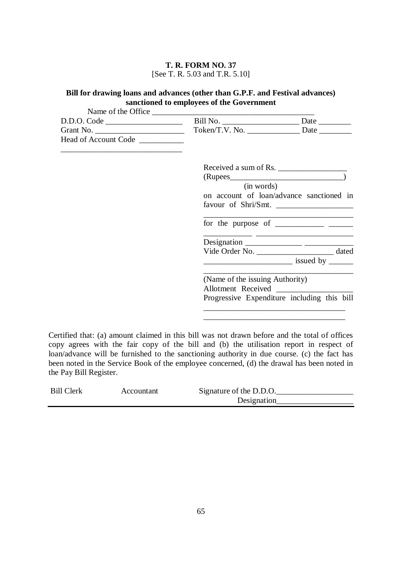#### **T. R. FORM NO. 37** [See T. R. 5.03 and T.R. 5.10]

### **Bill for drawing loans and advances (other than G.P.F. and Festival advances) sanctioned to employees of the Government**

| D.D.O. Code                      |                                 |                                                                                                                                                                                                                                                                                                                                                                                                                                         |
|----------------------------------|---------------------------------|-----------------------------------------------------------------------------------------------------------------------------------------------------------------------------------------------------------------------------------------------------------------------------------------------------------------------------------------------------------------------------------------------------------------------------------------|
| Grant No.                        |                                 |                                                                                                                                                                                                                                                                                                                                                                                                                                         |
| Head of Account Code ___________ |                                 |                                                                                                                                                                                                                                                                                                                                                                                                                                         |
|                                  |                                 | Received a sum of Rs.                                                                                                                                                                                                                                                                                                                                                                                                                   |
|                                  |                                 |                                                                                                                                                                                                                                                                                                                                                                                                                                         |
|                                  | (in words)                      |                                                                                                                                                                                                                                                                                                                                                                                                                                         |
|                                  |                                 | on account of loan/advance sanctioned in                                                                                                                                                                                                                                                                                                                                                                                                |
|                                  |                                 | favour of Shri/Smt.                                                                                                                                                                                                                                                                                                                                                                                                                     |
|                                  |                                 | for the purpose of $\frac{1}{\sqrt{1-\frac{1}{2}} \cdot \frac{1}{\sqrt{1-\frac{1}{2}} \cdot \frac{1}{\sqrt{1-\frac{1}{2}} \cdot \frac{1}{\sqrt{1-\frac{1}{2}} \cdot \frac{1}{\sqrt{1-\frac{1}{2}} \cdot \frac{1}{\sqrt{1-\frac{1}{2}} \cdot \frac{1}{\sqrt{1-\frac{1}{2}} \cdot \frac{1}{\sqrt{1-\frac{1}{2}} \cdot \frac{1}{\sqrt{1-\frac{1}{2}} \cdot \frac{1}{\sqrt{1-\frac{1}{2}} \cdot \frac{1}{\sqrt{1-\frac{1}{2}} \cdot \frac{$ |
|                                  |                                 |                                                                                                                                                                                                                                                                                                                                                                                                                                         |
|                                  |                                 | Vide Order No. _________________________________ dated                                                                                                                                                                                                                                                                                                                                                                                  |
|                                  |                                 | $\sim$ issued by $\sim$                                                                                                                                                                                                                                                                                                                                                                                                                 |
|                                  | (Name of the issuing Authority) |                                                                                                                                                                                                                                                                                                                                                                                                                                         |
|                                  | Allotment Received              |                                                                                                                                                                                                                                                                                                                                                                                                                                         |
|                                  |                                 | Progressive Expenditure including this bill                                                                                                                                                                                                                                                                                                                                                                                             |
|                                  |                                 |                                                                                                                                                                                                                                                                                                                                                                                                                                         |

Certified that: (a) amount claimed in this bill was not drawn before and the total of offices copy agrees with the fair copy of the bill and (b) the utilisation report in respect of loan/advance will be furnished to the sanctioning authority in due course. (c) the fact has been noted in the Service Book of the employee concerned, (d) the drawal has been noted in the Pay Bill Register.

\_\_\_\_\_\_\_\_\_\_\_\_\_\_\_\_\_\_\_\_\_\_\_\_\_\_\_\_\_\_\_\_\_\_\_

| Bill Clerk | Accountant | Signature of the D.D.O. |
|------------|------------|-------------------------|
|            |            | Designation             |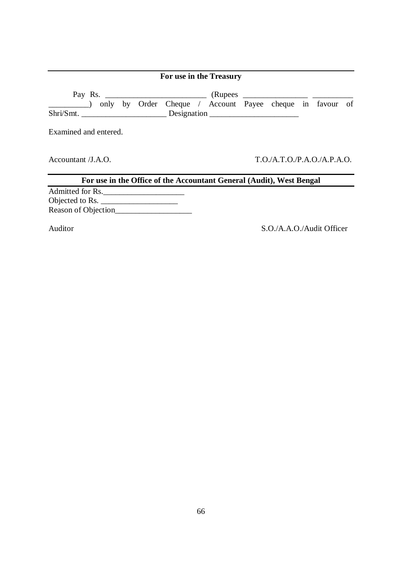|                                                                                                             | For use in the Treasury |                           |  |  |
|-------------------------------------------------------------------------------------------------------------|-------------------------|---------------------------|--|--|
| Pay Rs. (Rupees Cheque / Rupees Payee cheque in Tavour of Taylor Cheque / Account Payee cheque in Tavour of |                         |                           |  |  |
| Examined and entered.                                                                                       |                         |                           |  |  |
| Accountant $/J.A.O.$                                                                                        |                         | T.O.A.T.O.P.A.O./A.P.A.O. |  |  |
| For use in the Office of the Accountant General (Audit), West Bengal                                        |                         |                           |  |  |
| Admitted for Rs.<br>Objected to Rs.<br>Reason of Objection                                                  |                         |                           |  |  |
| Auditor                                                                                                     |                         | S.O./A.A.O./Audit Officer |  |  |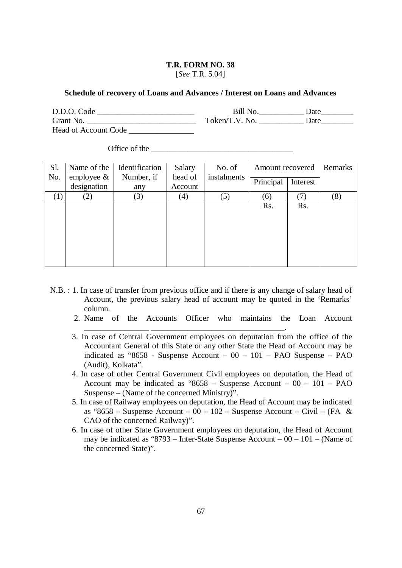[*See* T.R. 5.04]

#### **Schedule of recovery of Loans and Advances / Interest on Loans and Advances**

| D.D.O. Code                 | <b>Bill No</b> | Date |
|-----------------------------|----------------|------|
| Grant No.                   | Token/T.V. No. | Date |
| <b>Head of Account Code</b> |                |      |

Office of the

| Sl. | Name of the    | Identification | Salary  | No. of      | Amount recovered |          | Remarks |
|-----|----------------|----------------|---------|-------------|------------------|----------|---------|
| No. | employee $\&$  | Number, if     | head of | instalments | Principal        | Interest |         |
|     | designation    | any            | Account |             |                  |          |         |
|     | $\binom{2}{2}$ | (3)            | (4)     | (5)         | (6)              |          | (8)     |
|     |                |                |         |             | Rs.              | Rs.      |         |
|     |                |                |         |             |                  |          |         |
|     |                |                |         |             |                  |          |         |
|     |                |                |         |             |                  |          |         |
|     |                |                |         |             |                  |          |         |
|     |                |                |         |             |                  |          |         |
|     |                |                |         |             |                  |          |         |

N.B. : 1. In case of transfer from previous office and if there is any change of salary head of Account, the previous salary head of account may be quoted in the 'Remarks' column.

\_\_\_\_\_\_\_\_\_\_\_\_\_\_\_\_ \_\_\_\_\_\_\_\_\_\_\_\_\_\_\_\_\_\_\_\_\_\_\_\_\_\_\_\_\_\_\_\_\_.

- 2. Name of the Accounts Officer who maintains the Loan Account
- 3. In case of Central Government employees on deputation from the office of the Accountant General of this State or any other State the Head of Account may be indicated as "8658 - Suspense Account – 00 – 101 – PAO Suspense – PAO (Audit), Kolkata".
- 4. In case of other Central Government Civil employees on deputation, the Head of Account may be indicated as " $8658$  – Suspense Account – 00 – 101 – PAO Suspense – (Name of the concerned Ministry)".
- 5. In case of Railway employees on deputation, the Head of Account may be indicated as "8658 – Suspense Account –  $00 - 102$  – Suspense Account – Civil – (FA & CAO of the concerned Railway)".
- 6. In case of other State Government employees on deputation, the Head of Account may be indicated as "8793 – Inter-State Suspense Account – 00 – 101 – (Name of the concerned State)".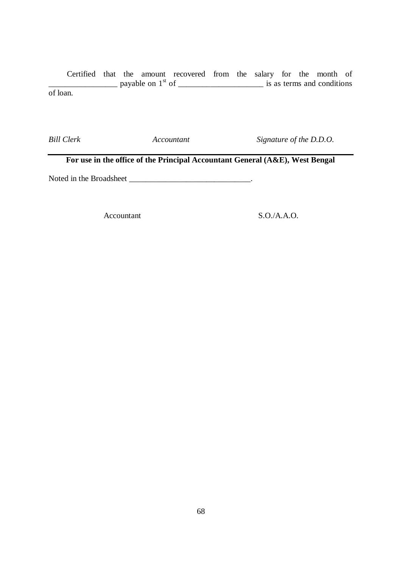Certified that the amount recovered from the salary for the month of  $\frac{1}{2}$  payable on  $1^{st}$  of  $\frac{1}{2}$  is as terms and conditions of loan.

*Bill Clerk Accountant Signature of the D.D.O.*

**For use in the office of the Principal Accountant General (A&E), West Bengal**

Noted in the Broadsheet \_\_\_\_\_\_\_\_\_\_\_\_\_\_\_\_\_\_\_\_\_\_\_\_\_\_\_\_\_\_.

Accountant S.O./A.A.O.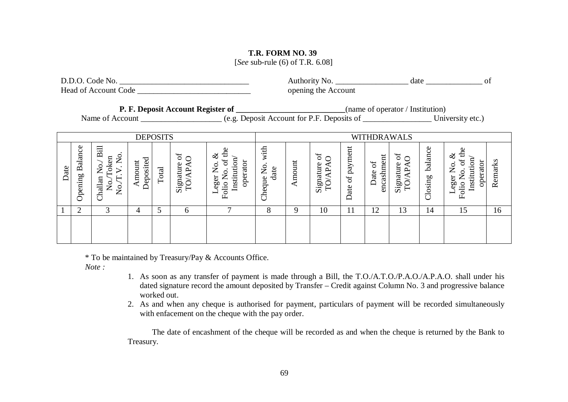[*See* sub-rule (6) of T.R. 6.08]

| D.D.O. Code No.                                                                                                                                                                                                               |                             |                                                |                     |                 |                         |                                                             |                         | opening the Account |                         |                 |                       |                         |                 |                                                             |         |
|-------------------------------------------------------------------------------------------------------------------------------------------------------------------------------------------------------------------------------|-----------------------------|------------------------------------------------|---------------------|-----------------|-------------------------|-------------------------------------------------------------|-------------------------|---------------------|-------------------------|-----------------|-----------------------|-------------------------|-----------------|-------------------------------------------------------------|---------|
| P. F. Deposit Account Register of _______________________________(name of operator / Institution)<br>Name of Account ______________________ (e.g. Deposit Account for P.F. Deposits of _____________________ University etc.) |                             |                                                |                     |                 |                         |                                                             |                         |                     |                         |                 |                       |                         |                 |                                                             |         |
|                                                                                                                                                                                                                               |                             |                                                |                     | <b>DEPOSITS</b> |                         |                                                             |                         |                     |                         |                 | <b>WITHDRAWALS</b>    |                         |                 |                                                             |         |
| Date                                                                                                                                                                                                                          | Opening Balance             | Challan No./ Bill<br>No./Token<br>No./T.V. No. | Amount<br>Deposited | Total           | Signature of<br>TO/APAO | Leger No. &<br>Folio No. of the<br>Institution/<br>operator | Cheque No. with<br>date | Amount              | Signature of<br>TO/APAO | Date of payment | Date of<br>encashment | Signature of<br>TO/APAO | Closing balance | Leger No. &<br>Folio No. of the<br>Institution/<br>operator | Remarks |
|                                                                                                                                                                                                                               | $\mathcal{D}_{\mathcal{L}}$ | $\mathcal{R}$                                  | 4                   | 5               | 6                       |                                                             | 8                       | 9                   | 10                      | 11              | 12                    | 13                      | 14              | 15                                                          | 16      |
|                                                                                                                                                                                                                               |                             |                                                |                     |                 |                         |                                                             |                         |                     |                         |                 |                       |                         |                 |                                                             |         |

\* To be maintained by Treasury/Pay & Accounts Office.

*Note :* 

- 1. As soon as any transfer of payment is made through a Bill, the T.O./A.T.O./P.A.O./A.P.A.O. shall under his dated signature record the amount deposited by Transfer – Credit against Column No. 3 and progressive balance worked out.
- 2. As and when any cheque is authorised for payment, particulars of payment will be recorded simultaneously with enfacement on the cheque with the pay order.

The date of encashment of the cheque will be recorded as and when the cheque is returned by the Bank to Treasury.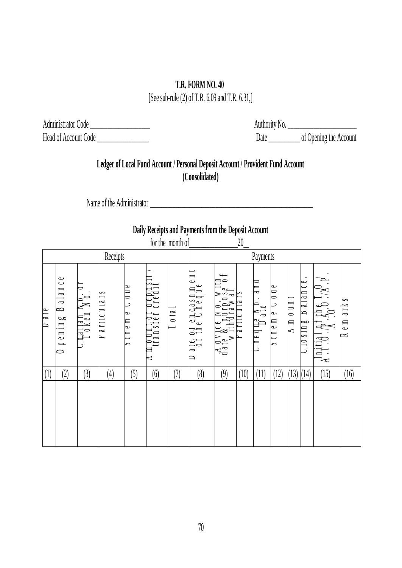[See sub-rule (2) of T.R. 6.09 and T.R. 6.31,]

Administrator Code \_\_\_\_\_\_\_\_\_\_\_\_\_\_\_\_\_\_\_\_\_ Head of Account Code \_\_\_\_\_\_\_\_\_\_\_\_\_\_\_\_\_\_

Authority No. \_\_\_\_\_\_\_\_\_\_\_\_\_\_\_\_\_\_\_\_\_\_\_\_ Date \_\_\_\_\_\_\_\_\_\_\_ of Opening the Account

# **Ledger of Local Fund Account / Personal Deposit Account / Provident Fund Account (Consolidated)**

Name of the Administrator \_\_\_\_\_\_\_\_\_\_\_\_\_\_\_\_\_\_\_\_\_\_\_\_\_\_\_\_\_\_\_\_\_\_\_\_\_\_\_\_\_\_\_\_\_\_\_\_\_\_\_\_\_\_\_\_\_

# **Daily Receipts and Payments from the Deposit Account**

| IUI LIIU IIIUIIIII UL |                                                                          |                                               |                             |                                        |                                                         |                  |                                                                                                                                                                                                                                                                        |                                                                                                                                                                                                                                                                                                                                                                                                                                                  | $\omega_{-}$ |                           |                         |                                                              |                                                         |                                                                            |                                      |
|-----------------------|--------------------------------------------------------------------------|-----------------------------------------------|-----------------------------|----------------------------------------|---------------------------------------------------------|------------------|------------------------------------------------------------------------------------------------------------------------------------------------------------------------------------------------------------------------------------------------------------------------|--------------------------------------------------------------------------------------------------------------------------------------------------------------------------------------------------------------------------------------------------------------------------------------------------------------------------------------------------------------------------------------------------------------------------------------------------|--------------|---------------------------|-------------------------|--------------------------------------------------------------|---------------------------------------------------------|----------------------------------------------------------------------------|--------------------------------------|
|                       | Receipts                                                                 |                                               |                             |                                        |                                                         |                  | Payments                                                                                                                                                                                                                                                               |                                                                                                                                                                                                                                                                                                                                                                                                                                                  |              |                           |                         |                                                              |                                                         |                                                                            |                                      |
| ale<br>▭              | lance<br>$\overline{a}$<br>$\Rightarrow$<br><b>ad</b><br>$\Box$<br>p e n | $\circ$<br>$\frac{\ln a \cdot 1}{1}$ oken No. | $\sim$<br>a r t 1 c u 1 a r | ⊵<br>$\overline{\phantom{a}}$<br>bcnem | 0 u n t o 1 d e p o s<br>tra n s f e r c r e d 1 t<br>A | 0 <sup>1</sup> a | D<br>$\begin{array}{c} \texttt{ate}, \texttt{ot} \texttt{e}, \texttt{e}, \texttt{h}, \texttt{a}, \texttt{v}, \texttt{m} \\ \texttt{0} \texttt{f}, \texttt{f}, \texttt{h} \texttt{e}, \texttt{C} \texttt{h}, \texttt{e} \texttt{q}, \texttt{u}, \texttt{e} \end{array}$ | $\frac{1}{10}$<br>$\begin{array}{l} \text{d} \text{a} \text{t} \text{e} & \text{y} \text{c} \text{e} & \text{N} \text{ o} \text{ . } \text{w} \text{ II} \\ \text{d} \text{a} \text{t} \text{e} & \text{g} \text{c} & \text{p} \text{u} \text{r} \text{p} \text{ o} \text{ s} \text{e} \\ \text{w} \text{ 1} \text{t} \text{h} \text{d} \text{r} \text{a} \text{w} \text{ a} \text{I} \\ \text{w} \text{ 1} \text{t} \text{d} \text{r} & \text{$ |              | ᆖ<br>$a \neq$<br>neque No | ∾<br>$\bullet$<br>pcnem | $0 \, \mathrm{I} \, \mathrm{I}$<br>$\mathbb{R}^{\mathbb{N}}$ | م<br>$\overline{\phantom{0}}$<br>a1a1<br>⊵<br>α<br>1180 | $\sum_{i=1}^{\infty}$<br>$A^{1n}$ $A^{11}$ $B^{1}$ $A^{1}$ $A^{n}$ $B^{n}$ | $\sim$<br>a r k<br>$\mathbb{H}$<br>≃ |
| (1)                   | (2)                                                                      | (3)                                           | $\left( 4\right)$           | (5)                                    | (6)                                                     | (7)              | (8)                                                                                                                                                                                                                                                                    | (9)                                                                                                                                                                                                                                                                                                                                                                                                                                              | (10)         | (11)                      | (12)                    | (13)                                                         | (14)                                                    | (15)                                                                       | (16)                                 |
|                       |                                                                          |                                               |                             |                                        |                                                         |                  |                                                                                                                                                                                                                                                                        |                                                                                                                                                                                                                                                                                                                                                                                                                                                  |              |                           |                         |                                                              |                                                         |                                                                            |                                      |

for the month of\_\_\_\_\_\_\_\_\_\_\_\_\_\_\_\_\_20\_\_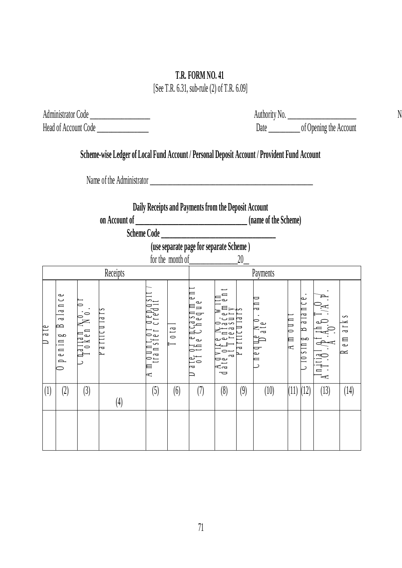[See T.R. 6.31, sub-rule (2) of T.R. 6.09]

 $\mathbb{N}$ 

| Administrator Code<br>Head of Account Code |                                                                                                                   |     |            |     |                                              |                |                                                                                                                         |              |     |                                                                                              |            |                                                     |      |                                 |
|--------------------------------------------|-------------------------------------------------------------------------------------------------------------------|-----|------------|-----|----------------------------------------------|----------------|-------------------------------------------------------------------------------------------------------------------------|--------------|-----|----------------------------------------------------------------------------------------------|------------|-----------------------------------------------------|------|---------------------------------|
|                                            |                                                                                                                   |     |            |     |                                              |                |                                                                                                                         |              |     |                                                                                              |            |                                                     |      |                                 |
|                                            |                                                                                                                   |     |            |     |                                              |                |                                                                                                                         |              |     | Scheme-wise Ledger of Local Fund Account / Personal Deposit Account / Provident Fund Account |            |                                                     |      |                                 |
|                                            |                                                                                                                   |     |            |     |                                              |                |                                                                                                                         |              |     |                                                                                              |            |                                                     |      |                                 |
|                                            |                                                                                                                   |     |            |     |                                              |                | Daily Receipts and Payments from the Deposit Account                                                                    |              |     |                                                                                              |            |                                                     |      |                                 |
|                                            |                                                                                                                   |     |            |     |                                              |                |                                                                                                                         |              |     |                                                                                              |            |                                                     |      |                                 |
|                                            |                                                                                                                   |     |            |     |                                              |                | (use separate page for separate Scheme)                                                                                 |              |     |                                                                                              |            |                                                     |      |                                 |
|                                            |                                                                                                                   |     |            |     |                                              |                | for the month of                                                                                                        |              | 20  |                                                                                              |            |                                                     |      |                                 |
|                                            |                                                                                                                   |     | Receipts   |     |                                              | Payments       |                                                                                                                         |              |     |                                                                                              |            |                                                     |      |                                 |
|                                            | مە<br>د<br>$\blacksquare$<br>$\overline{\phantom{a}}$<br>$\overline{z}$<br>⋍<br>$\alpha$<br>0.110<br>$\mathbf{p}$ |     | $d$ ricula |     | $\int \int d^2x$<br>ransier<br>Tansier<br>L, | 0 <sup>1</sup> | $\begin{array}{c}\n\mathbf{a} & \mathbf{m} \\ \mathbf{b} & \mathbf{c}\n\end{array}$<br>ှုပ<br>$160$ $10$ $10$ $10$ $10$ | $\epsilon$ a |     | $\mathbb{D}^{e}$ ate                                                                         | $A \cap A$ | ↩<br>$\approx$<br>$\frac{1}{2}$<br>R<br>αø<br>10811 |      | S<br>a <sub>L</sub><br>e m<br>≍ |
| (1)                                        | (2)                                                                                                               | (3) |            | (4) | (5)                                          | (6)            | (7)                                                                                                                     | (8)          | (9) | (10)                                                                                         |            | $(11)$ $(12)$                                       | (13) | (14)                            |
|                                            |                                                                                                                   |     |            |     |                                              |                |                                                                                                                         |              |     |                                                                                              |            |                                                     |      |                                 |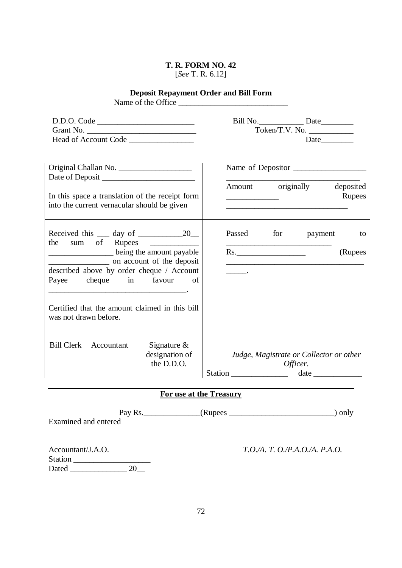#### **T. R. FORM NO. 42** [*See* T. R. 6.12]

### **Deposit Repayment Order and Bill Form**

Name of the Office

| D.D.O. Code                 | Bill No.       | Date |
|-----------------------------|----------------|------|
| Grant No.                   | Token/T.V. No. |      |
| <b>Head of Account Code</b> |                | Date |

|                                                                                                |                |  |                                              |            | Amount originally                       | deposited |  |
|------------------------------------------------------------------------------------------------|----------------|--|----------------------------------------------|------------|-----------------------------------------|-----------|--|
| In this space a translation of the receipt form<br>into the current vernacular should be given |                |  | the control of the control of the control of |            |                                         | Rupees    |  |
| Received this $\_\_\_$ day of $\_\_\_\_\_$ 20<br>the                                           |                |  |                                              | Passed for | payment                                 | to        |  |
| being the amount payable                                                                       |                |  |                                              | Rs.        |                                         | (Rupees   |  |
| on account of the deposit<br>described above by order cheque / Account                         |                |  |                                              |            |                                         |           |  |
| cheque in favour<br>Payee                                                                      | of             |  |                                              |            |                                         |           |  |
| Certified that the amount claimed in this bill<br>was not drawn before.                        |                |  |                                              |            |                                         |           |  |
| Bill Clerk Accountant                                                                          | Signature $\&$ |  |                                              |            |                                         |           |  |
|                                                                                                | designation of |  |                                              |            | Judge, Magistrate or Collector or other |           |  |
|                                                                                                | the D.D.O.     |  |                                              | Officer.   |                                         |           |  |
|                                                                                                |                |  |                                              |            | $date_$                                 |           |  |

### **For use at the Treasury**

| Examined and entered                         | Pay Rs. $\_\_\_\_\$ | only                           |
|----------------------------------------------|---------------------|--------------------------------|
| Accountant/J.A.O.<br><b>Station</b><br>Dated |                     | T.O./A. T. O./P.A.O./A. P.A.O. |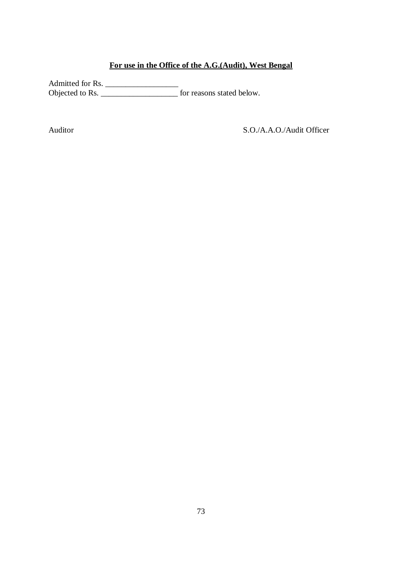### **For use in the Office of the A.G.(Audit), West Bengal**

Admitted for Rs. \_\_\_\_\_\_\_\_\_\_\_\_\_\_\_\_\_\_ Objected to Rs. \_\_\_\_\_\_\_\_\_\_\_\_\_\_\_\_\_\_\_ for reasons stated below.

Auditor S.O./A.A.O./Audit Officer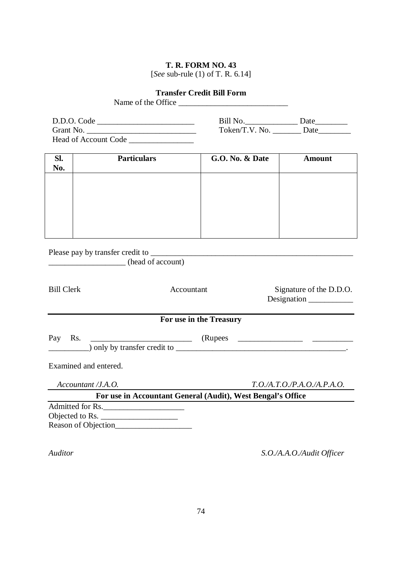[*See* sub-rule (1) of T. R. 6.14]

# **Transfer Credit Bill Form** Name of the Office \_\_\_\_\_\_\_\_\_\_\_\_\_\_\_\_\_\_\_\_\_\_\_\_\_\_\_

| D.D.O. Code          | Bill No.       | Date |
|----------------------|----------------|------|
| Grant No.            | Token/T.V. No. | Date |
| Head of Account Code |                |      |

| Sl.<br>No. | <b>Particulars</b> | <b>G.O. No. &amp; Date</b> | <b>Amount</b> |
|------------|--------------------|----------------------------|---------------|
|            |                    |                            |               |
|            |                    |                            |               |
|            |                    |                            |               |
|            |                    |                            |               |
|            |                    |                            |               |
|            |                    |                            |               |

| Please pay by transfer credit to |  |
|----------------------------------|--|
|                                  |  |

\_\_\_\_\_\_\_\_\_\_\_\_\_\_\_\_\_\_\_ (head of account)

| <b>Bill Clerk</b>                                                          | Accountant                                                  | Signature of the D.D.O.<br>Designation |
|----------------------------------------------------------------------------|-------------------------------------------------------------|----------------------------------------|
|                                                                            | For use in the Treasury                                     |                                        |
| Rs.<br>Pay<br><u> 1989 - Johann Barbara, martxa alemaniar a</u>            |                                                             |                                        |
| Examined and entered.                                                      |                                                             |                                        |
| Accountant /J.A.O.                                                         |                                                             | T.O.A.T.O.P.A.O.A.P.A.O.               |
|                                                                            | For use in Accountant General (Audit), West Bengal's Office |                                        |
| Admitted for Rs.<br>Objected to Rs. $\frac{1}{2}$ m<br>Reason of Objection |                                                             |                                        |

*Auditor S.O./A.A.O./Audit Officer*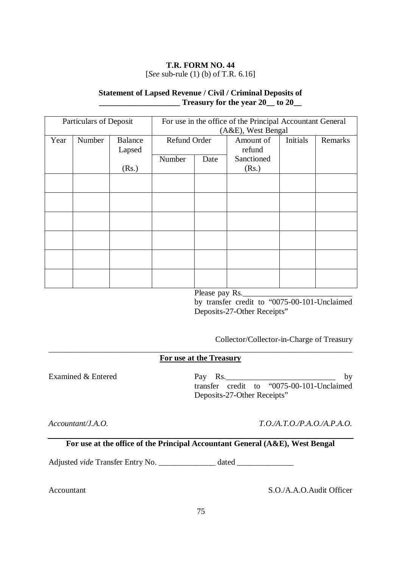# **T.R. FORM NO. 44**  [*See* sub-rule (1) (b) of T.R. 6.16]

### **Statement of Lapsed Revenue / Civil / Criminal Deposits of \_\_\_\_\_\_\_\_\_\_\_\_\_\_\_\_\_\_\_\_ Treasury for the year 20\_\_ to 20\_\_**

| Particulars of Deposit |        | For use in the office of the Principal Accountant General<br>(A&E), West Bengal |              |      |                     |          |         |
|------------------------|--------|---------------------------------------------------------------------------------|--------------|------|---------------------|----------|---------|
| Year                   | Number | <b>Balance</b><br>Lapsed                                                        | Refund Order |      | Amount of<br>refund | Initials | Remarks |
|                        |        | (Rs.)                                                                           | Number       | Date | Sanctioned<br>(Rs.) |          |         |
|                        |        |                                                                                 |              |      |                     |          |         |
|                        |        |                                                                                 |              |      |                     |          |         |
|                        |        |                                                                                 |              |      |                     |          |         |
|                        |        |                                                                                 |              |      |                     |          |         |
|                        |        |                                                                                 |              |      |                     |          |         |
|                        |        |                                                                                 |              |      |                     |          |         |

Please pay Rs.

by transfer credit to "0075-00-101-Unclaimed Deposits-27-Other Receipts"

Collector/Collector-in-Charge of Treasury

#### \_\_\_\_\_\_\_\_\_\_\_\_\_\_\_\_\_\_\_\_\_\_\_\_\_\_\_\_\_\_\_\_\_\_\_\_\_\_\_\_\_\_\_\_\_\_\_\_\_\_\_\_\_\_\_\_\_\_\_\_\_\_\_\_\_\_\_\_\_\_\_\_\_\_\_ **For use at the Treasury**

Examined & Entered

Pay Rs.\_\_\_\_\_\_\_\_\_\_\_\_\_\_\_\_\_\_\_\_\_\_\_\_\_\_\_ by transfer credit to "0075-00-101-Unclaimed Deposits-27-Other Receipts"

*Accountant/J.A.O.*

*T.O./A.T.O./P.A.O./A.P.A.O.*

**For use at the office of the Principal Accountant General (A&E), West Bengal**

Adjusted *vide* Transfer Entry No. \_\_\_\_\_\_\_\_\_\_\_\_\_\_\_ dated \_\_\_\_\_\_\_\_\_\_\_\_\_\_\_\_\_\_\_\_\_\_\_\_

Accountant S.O./A.A.O.Audit Officer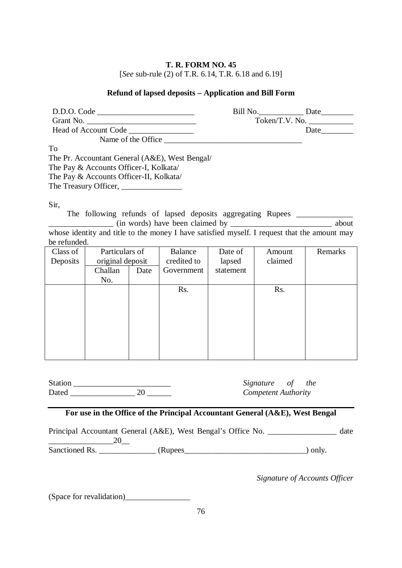### **T. R. FORM NO. 45**  [*See* sub-rule (2) of T.R. 6.14, T.R. 6.18 and 6.19]

# **Refund of lapsed deposits – Application and Bill Form**

| D.D.O. Code                                                                                                       | Bill No. Date |                |
|-------------------------------------------------------------------------------------------------------------------|---------------|----------------|
| Grant No. $\frac{1}{2}$ Services of No. $\frac{1}{2}$ Services of No. $\frac{1}{2}$ Services of No. $\frac{1}{2}$ |               | Token/T.V. No. |
|                                                                                                                   |               |                |
|                                                                                                                   |               |                |
| To                                                                                                                |               |                |
| The Pr. Accountant General (A&E), West Bengal/                                                                    |               |                |
| The Pay & Accounts Officer-I, Kolkata/                                                                            |               |                |
| The Pay & Accounts Officer-II, Kolkata/                                                                           |               |                |
| The Treasury Officer, _______________                                                                             |               |                |
|                                                                                                                   |               |                |

Sir,

The following refunds of lapsed deposits aggregating Rupees \_\_\_\_\_\_\_\_\_\_\_\_\_\_\_\_\_\_\_\_ \_\_\_\_\_\_\_\_\_\_\_\_\_\_\_\_ (in words) have been claimed by \_\_\_\_\_\_\_\_\_\_\_\_\_\_\_\_\_\_\_\_\_\_\_\_\_ about

whose identity and title to the money I have satisfied myself. I request that the amount may be refunded.

| Class of<br>Deposits | Particulars of<br>original deposit |      | Balance<br>credited to | Date of<br>lapsed | Amount<br>claimed | Remarks |
|----------------------|------------------------------------|------|------------------------|-------------------|-------------------|---------|
|                      | Challan                            | Date | Government             | statement         |                   |         |
|                      | No.                                |      |                        |                   |                   |         |
|                      |                                    |      | Rs.                    |                   | Rs.               |         |
|                      |                                    |      |                        |                   |                   |         |
|                      |                                    |      |                        |                   |                   |         |
|                      |                                    |      |                        |                   |                   |         |
|                      |                                    |      |                        |                   |                   |         |
|                      |                                    |      |                        |                   |                   |         |
|                      |                                    |      |                        |                   |                   |         |
|                      |                                    |      |                        |                   |                   |         |

Station \_\_\_\_\_\_\_\_\_\_\_\_\_\_\_\_\_\_\_\_\_\_\_\_ Dated  $\overline{\qquad \qquad }$  20

*Signature of the Competent Authority*

# **For use in the Office of the Principal Accountant General (A&E), West Bengal**

Principal Accountant General (A&E), West Bengal's Office No. \_\_\_\_\_\_\_\_\_\_\_\_\_\_\_\_\_\_ date  $20$ 

Sanctioned Rs. \_\_\_\_\_\_\_\_\_\_\_\_\_\_ (Rupees\_\_\_\_\_\_\_\_\_\_\_\_\_\_\_\_\_\_\_\_\_\_\_\_\_\_\_\_\_\_) only.

*Signature of Accounts Officer*

(Space for revalidation)\_\_\_\_\_\_\_\_\_\_\_\_\_\_\_\_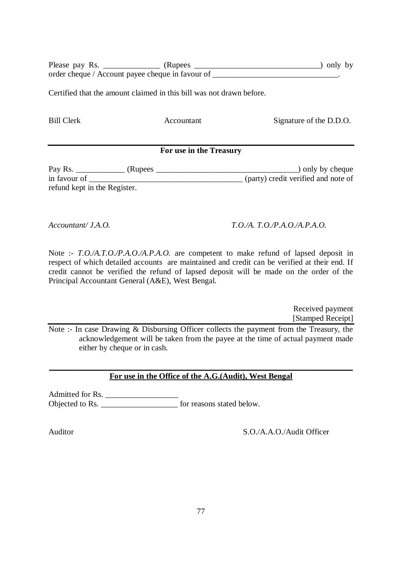Please pay Rs. \_\_\_\_\_\_\_\_\_\_\_\_\_\_ (Rupees \_\_\_\_\_\_\_\_\_\_\_\_\_\_\_\_\_\_\_\_\_\_\_\_\_\_\_\_\_\_\_) only by order cheque / Account payee cheque in favour of \_\_\_\_\_\_\_\_\_\_\_\_\_\_\_\_\_\_\_\_\_\_\_\_\_\_\_\_\_\_\_.

Certified that the amount claimed in this bill was not drawn before.

Bill Clerk Accountant Signature of the D.D.O.

### **For use in the Treasury**

Pay Rs. \_\_\_\_\_\_\_\_\_\_\_\_ (Rupees \_\_\_\_\_\_\_\_\_\_\_\_\_\_\_\_\_\_\_\_\_\_\_\_\_\_\_\_\_\_\_\_\_\_\_) only by cheque  $\overline{\text{(party) credit verified and note of}}$ refund kept in the Register.

### *Accountant/ J.A.O. T.O./A. T.O./P.A.O./A.P.A.O.*

Note :- *T.O./A.T.O./P.A.O./A.P.A.O.* are competent to make refund of lapsed deposit in respect of which detailed accounts are maintained and credit can be verified at their end. If credit cannot be verified the refund of lapsed deposit will be made on the order of the Principal Accountant General (A&E), West Bengal.

> Received payment [Stamped Receipt]

Note :- In case Drawing & Disbursing Officer collects the payment from the Treasury, the acknowledgement will be taken from the payee at the time of actual payment made either by cheque or in cash.

#### **\_\_\_\_\_\_\_\_\_\_\_\_\_\_\_\_\_\_\_\_\_\_\_\_\_\_\_\_\_\_\_\_\_\_\_\_\_\_\_\_\_\_\_\_\_\_\_\_\_\_\_\_\_\_\_\_\_\_\_\_\_\_\_\_\_\_\_\_\_\_\_\_\_\_\_ For use in the Office of the A.G.(Audit), West Bengal**

Admitted for Rs. Objected to Rs. \_\_\_\_\_\_\_\_\_\_\_\_\_\_\_\_\_\_\_ for reasons stated below.

Auditor S.O./A.A.O./Audit Officer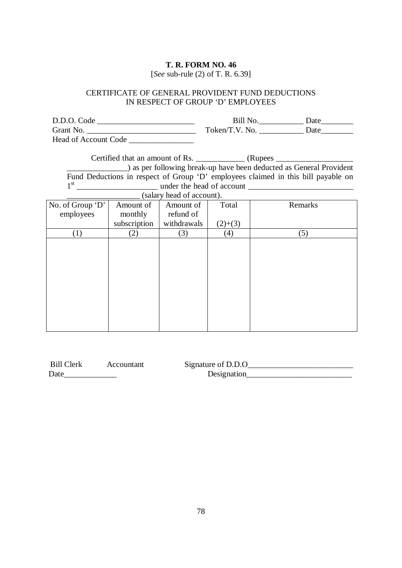[*See* sub-rule (2) of T. R. 6.39]

# CERTIFICATE OF GENERAL PROVIDENT FUND DEDUCTIONS IN RESPECT OF GROUP 'D' EMPLOYEES

| D.D.O. Code          | Bill No        | Date |
|----------------------|----------------|------|
| Grant No.            | Token/T.V. No. | Date |
| Head of Account Code |                |      |

| Certified that an amount of Rs.              | (Rupees                                                                           |
|----------------------------------------------|-----------------------------------------------------------------------------------|
|                                              | ) as per following break-up have been deducted as General Provident               |
|                                              | Fund Deductions in respect of Group 'D' employees claimed in this bill payable on |
| 1 <sup>st</sup><br>under the head of account |                                                                                   |
| (salary head of account).                    |                                                                                   |

| <b>Bill Clerk</b> | Accountant | Signature of D.D.O |  |
|-------------------|------------|--------------------|--|
| Date              |            | Designation        |  |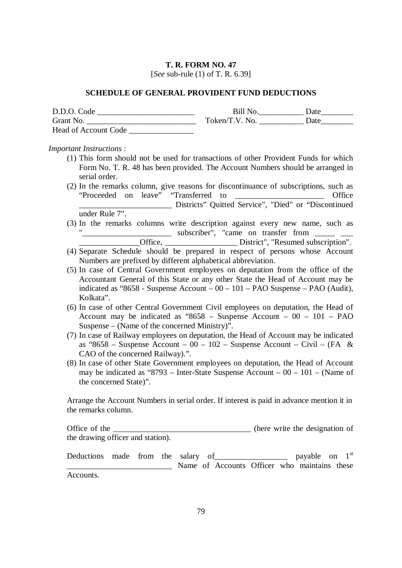[*See* sub-rule (1) of T. R. 6.39]

#### **SCHEDULE OF GENERAL PROVIDENT FUND DEDUCTIONS**

| D.D.O. Code                 | Bill No.       | Date |
|-----------------------------|----------------|------|
| Grant No.                   | Token/T.V. No. | Date |
| <b>Head of Account Code</b> |                |      |

#### *Important Instructions* :

- (1) This form should not be used for transactions of other Provident Funds for which Form No. T. R. 48 has been provided. The Account Numbers should be arranged in serial order.
- (2) In the remarks column, give reasons for discontinuance of subscriptions, such as "Proceeded on leave" "Transferred to \_\_\_\_\_\_\_\_\_\_\_\_\_\_\_\_\_\_\_\_\_\_ Office \_\_\_\_\_\_\_\_\_\_\_\_\_\_\_\_\_\_\_\_\_\_\_ Districts" Quitted Service", "Died" or "Discontinued under Rule 7".
- (3) In the remarks columns write description against every new name, such as " $\frac{1}{2}$  subscriber", "came on transfer from  $\frac{1}{2}$  \_\_\_
	- \_\_\_\_\_\_\_\_\_\_\_\_\_\_\_Office, \_\_\_\_\_\_\_\_\_\_\_\_\_\_\_\_\_\_ District", "Resumed subscription".
- (4) Separate Schedule should be prepared in respect of persons whose Account Numbers are prefixed by different alphabetical abbreviation.
- (5) In case of Central Government employees on deputation from the office of the Accountant General of this State or any other State the Head of Account may be indicated as "8658 - Suspense Account –  $00 - 101 - PAO$  Suspense – PAO (Audit), Kolkata".
- (6) In case of other Central Government Civil employees on deputation, the Head of Account may be indicated as "8658 – Suspense Account – 00 – 101 – PAO Suspense – (Name of the concerned Ministry)".
- (7) In case of Railway employees on deputation, the Head of Account may be indicated as "8658 – Suspense Account –  $00 - 102$  – Suspense Account – Civil – (FA & CAO of the concerned Railway).".
- (8) In case of other State Government employees on deputation, the Head of Account may be indicated as "8793 – Inter-State Suspense Account –  $00 - 101$  – (Name of the concerned State)".

Arrange the Account Numbers in serial order. If interest is paid in advance mention it in the remarks column.

Office of the \_\_\_\_\_\_\_\_\_\_\_\_\_\_\_\_\_\_\_\_\_\_\_\_\_\_\_\_\_\_\_\_\_ (here write the designation of the drawing officer and station).

Deductions made from the salary of 1983, 1993, 1993, 1994, 1998, 1994, 1996, 1998, 1998, 1998, 1998, 1998, 199  $1<sup>st</sup>$ \_\_\_\_\_\_\_\_\_\_\_\_\_\_\_\_\_\_\_\_\_\_\_\_\_\_ Name of Accounts Officer who maintains these Accounts.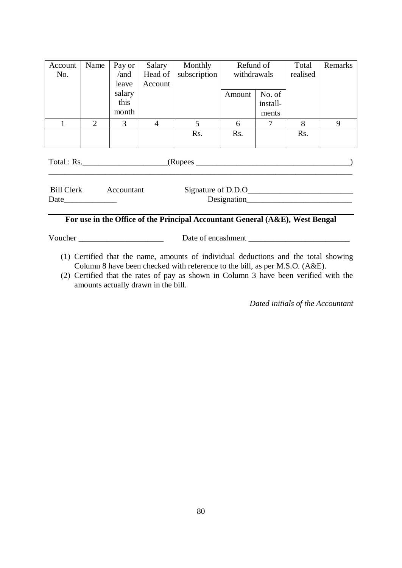| Account | Name | Pay or | Salary  | Monthly      | Refund of   |          | Total    | Remarks |
|---------|------|--------|---------|--------------|-------------|----------|----------|---------|
| No.     |      | /and   | Head of | subscription | withdrawals |          | realised |         |
|         |      | leave  | Account |              |             |          |          |         |
|         |      | salary |         |              | Amount      | No. of   |          |         |
|         |      | this   |         |              |             | install- |          |         |
|         |      | month  |         |              |             | ments    |          |         |
|         | 2    | 3      | 4       | 5            | 6           | ⇁        | 8        | 9       |
|         |      |        |         | Rs.          | Rs.         |          | Rs.      |         |
|         |      |        |         |              |             |          |          |         |

| Total : Rs. |            | (Rupees)           |  |
|-------------|------------|--------------------|--|
| Bill Clerk  | Accountant | Signature of D.D.O |  |
| Date        |            | Designation        |  |

# **For use in the Office of the Principal Accountant General (A&E), West Bengal**

Voucher \_\_\_\_\_\_\_\_\_\_\_\_\_\_\_\_\_\_\_\_\_ Date of encashment \_\_\_\_\_\_\_\_\_\_\_\_\_\_\_\_\_\_\_\_\_\_\_\_\_

- (1) Certified that the name, amounts of individual deductions and the total showing Column 8 have been checked with reference to the bill, as per M.S.O. (A&E).
- (2) Certified that the rates of pay as shown in Column 3 have been verified with the amounts actually drawn in the bill.

*Dated initials of the Accountant*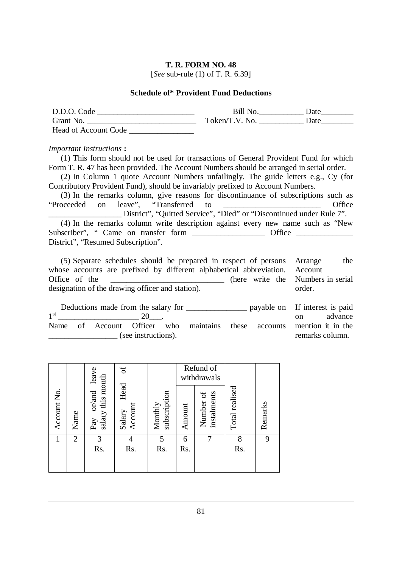[*See* sub-rule (1) of T. R. 6.39]

### **Schedule of\* Provident Fund Deductions**

| D.D.O. Code          | <b>Bill No.</b> | Date |
|----------------------|-----------------|------|
| Grant No.            | Token/T.V. No.  | Date |
| Head of Account Code |                 |      |

#### *Important Instructions* **:**

(1) This form should not be used for transactions of General Provident Fund for which Form T. R. 47 has been provided. The Account Numbers should be arranged in serial order.

(2) In Column 1 quote Account Numbers unfailingly. The guide letters e.g., Cy (for Contributory Provident Fund), should be invariably prefixed to Account Numbers.

(3) In the remarks column, give reasons for discontinuance of subscriptions such as "Proceeded on leave", "Transferred to \_\_\_\_\_\_\_\_\_\_\_\_\_\_\_\_\_\_\_\_\_\_\_\_ Office \_\_\_\_\_\_\_\_\_\_\_\_\_\_\_\_\_\_ District", "Quitted Service", "Died" or "Discontinued under Rule 7". (4) In the remarks column write description against every new name such as "New Subscriber", " Came on transfer form \_\_\_\_\_\_\_\_\_\_\_\_\_\_\_\_\_\_\_\_\_\_ Office \_\_\_\_\_\_\_\_\_\_\_\_\_ District", "Resumed Subscription".

| (5) Separate schedules should be prepared in respect of persons Arrange     | the                                |
|-----------------------------------------------------------------------------|------------------------------------|
| whose accounts are prefixed by different alphabetical abbreviation. Account |                                    |
| Office of the                                                               | (here write the Numbers in serial) |
| designation of the drawing officer and station).                            | order.                             |

|                     |  | Deductions made from the salary for |     |  |                                                                   | payable on If interest is paid |                 |         |
|---------------------|--|-------------------------------------|-----|--|-------------------------------------------------------------------|--------------------------------|-----------------|---------|
| 1 <sup>st</sup>     |  |                                     | 20. |  |                                                                   |                                | $\Omega$ n      | advance |
| Name                |  |                                     |     |  | of Account Officer who maintains these accounts mention it in the |                                |                 |         |
| (see instructions). |  |                                     |     |  |                                                                   |                                | remarks column. |         |

|             |                | $\omega$<br>leave                                                                   |                           |                         | Refund of<br>withdrawals |                          |                |         |
|-------------|----------------|-------------------------------------------------------------------------------------|---------------------------|-------------------------|--------------------------|--------------------------|----------------|---------|
| Account No. | Name           | salary this month<br>$\ensuremath{\text{or}}\xspace/\ensuremath{\text{and}}$<br>Pay | Head<br>Account<br>Salary | subscription<br>Monthly | Amount                   | instalments<br>Number of | Total realised | Remarks |
|             | $\overline{2}$ | 3                                                                                   |                           | 5                       | 6                        |                          | 8              | 9       |
|             |                | Rs.                                                                                 | Rs.                       | Rs.                     | Rs.                      |                          | Rs.            |         |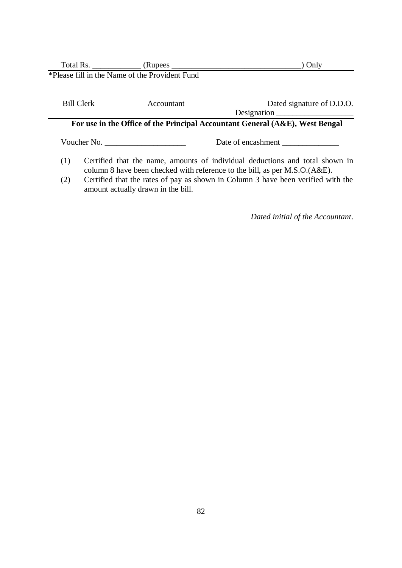|                                                                                                                               |                                                                                                                                                            |                                                | Only                                                                         |  |
|-------------------------------------------------------------------------------------------------------------------------------|------------------------------------------------------------------------------------------------------------------------------------------------------------|------------------------------------------------|------------------------------------------------------------------------------|--|
|                                                                                                                               |                                                                                                                                                            | *Please fill in the Name of the Provident Fund |                                                                              |  |
|                                                                                                                               |                                                                                                                                                            |                                                |                                                                              |  |
|                                                                                                                               | <b>Bill Clerk</b>                                                                                                                                          | Accountant                                     | Dated signature of D.D.O.                                                    |  |
|                                                                                                                               |                                                                                                                                                            |                                                | Designation                                                                  |  |
|                                                                                                                               |                                                                                                                                                            |                                                | For use in the Office of the Principal Accountant General (A&E), West Bengal |  |
|                                                                                                                               |                                                                                                                                                            | Voucher No.                                    | Date of encashment                                                           |  |
| (1)                                                                                                                           | Certified that the name, amounts of individual deductions and total shown in<br>column 8 have been checked with reference to the bill, as per M.S.O.(A&E). |                                                |                                                                              |  |
| Certified that the rates of pay as shown in Column 3 have been verified with the<br>(2)<br>amount actually drawn in the bill. |                                                                                                                                                            |                                                |                                                                              |  |

*Dated initial of the Accountant*.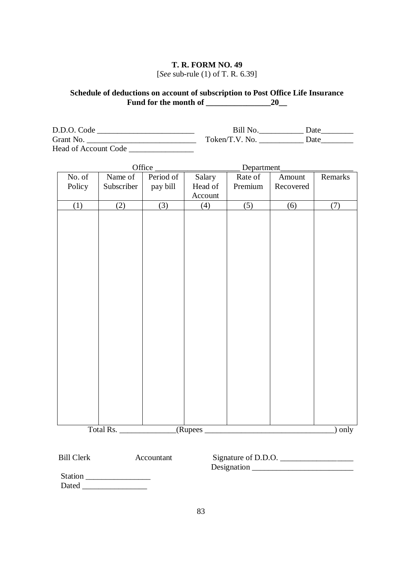### **T. R. FORM NO. 49** [*See* sub-rule (1) of T. R. 6.39]

### **Schedule of deductions on account of subscription to Post Office Life Insurance Fund for the month of \_\_\_\_\_\_\_\_\_\_\_\_\_\_\_\_20\_\_**

| D.D.O. Code                 | Bill No.       | Date |
|-----------------------------|----------------|------|
| Grant No.                   | Token/T.V. No. | Date |
| <b>Head of Account Code</b> |                |      |

|        |            | Office    |         | Department       |           |         |
|--------|------------|-----------|---------|------------------|-----------|---------|
| No. of | Name of    | Period of | Salary  | Rate of          | Amount    | Remarks |
| Policy | Subscriber | pay bill  | Head of | Premium          | Recovered |         |
|        |            |           | Account |                  |           |         |
| (1)    | (2)        | (3)       | (4)     | $\overline{(5)}$ | (6)       | (7)     |
|        |            |           |         |                  |           |         |
|        |            |           |         |                  |           |         |
|        |            |           |         |                  |           |         |
|        |            |           |         |                  |           |         |
|        |            |           |         |                  |           |         |
|        |            |           |         |                  |           |         |
|        |            |           |         |                  |           |         |
|        |            |           |         |                  |           |         |
|        |            |           |         |                  |           |         |
|        |            |           |         |                  |           |         |
|        |            |           |         |                  |           |         |
|        |            |           |         |                  |           |         |
|        |            |           |         |                  |           |         |
|        |            |           |         |                  |           |         |
|        |            |           |         |                  |           |         |
|        |            |           |         |                  |           |         |
|        |            |           |         |                  |           |         |
|        |            |           |         |                  |           |         |
|        |            |           |         |                  |           |         |
|        |            |           |         |                  |           |         |
|        |            |           |         |                  |           |         |
|        | Total Rs.  |           | (Rupees |                  |           | ) only  |
|        |            |           |         |                  |           |         |
|        |            |           |         |                  |           |         |

| <b>Bill Clerk</b> | Accountant | Signature of D.D.O. |  |
|-------------------|------------|---------------------|--|
|                   |            | Designation         |  |
| <b>Station</b>    |            |                     |  |
| Dated             |            |                     |  |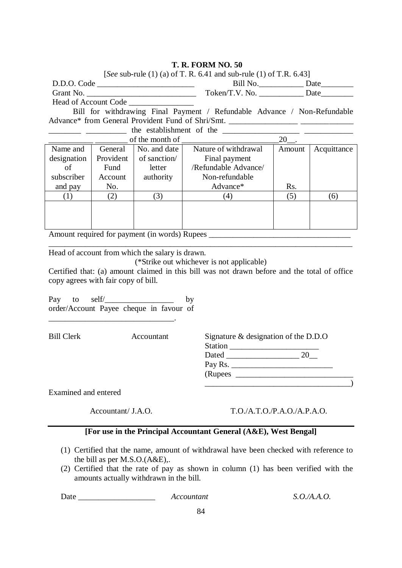| [See sub-rule (1) (a) of T. R. 6.41 and sub-rule (1) of T.R. 6.43]       |           |                                                 |                                                                                              |                      |             |  |  |  |  |
|--------------------------------------------------------------------------|-----------|-------------------------------------------------|----------------------------------------------------------------------------------------------|----------------------|-------------|--|--|--|--|
|                                                                          |           | D.D.O. Code                                     |                                                                                              | Bill No. Date        |             |  |  |  |  |
|                                                                          |           |                                                 |                                                                                              |                      |             |  |  |  |  |
|                                                                          |           | Head of Account Code                            |                                                                                              |                      |             |  |  |  |  |
| Bill for withdrawing Final Payment / Refundable Advance / Non-Refundable |           |                                                 |                                                                                              |                      |             |  |  |  |  |
|                                                                          |           |                                                 |                                                                                              |                      |             |  |  |  |  |
|                                                                          |           |                                                 |                                                                                              |                      |             |  |  |  |  |
|                                                                          |           | of the month of                                 |                                                                                              | $20$ <sub>--</sub> . |             |  |  |  |  |
| Name and                                                                 | General   | No. and date                                    | Nature of withdrawal                                                                         | Amount               | Acquittance |  |  |  |  |
| designation                                                              | Provident | of sanction/                                    | Final payment                                                                                |                      |             |  |  |  |  |
| of                                                                       | Fund      | letter                                          | /Refundable Advance/                                                                         |                      |             |  |  |  |  |
| subscriber                                                               | Account   | authority                                       | Non-refundable                                                                               |                      |             |  |  |  |  |
| and pay                                                                  | No.       |                                                 | Advance*                                                                                     | Rs.                  |             |  |  |  |  |
| (1)                                                                      | (2)       | (3)                                             | (4)                                                                                          | (5)                  | (6)         |  |  |  |  |
|                                                                          |           |                                                 |                                                                                              |                      |             |  |  |  |  |
|                                                                          |           |                                                 |                                                                                              |                      |             |  |  |  |  |
|                                                                          |           |                                                 |                                                                                              |                      |             |  |  |  |  |
|                                                                          |           |                                                 |                                                                                              |                      |             |  |  |  |  |
|                                                                          |           |                                                 |                                                                                              |                      |             |  |  |  |  |
|                                                                          |           | Head of account from which the salary is drawn. |                                                                                              |                      |             |  |  |  |  |
|                                                                          |           |                                                 | (*Strike out whichever is not applicable)                                                    |                      |             |  |  |  |  |
|                                                                          |           |                                                 | Certified that: (a) amount claimed in this bill was not drawn before and the total of office |                      |             |  |  |  |  |
| copy agrees with fair copy of bill.                                      |           |                                                 |                                                                                              |                      |             |  |  |  |  |
|                                                                          |           |                                                 |                                                                                              |                      |             |  |  |  |  |
|                                                                          |           | Pay to self $\angle$                            | by                                                                                           |                      |             |  |  |  |  |
|                                                                          |           | order/Account Payee cheque in favour of         |                                                                                              |                      |             |  |  |  |  |
|                                                                          |           |                                                 |                                                                                              |                      |             |  |  |  |  |
|                                                                          |           |                                                 |                                                                                              |                      |             |  |  |  |  |
| <b>Bill Clerk</b>                                                        |           | Accountant                                      | Signature & designation of the D.D.O                                                         |                      |             |  |  |  |  |
|                                                                          |           |                                                 |                                                                                              |                      |             |  |  |  |  |
|                                                                          |           |                                                 |                                                                                              |                      |             |  |  |  |  |
|                                                                          |           |                                                 |                                                                                              |                      |             |  |  |  |  |
|                                                                          |           |                                                 |                                                                                              |                      |             |  |  |  |  |
| Examined and entered                                                     |           |                                                 |                                                                                              |                      |             |  |  |  |  |
|                                                                          |           |                                                 |                                                                                              |                      |             |  |  |  |  |

Accountant/ J.A.O. T.O./A.T.O./P.A.O./A.P.A.O.

# **[For use in the Principal Accountant General (A&E), West Bengal]**

- (1) Certified that the name, amount of withdrawal have been checked with reference to the bill as per M.S.O.(A&E),.
- (2) Certified that the rate of pay as shown in column (1) has been verified with the amounts actually withdrawn in the bill.

Date \_\_\_\_\_\_\_\_\_\_\_\_\_\_\_\_\_\_\_ *Accountant S.O./A.A.O.*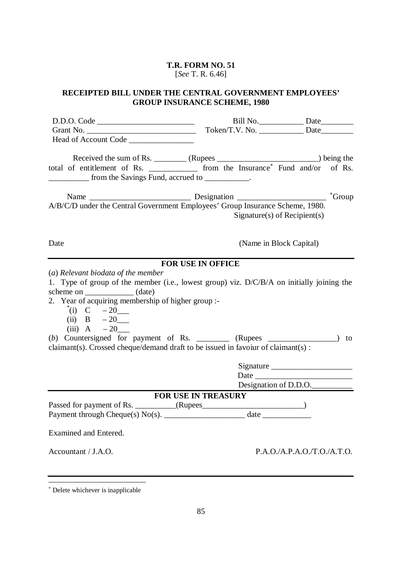### **T.R. FORM NO. 51**  [*See* T. R. 6.46]

### **RECEIPTED BILL UNDER THE CENTRAL GOVERNMENT EMPLOYEES' GROUP INSURANCE SCHEME, 1980**

D.D.O. Code \_\_\_\_\_\_\_\_\_\_\_\_\_\_\_\_\_\_\_\_\_\_\_\_ Grant No. Head of Account Code \_\_\_\_\_\_\_\_\_\_\_\_\_\_\_\_ Bill No. \_\_\_\_\_\_\_\_\_\_\_\_\_\_\_\_ Date\_\_\_\_\_\_\_\_\_\_\_ Token/T.V. No. \_\_\_\_\_\_\_\_\_\_\_\_\_\_\_ Date\_\_\_\_\_\_\_\_\_\_\_\_ Received the sum of Rs. \_\_\_\_\_\_\_ (Rupees \_\_\_\_\_\_\_\_\_\_\_\_\_\_\_\_\_\_\_\_\_\_\_\_) being the total of entitlement of Rs. \_\_\_\_\_\_\_\_\_\_\_\_\_ from the Insurance<sup>\*</sup> Fund and/or of Rs. \_\_\_\_\_\_\_\_\_\_ from the Savings Fund, accrued to \_\_\_\_\_\_\_\_\_\_\_. Name \_\_\_\_\_\_\_\_\_\_\_\_\_\_\_\_\_\_\_\_\_\_\_\_\_ Designation \_\_\_\_\_\_\_\_\_\_\_\_\_\_\_\_\_\_\_\_\_\_ Group A/B/C/D under the Central Government Employees' Group Insurance Scheme, 1980. Date Signature(s) of Recipient(s) (Name in Block Capital) **FOR USE IN OFFICE** (*a*) *Relevant biodata of the member* 1. Type of group of the member (i.e., lowest group) viz. D/C/B/A on initially joining the scheme on \_\_\_\_\_\_\_\_\_\_\_\_\_ (date) 2. Year of acquiring membership of higher group :- \* (i) C – 20\_\_\_ (ii)  $B - 20$ (iii)  $A = 20$ (*b*) Countersigned for payment of Rs.  $\qquad \qquad$  (Rupees  $\qquad \qquad$  ) to claimant(s). Crossed cheque/demand draft to be issued in favoiur of claimant(s) : Signature Date Designation of D.D.O. **FOR USE IN TREASURY** Passed for payment of Rs. \_\_\_\_\_\_\_\_\_\_\_(Rupees\_\_\_\_\_\_\_\_\_\_\_\_\_\_\_\_\_\_\_\_\_\_\_\_\_\_\_\_\_) Payment through Cheque(s) No(s). \_\_\_\_\_\_\_\_\_\_\_\_\_\_\_\_\_\_\_\_ date \_\_\_\_\_\_\_\_\_\_\_\_ Examined and Entered. Accountant / J.A.O. P.A.O./A.P.A.O./T.O./A.T.O.

 $\overline{a}$ 

 Delete whichever is inapplicable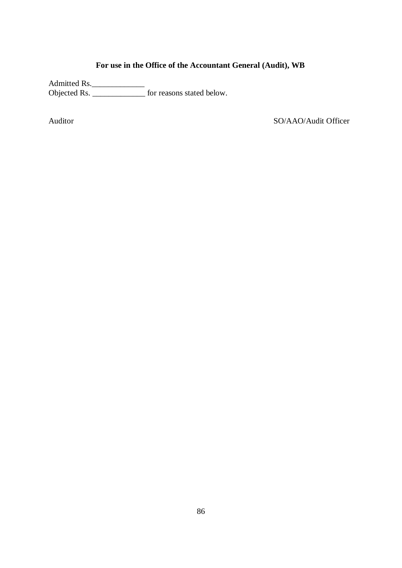# **For use in the Office of the Accountant General (Audit), WB**

Admitted Rs.\_\_\_\_\_\_\_\_\_\_\_\_\_ Objected Rs. \_\_\_\_\_\_\_\_\_\_\_\_\_ for reasons stated below.

Auditor SO/AAO/Audit Officer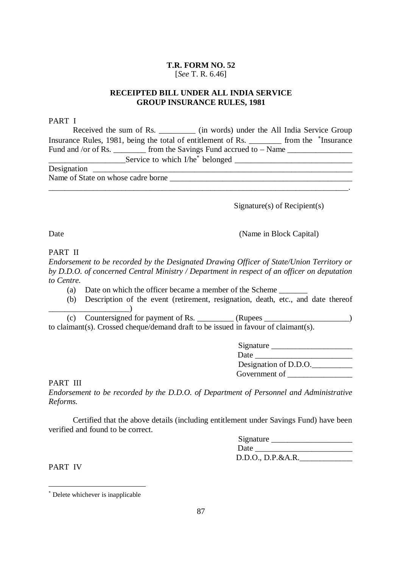### **T.R. FORM NO. 52**  [*See* T. R. 6.46]

### **RECEIPTED BILL UNDER ALL INDIA SERVICE GROUP INSURANCE RULES, 1981**

### PART I

| Received the sum of Rs. _________ (in words) under the All India Service Group                       |  |  |  |  |  |  |
|------------------------------------------------------------------------------------------------------|--|--|--|--|--|--|
| Insurance Rules, 1981, being the total of entitlement of Rs. ________ from the *Insurance            |  |  |  |  |  |  |
| Fund and /or of Rs. _________ from the Savings Fund accrued to – Name ______________________________ |  |  |  |  |  |  |
|                                                                                                      |  |  |  |  |  |  |
|                                                                                                      |  |  |  |  |  |  |
| Name of State on whose cadre borne                                                                   |  |  |  |  |  |  |
|                                                                                                      |  |  |  |  |  |  |

Signature(s) of Recipient(s)

(Name in Block Capital)

Date

PART II

*Endorsement to be recorded by the Designated Drawing Officer of State/Union Territory or by D.D.O. of concerned Central Ministry / Department in respect of an officer on deputation to Centre.*

- (a) Date on which the officer became a member of the Scheme \_\_\_\_\_\_\_
- (b) Description of the event (retirement, resignation, death, etc., and date thereof \_\_\_\_\_\_\_\_\_\_\_\_\_\_\_\_\_\_\_\_)

(c) Countersigned for payment of Rs.  $\qquad \qquad$  (Rupees to claimant(s). Crossed cheque/demand draft to be issued in favour of claimant(s).

| Signature             |
|-----------------------|
| Date                  |
| Designation of D.D.O. |
| Government of         |

PART III

*Endorsement to be recorded by the D.D.O. of Department of Personnel and Administrative Reforms.*

Certified that the above details (including entitlement under Savings Fund) have been verified and found to be correct.

| Signature         |  |
|-------------------|--|
| Date              |  |
| D.D.O., D.P.&A.R. |  |

PART IV

 $\overline{a}$ Delete whichever is inapplicable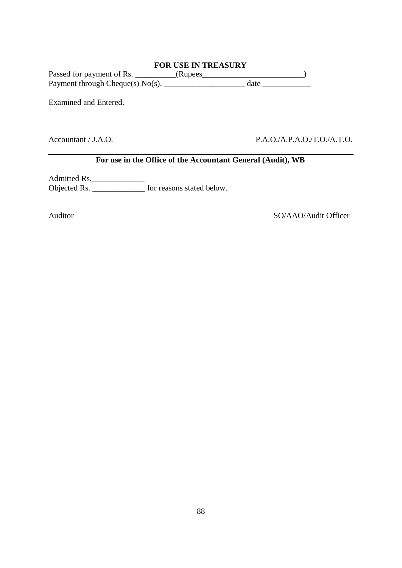# **FOR USE IN TREASURY**

Passed for payment of Rs. \_\_\_\_\_\_\_\_\_\_\_(Rupees\_\_\_\_\_\_\_\_\_\_\_\_\_\_\_\_\_\_\_\_\_\_\_\_\_\_\_\_\_) Payment through Cheque(s) No(s). \_\_\_\_\_\_\_\_\_\_\_\_\_\_\_\_\_\_\_\_ date \_\_\_\_\_\_\_\_\_\_\_\_

Examined and Entered.

Accountant / J.A.O. P.A.O./A.P.A.O./T.O./A.T.O.

# **For use in the Office of the Accountant General (Audit), WB**

Admitted Rs. Objected Rs. \_\_\_\_\_\_\_\_\_\_\_\_\_\_\_\_\_\_\_ for reasons stated below.

Auditor SO/AAO/Audit Officer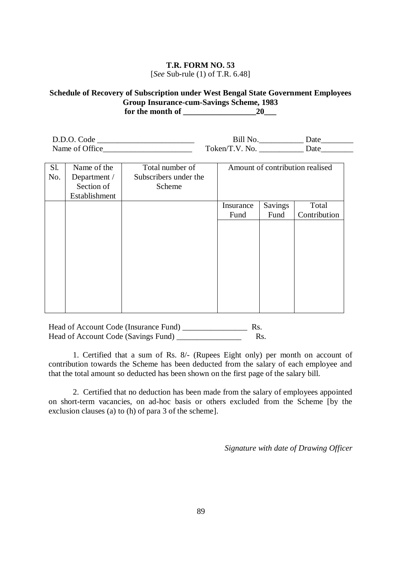### **T.R. FORM NO. 53**  [*See* Sub-rule (1) of T.R. 6.48]

### **Schedule of Recovery of Subscription under West Bengal State Government Employees Group Insurance-cum-Savings Scheme, 1983 for the month of \_\_\_\_\_\_\_\_\_\_\_\_\_\_\_\_\_\_20\_\_\_**

| D.D.O. Code    |                        | Jate         |
|----------------|------------------------|--------------|
| Name of Office | $\Gamma$ oken/T.V. No. | Jat <i>e</i> |

| Sl.<br>No. | Name of the<br>Department /<br>Section of<br>Establishment | Total number of<br>Subscribers under the<br>Scheme | Amount of contribution realised |                |              |  |
|------------|------------------------------------------------------------|----------------------------------------------------|---------------------------------|----------------|--------------|--|
|            |                                                            |                                                    | Insurance                       | <b>Savings</b> | Total        |  |
|            |                                                            |                                                    | Fund                            | Fund           | Contribution |  |
|            |                                                            |                                                    |                                 |                |              |  |
|            |                                                            |                                                    |                                 |                |              |  |
|            |                                                            |                                                    |                                 |                |              |  |
|            |                                                            |                                                    |                                 |                |              |  |
|            |                                                            |                                                    |                                 |                |              |  |
|            |                                                            |                                                    |                                 |                |              |  |
|            |                                                            |                                                    |                                 |                |              |  |

Head of Account Code (Insurance Fund) \_\_\_\_\_\_\_\_\_\_\_\_\_\_\_\_ Rs. Head of Account Code (Savings Fund) \_\_\_\_\_\_\_\_\_\_\_\_\_\_\_\_ Rs.

1. Certified that a sum of Rs. 8/- (Rupees Eight only) per month on account of contribution towards the Scheme has been deducted from the salary of each employee and that the total amount so deducted has been shown on the first page of the salary bill.

2. Certified that no deduction has been made from the salary of employees appointed on short-term vacancies, on ad-hoc basis or others excluded from the Scheme [by the exclusion clauses (a) to (h) of para 3 of the scheme].

*Signature with date of Drawing Officer*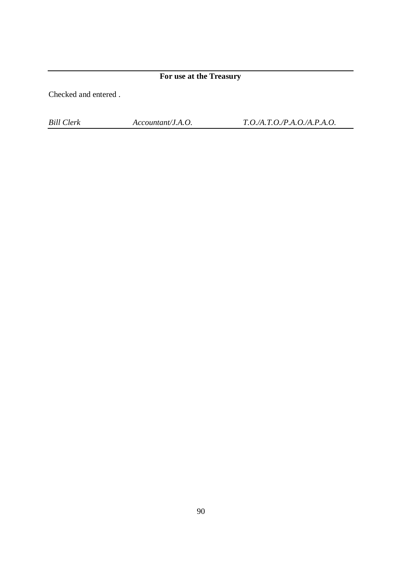**For use at the Treasury**

Checked and entered .

*Bill Clerk Accountant/J.A.O. T.O./A.T.O./P.A.O./A.P.A.O.*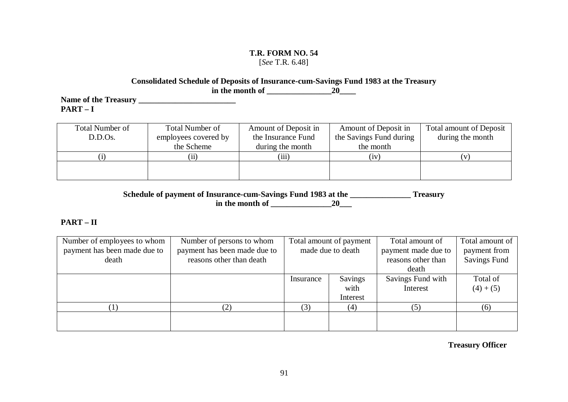### **T.R. FORM NO. 54**  [*See* T.R. 6.48]

### **Consolidated Schedule of Deposits of Insurance-cum-Savings Fund 1983 at the Treasury in the month of \_\_\_\_\_\_\_\_\_\_\_\_\_\_\_\_20\_\_\_\_**

**Name of the Treasury \_\_\_\_\_\_\_\_\_\_\_\_\_\_\_\_\_\_\_\_\_\_\_\_ PART – I** 

| Total Number of | <b>Total Number of</b> | Amount of Deposit in | Amount of Deposit in    | <b>Total amount of Deposit</b> |
|-----------------|------------------------|----------------------|-------------------------|--------------------------------|
| D.D.Os.         | employees covered by   | the Insurance Fund   | the Savings Fund during | during the month               |
|                 | the Scheme             | during the month     | the month               |                                |
|                 | (ii)                   | (iii)                | (iv)                    |                                |
|                 |                        |                      |                         |                                |
|                 |                        |                      |                         |                                |

**Schedule of payment of Insurance-cum-Savings Fund 1983 at the \_\_\_\_\_\_\_\_\_\_\_\_\_\_\_ Treasury in the month of \_\_\_\_\_\_\_\_\_\_\_\_\_\_\_20\_\_\_**

# **PART – II**

| Number of employees to whom  | Number of persons to whom    | Total amount of payment |                   | Total amount of     | Total amount of     |
|------------------------------|------------------------------|-------------------------|-------------------|---------------------|---------------------|
| payment has been made due to | payment has been made due to |                         | made due to death | payment made due to | payment from        |
| death                        | reasons other than death     |                         |                   | reasons other than  | <b>Savings Fund</b> |
|                              |                              |                         |                   | death               |                     |
|                              |                              | Savings<br>Insurance    |                   | Savings Fund with   | Total of            |
|                              |                              |                         | with              | Interest            | $(4) + (5)$         |
|                              |                              |                         | Interest          |                     |                     |
|                              | 2)                           | (3)                     | (4)               | (5)                 | (6)                 |
|                              |                              |                         |                   |                     |                     |
|                              |                              |                         |                   |                     |                     |

**Treasury Officer**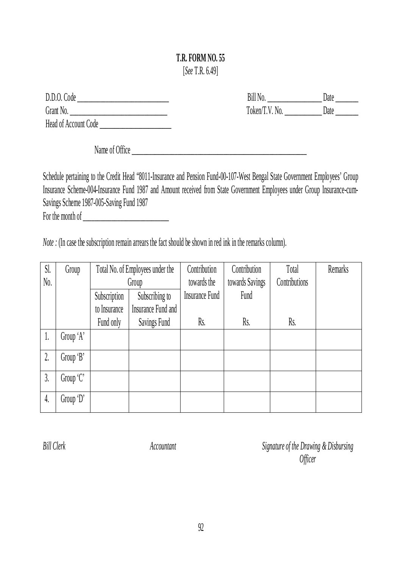# **T.R. FORM NO. 55**  [*See* T.R. 6.49]

| D.D.O. Code          |
|----------------------|
| Grant No.            |
| Head of Account Code |

Bill No. \_\_\_\_\_\_\_\_\_\_\_\_\_\_\_\_\_\_\_ Date \_\_\_\_\_\_\_\_ Token/T.V. No. \_\_\_\_\_\_\_\_\_\_\_\_\_\_\_ Date \_\_\_\_\_\_\_\_\_

Name of Office

Schedule pertaining to the Credit Head "8011-Insurance and Pension Fund-00-107-West Bengal State Government Employees' Group Insurance Scheme-004-Insurance Fund 1987 and Amount received from State Government Employees under Group Insurance-cum-Savings Scheme 1987-005-Saving Fund 1987 For the month of \_\_\_\_\_\_\_\_\_\_\_\_\_\_\_\_\_\_\_\_\_\_\_\_\_\_\_\_\_\_

*Note* : (In case the subscription remain arrears the fact should be shown in red ink in the remarks column).

| Sl.       | Group     |                           | Total No. of Employees under the | Contribution          | Contribution    | Total         | Remarks |
|-----------|-----------|---------------------------|----------------------------------|-----------------------|-----------------|---------------|---------|
| No.       |           |                           | Group                            | towards the           | towards Savings | Contributions |         |
|           |           | Subscription              | Subscribing to                   | <b>Insurance Fund</b> | Fund            |               |         |
|           |           | to Insurance              | Insurance Fund and               |                       |                 |               |         |
|           |           | Fund only<br>Savings Fund |                                  | Rs.                   | Rs.             | Rs.           |         |
| 1.        | Group 'A' |                           |                                  |                       |                 |               |         |
| $\hat{L}$ | Group 'B' |                           |                                  |                       |                 |               |         |
| 3.        | Group 'C' |                           |                                  |                       |                 |               |         |
| 4.        | Group 'D' |                           |                                  |                       |                 |               |         |

*Bill Clerk Accountant Signature of the Drawing & Disbursing Officer*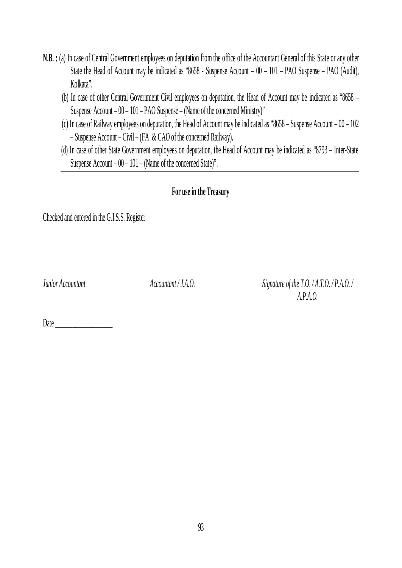- **N.B. :** (a) In case of Central Government employees on deputation from the office of the Accountant General of this State or any other State the Head of Account may be indicated as "8658 - Suspense Account – 00 – 101 – PAO Suspense – PAO (Audit), Kolkata".
	- (b) In case of other Central Government Civil employees on deputation, the Head of Account may be indicated as "8658 Suspense Account – 00 – 101 – PAO Suspense – (Name of the concerned Ministry)"
	- (c) In case of Railway employees on deputation, the Head of Account may be indicated as "8658 Suspense Account 00 102 – Suspense Account – Civil – (FA & CAO of the concerned Railway).
	- (d) In case of other State Government employees on deputation, the Head of Account may be indicated as "8793 Inter-State Suspense Account – 00 – 101 – (Name of the concerned State)".

# **For use in the Treasury**

Checked and entered in the G.I.S.S. Register

*Junior Accountant Accountant / J.A.O. Signature of the T.O. / A.T.O. / P.A.O. / A.P.A.O.*

Date  $\Box$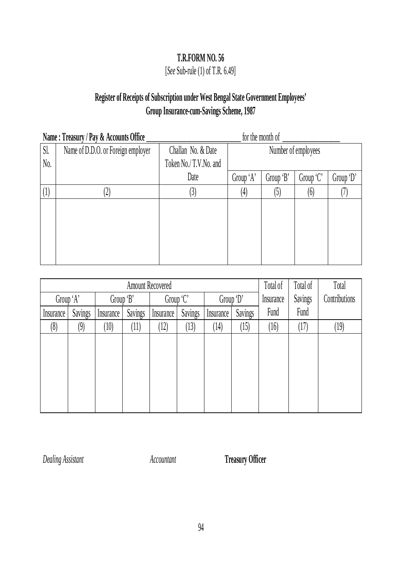# [*See* Sub-rule (1) of T.R. 6.49]

# **Register of Receipts of Subscription under West Bengal State Government Employees' Group Insurance-cum-Savings Scheme, 1987**

|                | Name: Treasury / Pay & Accounts Office | for the month of      |                     |           |           |           |  |  |
|----------------|----------------------------------------|-----------------------|---------------------|-----------|-----------|-----------|--|--|
| Sl.            | Name of D.D.O. or Foreign employer     | Challan No. & Date    | Number of employees |           |           |           |  |  |
| No.            |                                        | Token No./T.V.No. and |                     |           |           |           |  |  |
|                |                                        | Date                  | Group 'A'           | Group 'B' | Group 'C' | Group 'D' |  |  |
| $(\mathrm{l})$ |                                        |                       | (4)                 |           | (6)       |           |  |  |
|                |                                        |                       |                     |           |           |           |  |  |
|                |                                        |                       |                     |           |           |           |  |  |
|                |                                        |                       |                     |           |           |           |  |  |
|                |                                        |                       |                     |           |           |           |  |  |
|                |                                        |                       |                     |           |           |           |  |  |

|           |         |           | Total of | Total of          | Total   |           |         |           |         |               |
|-----------|---------|-----------|----------|-------------------|---------|-----------|---------|-----------|---------|---------------|
| Group 'A' |         | Group 'B' |          | Group 'C'         |         | Group 'D' |         | Insurance | Savings | Contributions |
| Insurance | Savings | Insurance | Savings  | Insurance         | Savings | Insurance | Savings | Fund      | Fund    |               |
| (8)       | (9)     | (10)      | (11)     | $\left(12\right)$ | (13)    | (14)      | (15)    | (16)      | (17)    | (19)          |
|           |         |           |          |                   |         |           |         |           |         |               |
|           |         |           |          |                   |         |           |         |           |         |               |
|           |         |           |          |                   |         |           |         |           |         |               |
|           |         |           |          |                   |         |           |         |           |         |               |
|           |         |           |          |                   |         |           |         |           |         |               |
|           |         |           |          |                   |         |           |         |           |         |               |

*Dealing Assistant Accountant* **Treasury Officer**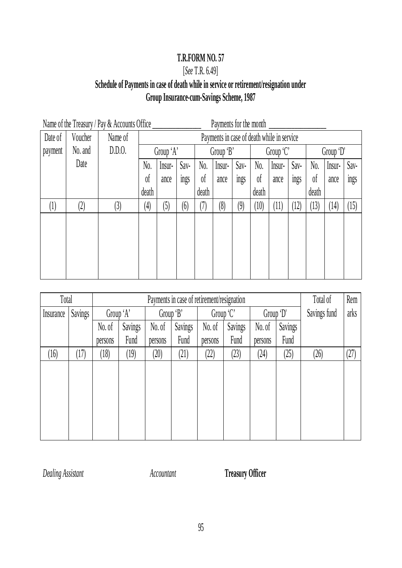# [*See* T.R. 6.49]

# **Schedule of Payments in case of death while in service or retirement/resignation under Group Insurance-cum-Savings Scheme, 1987**

| Name of the Treasury / Pay & Accounts Office<br>Payments for the month |                   |         |                   |           |             |                |                                            |      |                |            |                   |                |        |      |
|------------------------------------------------------------------------|-------------------|---------|-------------------|-----------|-------------|----------------|--------------------------------------------|------|----------------|------------|-------------------|----------------|--------|------|
| Date of                                                                | Voucher           | Name of |                   |           |             |                | Payments in case of death while in service |      |                |            |                   |                |        |      |
| payment                                                                | No. and           | D.D.0.  |                   | Group 'A' |             |                | Group 'B'                                  |      |                | Group $C'$ |                   | Group 'D'      |        |      |
|                                                                        | Date              |         | No.               | Insur-    | Sav-        | No.            | Insur-                                     | Sav- | N <sub>0</sub> | Insur-     | Sav-              | No.            | Insur- | Sav- |
|                                                                        |                   |         | 0 <sup>f</sup>    | ance      | <b>Ings</b> | 0 <sup>f</sup> | ance                                       | ings | $\delta$       | ance       | <b>ings</b>       | 0 <sup>f</sup> | ance   | ings |
|                                                                        |                   |         | death             |           |             | death          |                                            |      | death          |            |                   | death          |        |      |
| $\left( \left  {}\right. \right)$                                      | $\left( 2\right)$ | (3)     | $\left( 4\right)$ | (5)       | (6)         | (7)            | (8)                                        | (9)  | (10)           | (11)       | $\left(12\right)$ | (13)           | (14)   | (15) |
|                                                                        |                   |         |                   |           |             |                |                                            |      |                |            |                   |                |        |      |
|                                                                        |                   |         |                   |           |             |                |                                            |      |                |            |                   |                |        |      |
|                                                                        |                   |         |                   |           |             |                |                                            |      |                |            |                   |                |        |      |
|                                                                        |                   |         |                   |           |             |                |                                            |      |                |            |                   |                |        |      |
|                                                                        |                   |         |                   |           |             |                |                                            |      |                |            |                   |                |        |      |

| Total     |                   |         | Payments in case of retirement/resignation |         |         |         |                        |                   |      |              | Rem  |
|-----------|-------------------|---------|--------------------------------------------|---------|---------|---------|------------------------|-------------------|------|--------------|------|
| Insurance | Savings           |         | Group 'B'<br>Group 'A'                     |         |         |         | Group 'C'<br>Group 'D' |                   |      | Savings fund | arks |
|           |                   | No. of  | Savings                                    | No. of  | Savings | No. of  | Savings                | Savings<br>No. of |      |              |      |
|           |                   | persons | Fund                                       | persons | Fund    | persons | Fund                   | persons           | Fund |              |      |
| (16)      | $\left(17\right)$ | 18)     | (19)                                       | (20)    | (21)    | (22)    | 23)                    | (24)              | (25) | (26)         | (27) |
|           |                   |         |                                            |         |         |         |                        |                   |      |              |      |
|           |                   |         |                                            |         |         |         |                        |                   |      |              |      |
|           |                   |         |                                            |         |         |         |                        |                   |      |              |      |
|           |                   |         |                                            |         |         |         |                        |                   |      |              |      |
|           |                   |         |                                            |         |         |         |                        |                   |      |              |      |
|           |                   |         |                                            |         |         |         |                        |                   |      |              |      |

*Dealing Assistant Accountant* **Treasury Officer**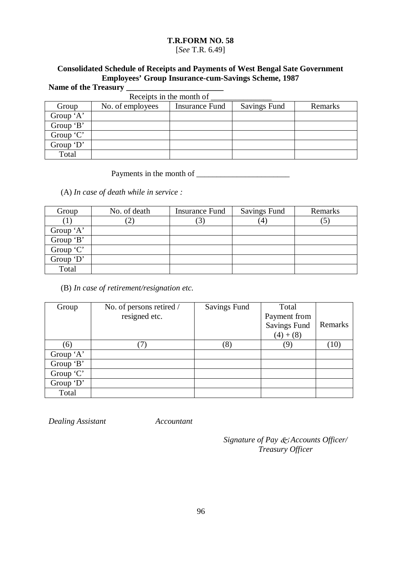### [*See* T.R. 6.49]

# **Consolidated Schedule of Receipts and Payments of West Bengal Sate Government Employees' Group Insurance-cum-Savings Scheme, 1987** Name of the Treasury <u>Queen</u>

| eceints in the month of |  |  |  |
|-------------------------|--|--|--|

|           | Receipts in the month of |                |                     |         |  |  |  |  |  |
|-----------|--------------------------|----------------|---------------------|---------|--|--|--|--|--|
| Group     | No. of employees         | Insurance Fund | <b>Savings Fund</b> | Remarks |  |  |  |  |  |
| Group 'A' |                          |                |                     |         |  |  |  |  |  |
| Group 'B' |                          |                |                     |         |  |  |  |  |  |
| Group 'C' |                          |                |                     |         |  |  |  |  |  |
| Group 'D' |                          |                |                     |         |  |  |  |  |  |
| Total     |                          |                |                     |         |  |  |  |  |  |

# Payments in the month of \_\_\_\_\_\_\_\_\_\_\_\_\_\_\_\_\_\_\_\_\_\_\_

(A) *In case of death while in service :*

| Group      | No. of death   | <b>Insurance Fund</b> | <b>Savings Fund</b> | Remarks |
|------------|----------------|-----------------------|---------------------|---------|
|            | $\overline{2}$ |                       | $^{\prime}4$        |         |
| Group 'A'  |                |                       |                     |         |
| Group 'B'  |                |                       |                     |         |
| Group $C'$ |                |                       |                     |         |
| Group $D'$ |                |                       |                     |         |
| Total      |                |                       |                     |         |

(B) *In case of retirement/resignation etc.*

| Group     | No. of persons retired / | Savings Fund | Total               |         |
|-----------|--------------------------|--------------|---------------------|---------|
|           | resigned etc.            |              | Payment from        |         |
|           |                          |              | <b>Savings Fund</b> | Remarks |
|           |                          |              | $(4)+(8)$           |         |
| (6)       |                          | (8)          | (9)                 | (10)    |
| Group 'A' |                          |              |                     |         |
| Group 'B' |                          |              |                     |         |
| Group 'C' |                          |              |                     |         |
| Group 'D' |                          |              |                     |         |
| Total     |                          |              |                     |         |

*Dealing Assistant Accountant*

*Signature of Pay & Accounts Officer/ Treasury Officer*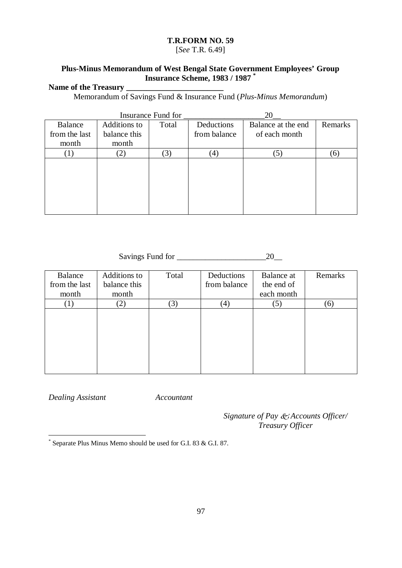[*See* T.R. 6.49]

### **Plus-Minus Memorandum of West Bengal State Government Employees' Group Insurance Scheme, 1983 / 1987 \***

### **Name of the Treasury \_\_\_\_\_\_\_\_\_\_\_\_\_\_\_\_\_\_\_\_\_\_\_\_**

Memorandum of Savings Fund & Insurance Fund (*Plus-Minus Memorandum*)

|                |              | Insurance Fund for |                   | 20                 |         |
|----------------|--------------|--------------------|-------------------|--------------------|---------|
| <b>Balance</b> | Additions to | Total              | Deductions        | Balance at the end | Remarks |
| from the last  | balance this |                    | from balance      | of each month      |         |
| month          | month        |                    |                   |                    |         |
|                | (2)          | $\mathfrak{Z}$     | $\left( 4\right)$ | $\mathfrak{S}$ )   | (6)     |
|                |              |                    |                   |                    |         |
|                |              |                    |                   |                    |         |
|                |              |                    |                   |                    |         |
|                |              |                    |                   |                    |         |
|                |              |                    |                   |                    |         |
|                |              |                    |                   |                    |         |

### Savings Fund for \_\_\_\_\_\_\_\_\_\_\_\_\_\_\_\_\_\_\_\_\_\_20\_\_

| Additions to<br>balance this | Total | Deductions<br>from balance | Balance at<br>the end of | Remarks    |
|------------------------------|-------|----------------------------|--------------------------|------------|
|                              |       |                            |                          |            |
| (2)                          | (3)   | $\left( 4\right)$          | (5)                      | (6)        |
|                              |       |                            |                          |            |
|                              |       |                            |                          |            |
|                              |       |                            |                          |            |
|                              |       |                            |                          |            |
|                              | month |                            |                          | each month |

*Dealing Assistant Accountant*

*Signature of Pay Accounts Officer/ Treasury Officer*

 \* Separate Plus Minus Memo should be used for G.I. 83 & G.I. 87.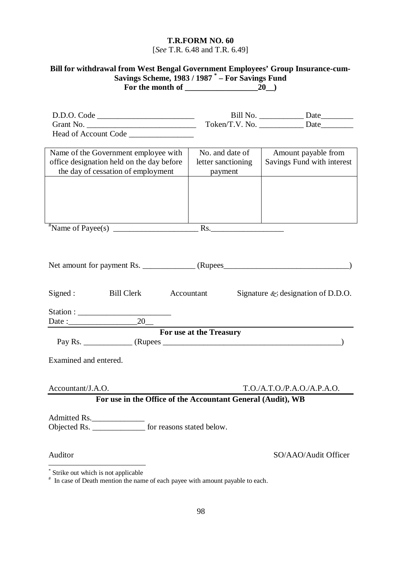[*See* T.R. 6.48 and T.R. 6.49]

# **Bill for withdrawal from West Bengal Government Employees' Group Insurance-cum-Savings Scheme, 1983 / 1987 \* – For Savings Fund For the month of \_\_\_\_\_\_\_\_\_\_\_\_\_\_\_\_\_\_20\_\_)**

| D.D.O. Code                                                                                                             |                                                  | Token/T.V. No. ______________ Date                |
|-------------------------------------------------------------------------------------------------------------------------|--------------------------------------------------|---------------------------------------------------|
| Name of the Government employee with<br>office designation held on the day before<br>the day of cessation of employment | No. and date of<br>letter sanctioning<br>payment | Amount payable from<br>Savings Fund with interest |
|                                                                                                                         |                                                  |                                                   |
|                                                                                                                         |                                                  |                                                   |
| <b>Bill Clerk</b><br>Signed:                                                                                            | Accountant                                       | Signature $\&$ designation of D.D.O.              |
|                                                                                                                         |                                                  |                                                   |
|                                                                                                                         | <b>For use at the Treasury</b>                   |                                                   |
|                                                                                                                         |                                                  |                                                   |
| Examined and entered.                                                                                                   |                                                  |                                                   |
| Accountant/J.A.O.                                                                                                       |                                                  | T.O./A.T.O./P.A.O./A.P.A.O.                       |
| For use in the Office of the Accountant General (Audit), WB                                                             |                                                  |                                                   |
| Admitted Rs.<br>Objected Rs. _______________ for reasons stated below.                                                  |                                                  |                                                   |
| Auditor                                                                                                                 |                                                  | SO/AAO/Audit Officer                              |

 \* Strike out which is not applicable # In case of Death mention the name of each payee with amount payable to each.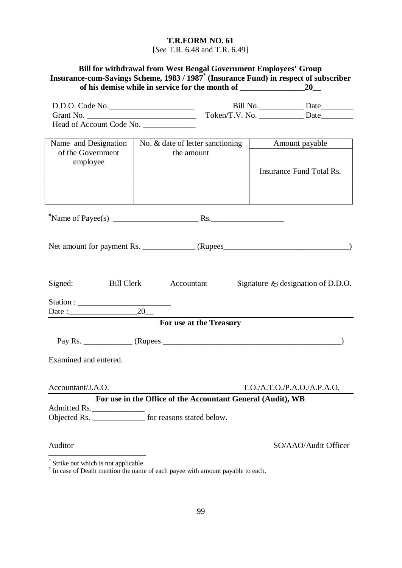[*See* T.R. 6.48 and T.R. 6.49]

# **Bill for withdrawal from West Bengal Government Employees' Group Insurance-cum-Savings Scheme, 1983 / 1987\* (Insurance Fund) in respect of subscriber of his demise while in service for the month of \_\_\_\_\_\_\_\_\_\_\_\_\_\_\_\_20\_\_**

| D.D.O. Code No.                                                         |                                                             |                         | Bill No. Date |                                      |
|-------------------------------------------------------------------------|-------------------------------------------------------------|-------------------------|---------------|--------------------------------------|
|                                                                         |                                                             |                         |               |                                      |
| Head of Account Code No.                                                |                                                             |                         |               |                                      |
| Name and Designation<br>of the Government                               | No. & date of letter sanctioning<br>the amount              |                         |               | Amount payable                       |
| employee                                                                |                                                             |                         |               | Insurance Fund Total Rs.             |
|                                                                         |                                                             |                         |               |                                      |
|                                                                         |                                                             |                         |               |                                      |
|                                                                         |                                                             |                         |               |                                      |
| Signed:                                                                 | Bill Clerk Accountant                                       |                         |               | Signature $\&$ designation of D.D.O. |
| Date:                                                                   | $20$ –                                                      |                         |               |                                      |
|                                                                         |                                                             | For use at the Treasury |               |                                      |
|                                                                         |                                                             |                         |               |                                      |
| Examined and entered.                                                   |                                                             |                         |               |                                      |
| Accountant/J.A.O.                                                       |                                                             |                         |               | T.O.A.T.O.P.A.O.A.P.A.O.             |
|                                                                         | For use in the Office of the Accountant General (Audit), WB |                         |               |                                      |
| Admitted Rs.<br>Objected Rs. ________________ for reasons stated below. |                                                             |                         |               |                                      |
| Auditor                                                                 |                                                             |                         |               | SO/AAO/Audit Officer                 |

 \* Strike out which is not applicable

<sup>#</sup> In case of Death mention the name of each payee with amount payable to each.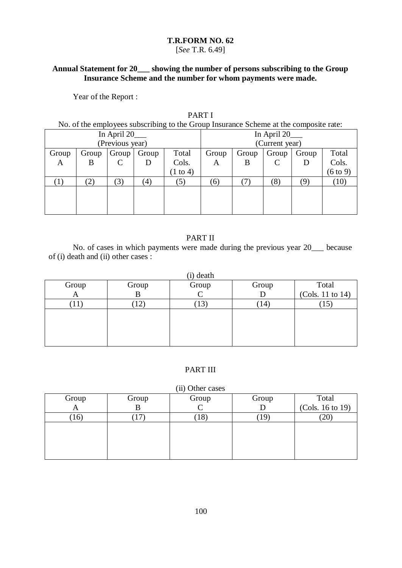### [*See* T.R. 6.49]

### **Annual Statement for 20\_\_\_ showing the number of persons subscribing to the Group Insurance Scheme and the number for whom payments were made.**

Year of the Report :

# PART I

No. of the employees subscribing to the Group Insurance Scheme at the composite rate:

| In April 20_    |           |              |                     | In April 20__       |       |       |           |       |                     |
|-----------------|-----------|--------------|---------------------|---------------------|-------|-------|-----------|-------|---------------------|
| (Previous year) |           |              |                     | (Current year)      |       |       |           |       |                     |
| Group           | Group     | Group        | Group               | Total               | Group | Group | Group     | Group | Total               |
| $\mathbf{A}$    | B         | $\mathsf{C}$ |                     | Cols.               | A     | B     | $\subset$ |       | Cols.               |
|                 |           |              |                     | $(1 \text{ to } 4)$ |       |       |           |       | $(6 \text{ to } 9)$ |
|                 | $\hat{c}$ | (3)          | $\langle 4 \rangle$ | (5)                 | (6)   |       | (8)       | (9)   | (10)                |
|                 |           |              |                     |                     |       |       |           |       |                     |
|                 |           |              |                     |                     |       |       |           |       |                     |
|                 |           |              |                     |                     |       |       |           |       |                     |

# PART II

No. of cases in which payments were made during the previous year 20\_\_\_ because of (i) death and (ii) other cases :

| (i) death |                 |       |                   |                  |  |  |  |
|-----------|-----------------|-------|-------------------|------------------|--|--|--|
| Group     | Group           | Group | Group             | Total            |  |  |  |
|           |                 |       |                   | (Cols. 11 to 14) |  |  |  |
|           | 12 <sub>1</sub> | 13    | $\left(14\right)$ | 1 J              |  |  |  |
|           |                 |       |                   |                  |  |  |  |
|           |                 |       |                   |                  |  |  |  |
|           |                 |       |                   |                  |  |  |  |
|           |                 |       |                   |                  |  |  |  |

### PART III

#### (ii) Other cases

| Group | Group | Group | Group           | Total            |
|-------|-------|-------|-----------------|------------------|
|       |       |       |                 | (Cols. 16 to 19) |
| 16)   |       | 10.   | 19 <sup>°</sup> | $^{\prime}20$    |
|       |       |       |                 |                  |
|       |       |       |                 |                  |
|       |       |       |                 |                  |
|       |       |       |                 |                  |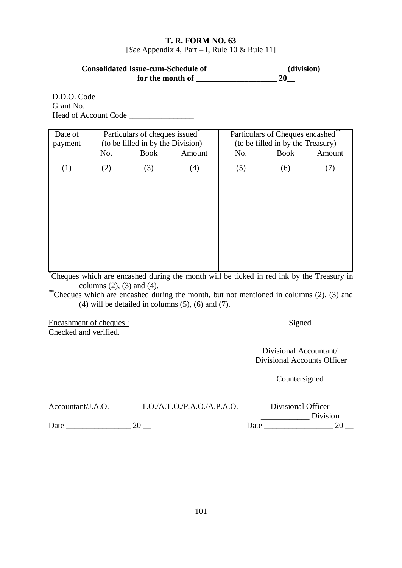### **T. R. FORM NO. 63** [*See* Appendix 4, Part – I, Rule 10 & Rule 11]

# **Consolidated Issue-cum-Schedule of \_\_\_\_\_\_\_\_\_\_\_\_\_\_\_\_\_\_\_ (division) for the month of**   $20$

D.D.O. Code \_\_\_\_\_\_\_\_\_\_\_\_\_\_\_\_\_\_\_\_\_\_\_\_ Grant No. \_\_\_\_\_\_\_\_\_\_\_\_\_\_\_\_\_\_\_\_\_\_\_\_\_\_\_ Head of Account Code

| Date of<br>payment |     | Particulars of cheques issued*<br>(to be filled in by the Division) |        |     | Particulars of Cheques encashed**<br>(to be filled in by the Treasury) |        |  |
|--------------------|-----|---------------------------------------------------------------------|--------|-----|------------------------------------------------------------------------|--------|--|
|                    | No. | <b>Book</b>                                                         | Amount | No. | <b>Book</b>                                                            | Amount |  |
| (1)                | (2) | (3)                                                                 | (4)    | (5) | (6)                                                                    | (7)    |  |
|                    |     |                                                                     |        |     |                                                                        |        |  |
|                    |     |                                                                     |        |     |                                                                        |        |  |
|                    |     |                                                                     |        |     |                                                                        |        |  |
|                    |     |                                                                     |        |     |                                                                        |        |  |
|                    |     |                                                                     |        |     |                                                                        |        |  |
|                    |     |                                                                     |        |     |                                                                        |        |  |

\*Cheques which are encashed during the month will be ticked in red ink by the Treasury in columns (2), (3) and (4).

\*\*Cheques which are encashed during the month, but not mentioned in columns (2), (3) and  $(4)$  will be detailed in columns  $(5)$ ,  $(6)$  and  $(7)$ .

Encashment of cheques : Checked and verified.

Signed

Divisional Accountant/ Divisional Accounts Officer

Countersigned

| Accountant/J.A.O. | T.O.A.T.O.P.A.O./A.P.A.O. |      | Divisional Officer |
|-------------------|---------------------------|------|--------------------|
|                   |                           |      | Division           |
| Date              |                           | Date |                    |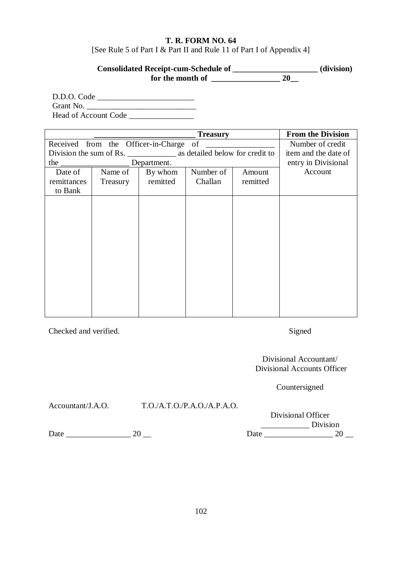### **T. R. FORM NO. 64** [See Rule 5 of Part I & Part II and Rule 11 of Part I of Appendix 4]

# **Consolidated Receipt-cum-Schedule of \_\_\_\_\_\_\_\_\_\_\_\_\_\_\_\_\_\_\_\_\_ (division) for the month of \_\_\_\_\_\_\_\_\_\_\_\_\_\_\_\_\_ 20\_\_**

D.D.O. Code \_\_\_\_\_\_\_\_\_\_\_\_\_\_\_\_\_\_\_\_\_\_\_\_ Grant No. \_\_\_\_\_\_\_\_\_\_\_\_\_\_\_\_\_\_\_\_\_\_\_\_\_\_\_ Head of Account Code

|                                        | <b>From the Division</b> |          |           |          |         |
|----------------------------------------|--------------------------|----------|-----------|----------|---------|
| Received from the Officer-in-Charge of | Number of credit         |          |           |          |         |
|                                        | item and the date of     |          |           |          |         |
|                                        | entry in Divisional      |          |           |          |         |
| Date of                                | Name of                  | By whom  | Number of | Amount   | Account |
| remittances                            | Treasury                 | remitted | Challan   | remitted |         |
| to Bank                                |                          |          |           |          |         |
|                                        |                          |          |           |          |         |
|                                        |                          |          |           |          |         |
|                                        |                          |          |           |          |         |
|                                        |                          |          |           |          |         |
|                                        |                          |          |           |          |         |
|                                        |                          |          |           |          |         |
|                                        |                          |          |           |          |         |
|                                        |                          |          |           |          |         |
|                                        |                          |          |           |          |         |
|                                        |                          |          |           |          |         |
|                                        |                          |          |           |          |         |
|                                        |                          |          |           |          |         |
|                                        |                          |          |           |          |         |

Checked and verified.

Signed

Divisional Accountant/ Divisional Accounts Officer

Countersigned

Accountant/J.A.O. T.O./A.T.O./P.A.O./A.P.A.O.

|      | Divisional Officer |
|------|--------------------|
|      | Division           |
| Date | 20                 |

Date \_\_\_\_\_\_\_\_\_\_\_\_\_\_\_\_ 20 \_\_ Date \_\_\_\_\_\_\_\_\_\_\_\_\_\_\_\_\_ 20 \_\_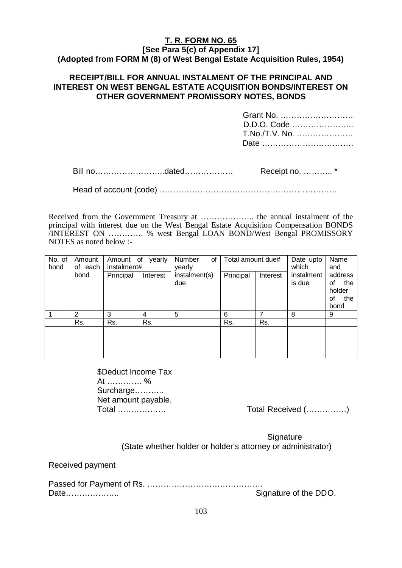### **T. R. FORM NO. 65 [See Para 5(c) of Appendix 17] (Adopted from FORM M (8) of West Bengal Estate Acquisition Rules, 1954)**

### **RECEIPT/BILL FOR ANNUAL INSTALMENT OF THE PRINCIPAL AND INTEREST ON WEST BENGAL ESTATE ACQUISITION BONDS/INTEREST ON OTHER GOVERNMENT PROMISSORY NOTES, BONDS**

| Grant No.<br>D.D.O. Code<br>T.No./T.V. No.<br>Date |
|----------------------------------------------------|
| Receipt no. *                                      |

Head of account (code) …………………………………………………………

Received from the Government Treasury at ……………….. the annual instalment of the principal with interest due on the West Bengal Estate Acquisition Compensation BONDS /INTEREST ON …………. % west Bengal LOAN BOND/West Bengal PROMISSORY NOTES as noted below :-

| No. of<br>bond | Amount<br>yearly<br>Amount of<br>instalment#<br>of each |           | Number<br>οf<br>yearly | Total amount due#    |           | Date upto<br>which | Name<br>and          |                      |  |
|----------------|---------------------------------------------------------|-----------|------------------------|----------------------|-----------|--------------------|----------------------|----------------------|--|
|                | bond                                                    | Principal | Interest               | instalment(s)<br>due | Principal | Interest           | instalment<br>is due | address<br>the<br>οf |  |
|                |                                                         |           |                        |                      |           |                    |                      | holder<br>the<br>οf  |  |
|                |                                                         |           |                        |                      |           |                    |                      | bond                 |  |
|                | $\overline{2}$                                          | 3         | 4                      | 5                    | 6         | ⇁                  | 8                    | 9                    |  |
|                | Rs.                                                     | Rs.       | Rs.                    |                      | Rs.       | Rs.                |                      |                      |  |
|                |                                                         |           |                        |                      |           |                    |                      |                      |  |
|                |                                                         |           |                        |                      |           |                    |                      |                      |  |

\$Deduct Income Tax At …………. % Surcharge……….. Net amount payable.

Total ……………… Total Received (……………)

**Signature** (State whether holder or holder's attorney or administrator)

Received payment

| Date | Signature of the DDO. |
|------|-----------------------|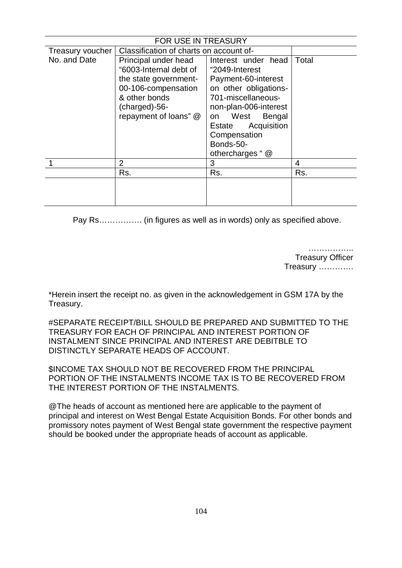| FOR USE IN TREASURY |                                                |                       |       |  |  |  |  |  |
|---------------------|------------------------------------------------|-----------------------|-------|--|--|--|--|--|
| Treasury voucher    | Classification of charts on account of-        |                       |       |  |  |  |  |  |
| No. and Date        | Principal under head                           | Interest under head   | Total |  |  |  |  |  |
|                     | "6003-Internal debt of                         | "2049-Interest        |       |  |  |  |  |  |
|                     | the state government-                          | Payment-60-interest   |       |  |  |  |  |  |
|                     | 00-106-compensation                            | on other obligations- |       |  |  |  |  |  |
|                     | & other bonds                                  | 701-miscellaneous-    |       |  |  |  |  |  |
|                     | (charged)-56-                                  | non-plan-006-interest |       |  |  |  |  |  |
|                     | repayment of loans" @<br>West<br>Bengal<br>on. |                       |       |  |  |  |  |  |
|                     |                                                | Acquisition<br>Estate |       |  |  |  |  |  |
|                     |                                                | Compensation          |       |  |  |  |  |  |
|                     |                                                | Bonds-50-             |       |  |  |  |  |  |
|                     |                                                | othercharges " @      |       |  |  |  |  |  |
|                     | 2                                              | 3                     | 4     |  |  |  |  |  |
|                     | Rs.                                            | Rs.                   | Rs.   |  |  |  |  |  |
|                     |                                                |                       |       |  |  |  |  |  |
|                     |                                                |                       |       |  |  |  |  |  |
|                     |                                                |                       |       |  |  |  |  |  |

Pay Rs……………. (in figures as well as in words) only as specified above.

…………….. Treasury Officer Treasury ………….

\*Herein insert the receipt no. as given in the acknowledgement in GSM 17A by the Treasury.

#SEPARATE RECEIPT/BILL SHOULD BE PREPARED AND SUBMITTED TO THE TREASURY FOR EACH OF PRINCIPAL AND INTEREST PORTION OF INSTALMENT SINCE PRINCIPAL AND INTEREST ARE DEBITBLE TO DISTINCTLY SEPARATE HEADS OF ACCOUNT.

\$INCOME TAX SHOULD NOT BE RECOVERED FROM THE PRINCIPAL PORTION OF THE INSTALMENTS INCOME TAX IS TO BE RECOVERED FROM THE INTEREST PORTION OF THE INSTALMENTS.

@The heads of account as mentioned here are applicable to the payment of principal and interest on West Bengal Estate Acquisition Bonds. For other bonds and promissory notes payment of West Bengal state government the respective payment should be booked under the appropriate heads of account as applicable.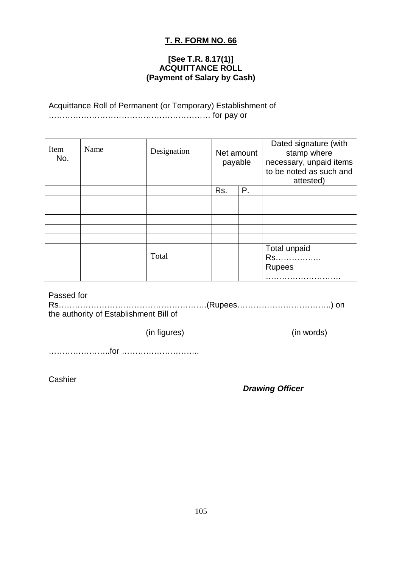### **[See T.R. 8.17(1)] ACQUITTANCE ROLL (Payment of Salary by Cash)**

### Acquittance Roll of Permanent (or Temporary) Establishment of …………………………………………………… for pay or

| Item<br>No. | Name | Designation | Net amount<br>payable |    |                                     |  | Dated signature (with<br>stamp where<br>necessary, unpaid items<br>to be noted as such and<br>attested) |
|-------------|------|-------------|-----------------------|----|-------------------------------------|--|---------------------------------------------------------------------------------------------------------|
|             |      |             | Rs.                   | Ρ. |                                     |  |                                                                                                         |
|             |      |             |                       |    |                                     |  |                                                                                                         |
|             |      |             |                       |    |                                     |  |                                                                                                         |
|             |      |             |                       |    |                                     |  |                                                                                                         |
|             |      |             |                       |    |                                     |  |                                                                                                         |
|             |      |             |                       |    |                                     |  |                                                                                                         |
|             |      | Total       |                       |    | Total unpaid<br>Rs<br><b>Rupees</b> |  |                                                                                                         |

Passed for Rs……………………………………………….(Rupees……………………………..) on the authority of Establishment Bill of

(in figures) (in words)

…………………..for ………………………..

**Cashier** 

*Drawing Officer*